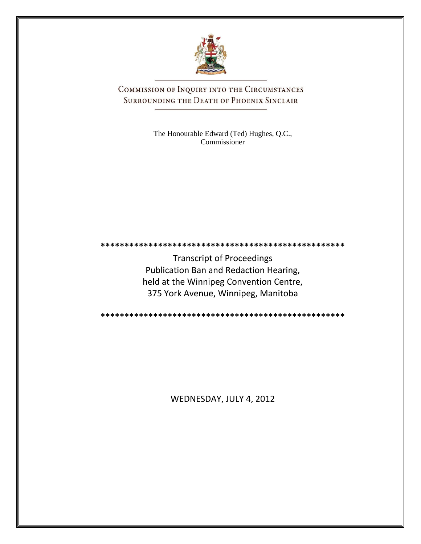

COMMISSION OF INQUIRY INTO THE CIRCUMSTANCES SURROUNDING THE DEATH OF PHOENIX SINCLAIR

> The Honourable Edward (Ted) Hughes, Q.C., Commissioner

**\*\*\*\*\*\*\*\*\*\*\*\*\*\*\*\*\*\*\*\*\*\*\*\*\*\*\*\*\*\*\*\*\*\*\*\*\*\*\*\*\*\*\*\*\*\*\*\*\*\*\***

Transcript of Proceedings Publication Ban and Redaction Hearing, held at the Winnipeg Convention Centre, 375 York Avenue, Winnipeg, Manitoba

**\*\*\*\*\*\*\*\*\*\*\*\*\*\*\*\*\*\*\*\*\*\*\*\*\*\*\*\*\*\*\*\*\*\*\*\*\*\*\*\*\*\*\*\*\*\*\*\*\*\*\***

WEDNESDAY, JULY 4, 2012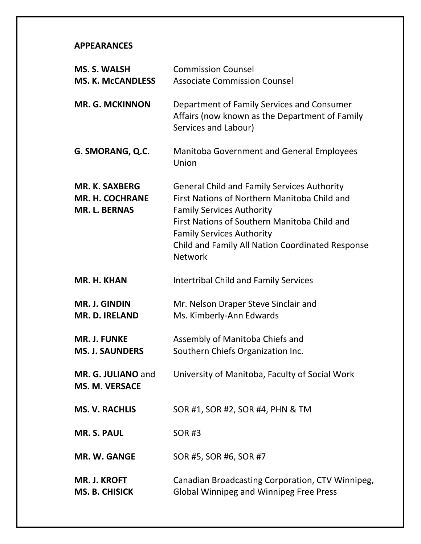### **APPEARANCES**

| <b>MS. S. WALSH</b>                                                     | <b>Commission Counsel</b>                                                                                                                                                                                                                                                                        |
|-------------------------------------------------------------------------|--------------------------------------------------------------------------------------------------------------------------------------------------------------------------------------------------------------------------------------------------------------------------------------------------|
| <b>MS. K. McCANDLESS</b>                                                | <b>Associate Commission Counsel</b>                                                                                                                                                                                                                                                              |
| <b>MR. G. MCKINNON</b>                                                  | Department of Family Services and Consumer<br>Affairs (now known as the Department of Family<br>Services and Labour)                                                                                                                                                                             |
| G. SMORANG, Q.C.                                                        | <b>Manitoba Government and General Employees</b><br>Union                                                                                                                                                                                                                                        |
| <b>MR. K. SAXBERG</b><br><b>MR. H. COCHRANE</b><br><b>MR. L. BERNAS</b> | <b>General Child and Family Services Authority</b><br>First Nations of Northern Manitoba Child and<br><b>Family Services Authority</b><br>First Nations of Southern Manitoba Child and<br><b>Family Services Authority</b><br>Child and Family All Nation Coordinated Response<br><b>Network</b> |
| MR. H. KHAN                                                             | <b>Intertribal Child and Family Services</b>                                                                                                                                                                                                                                                     |
| <b>MR. J. GINDIN</b><br><b>MR. D. IRELAND</b>                           | Mr. Nelson Draper Steve Sinclair and<br>Ms. Kimberly-Ann Edwards                                                                                                                                                                                                                                 |
| <b>MR. J. FUNKE</b><br><b>MS. J. SAUNDERS</b>                           | Assembly of Manitoba Chiefs and<br>Southern Chiefs Organization Inc.                                                                                                                                                                                                                             |
| MR. G. JULIANO and<br><b>MS. M. VERSACE</b>                             | University of Manitoba, Faculty of Social Work                                                                                                                                                                                                                                                   |
| <b>MS. V. RACHLIS</b>                                                   | SOR #1, SOR #2, SOR #4, PHN & TM                                                                                                                                                                                                                                                                 |
| <b>MR. S. PAUL</b>                                                      | <b>SOR#3</b>                                                                                                                                                                                                                                                                                     |
| <b>MR. W. GANGE</b>                                                     | SOR #5, SOR #6, SOR #7                                                                                                                                                                                                                                                                           |
| <b>MR. J. KROFT</b><br><b>MS. B. CHISICK</b>                            | Canadian Broadcasting Corporation, CTV Winnipeg,<br><b>Global Winnipeg and Winnipeg Free Press</b>                                                                                                                                                                                               |
|                                                                         |                                                                                                                                                                                                                                                                                                  |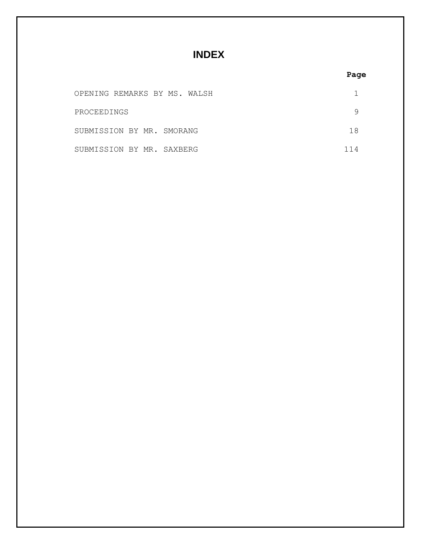**INDEX**

| OPENING REMARKS BY MS. WALSH |     |
|------------------------------|-----|
| PROCEEDINGS                  |     |
| SUBMISSION BY MR. SMORANG    | 1 X |
| SUBMISSION BY MR. SAXBERG    |     |

### **Page**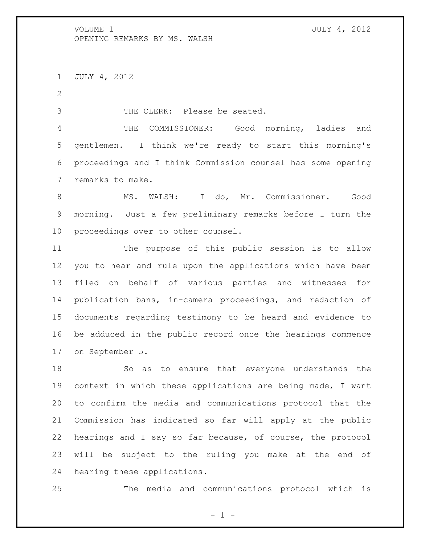JULY 4, 2012

THE CLERK: Please be seated.

 THE COMMISSIONER: Good morning, ladies and gentlemen. I think we're ready to start this morning's proceedings and I think Commission counsel has some opening remarks to make.

 MS. WALSH: I do, Mr. Commissioner. Good morning. Just a few preliminary remarks before I turn the proceedings over to other counsel.

 The purpose of this public session is to allow you to hear and rule upon the applications which have been filed on behalf of various parties and witnesses for publication bans, in-camera proceedings, and redaction of documents regarding testimony to be heard and evidence to be adduced in the public record once the hearings commence on September 5.

 So as to ensure that everyone understands the context in which these applications are being made, I want to confirm the media and communications protocol that the Commission has indicated so far will apply at the public hearings and I say so far because, of course, the protocol will be subject to the ruling you make at the end of hearing these applications.

The media and communications protocol which is

 $-1 -$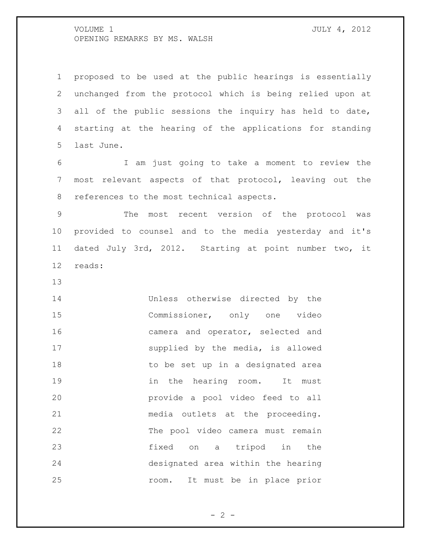proposed to be used at the public hearings is essentially unchanged from the protocol which is being relied upon at all of the public sessions the inquiry has held to date, starting at the hearing of the applications for standing last June.

 I am just going to take a moment to review the most relevant aspects of that protocol, leaving out the 8 references to the most technical aspects.

 The most recent version of the protocol was provided to counsel and to the media yesterday and it's dated July 3rd, 2012. Starting at point number two, it reads:

 Unless otherwise directed by the Commissioner, only one video camera and operator, selected and supplied by the media, is allowed 18 to be set up in a designated area 19 in the hearing room. It must provide a pool video feed to all media outlets at the proceeding. The pool video camera must remain fixed on a tripod in the designated area within the hearing room. It must be in place prior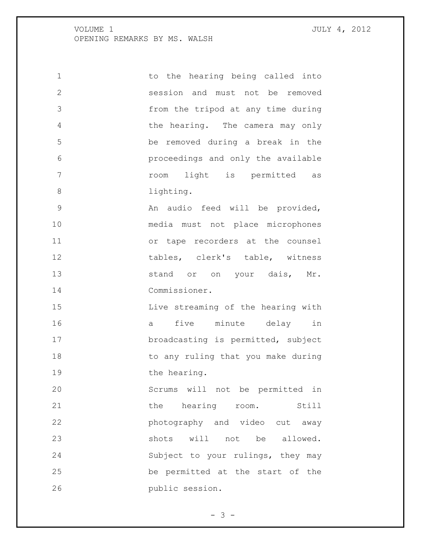| 1              | to the hearing being called into   |
|----------------|------------------------------------|
| $\overline{2}$ | session and must not be removed    |
| 3              | from the tripod at any time during |
| 4              | the hearing. The camera may only   |
| 5              | be removed during a break in the   |
| 6              | proceedings and only the available |
| 7              | light is permitted<br>room<br>as   |
| 8              | lighting.                          |
| 9              | An audio feed will be provided,    |
| 10             | media must not place microphones   |
| 11             | or tape recorders at the counsel   |
| 12             | tables, clerk's table, witness     |
| 13             | stand or on your dais, Mr.         |
| 14             | Commissioner.                      |
| 15             | Live streaming of the hearing with |
| 16             | five minute delay<br>in<br>а       |
| 17             | broadcasting is permitted, subject |
| 18             | to any ruling that you make during |
| 19             | the hearing.                       |
| 20             | Scrums will not be permitted in    |
| 21             | the hearing room.<br>Still         |
| 22             | photography and video cut away     |
| 23             | shots will not be allowed.         |
| 24             | Subject to your rulings, they may  |
| 25             | be permitted at the start of the   |
| 26             | public session.                    |

 $- 3 -$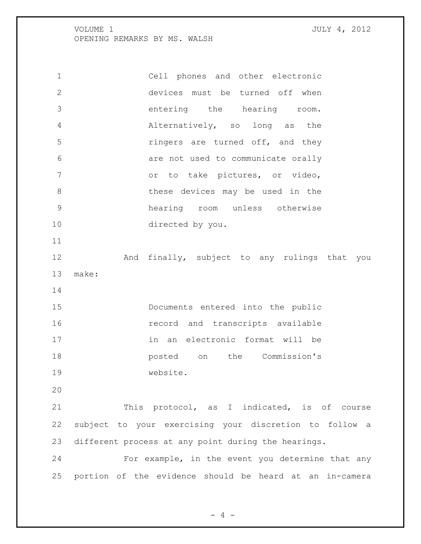Cell phones and other electronic devices must be turned off when entering the hearing room. Alternatively, so long as the **ringers** are turned off, and they are not used to communicate orally 7 or to take pictures, or video, these devices may be used in the hearing room unless otherwise directed by you. And finally, subject to any rulings that you make: Documents entered into the public record and transcripts available in an electronic format will be posted on the Commission's website. This protocol, as I indicated, is of course subject to your exercising your discretion to follow a different process at any point during the hearings. For example, in the event you determine that any portion of the evidence should be heard at an in-camera

 $- 4 -$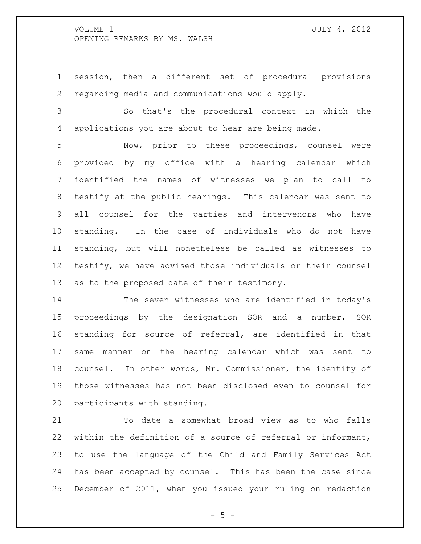session, then a different set of procedural provisions regarding media and communications would apply.

 So that's the procedural context in which the applications you are about to hear are being made.

 Now, prior to these proceedings, counsel were provided by my office with a hearing calendar which identified the names of witnesses we plan to call to testify at the public hearings. This calendar was sent to all counsel for the parties and intervenors who have standing. In the case of individuals who do not have standing, but will nonetheless be called as witnesses to testify, we have advised those individuals or their counsel as to the proposed date of their testimony.

 The seven witnesses who are identified in today's proceedings by the designation SOR and a number, SOR standing for source of referral, are identified in that same manner on the hearing calendar which was sent to counsel. In other words, Mr. Commissioner, the identity of those witnesses has not been disclosed even to counsel for participants with standing.

 To date a somewhat broad view as to who falls within the definition of a source of referral or informant, to use the language of the Child and Family Services Act has been accepted by counsel. This has been the case since December of 2011, when you issued your ruling on redaction

 $- 5 -$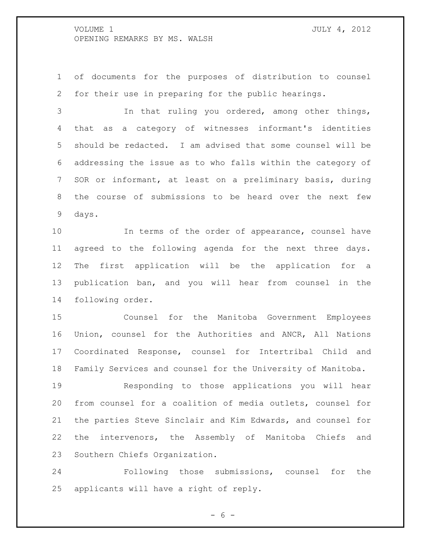of documents for the purposes of distribution to counsel for their use in preparing for the public hearings.

 In that ruling you ordered, among other things, that as a category of witnesses informant's identities should be redacted. I am advised that some counsel will be addressing the issue as to who falls within the category of SOR or informant, at least on a preliminary basis, during the course of submissions to be heard over the next few days.

 In terms of the order of appearance, counsel have agreed to the following agenda for the next three days. The first application will be the application for a publication ban, and you will hear from counsel in the following order.

 Counsel for the Manitoba Government Employees Union, counsel for the Authorities and ANCR, All Nations Coordinated Response, counsel for Intertribal Child and Family Services and counsel for the University of Manitoba.

 Responding to those applications you will hear from counsel for a coalition of media outlets, counsel for the parties Steve Sinclair and Kim Edwards, and counsel for the intervenors, the Assembly of Manitoba Chiefs and Southern Chiefs Organization.

 Following those submissions, counsel for the applicants will have a right of reply.

 $- 6 -$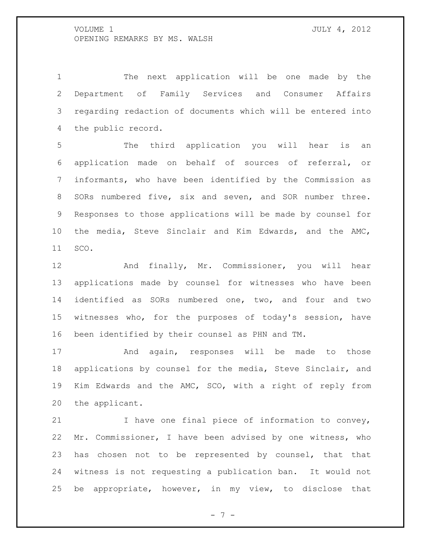The next application will be one made by the Department of Family Services and Consumer Affairs regarding redaction of documents which will be entered into the public record.

 The third application you will hear is an application made on behalf of sources of referral, or informants, who have been identified by the Commission as SORs numbered five, six and seven, and SOR number three. Responses to those applications will be made by counsel for the media, Steve Sinclair and Kim Edwards, and the AMC, SCO.

 And finally, Mr. Commissioner, you will hear applications made by counsel for witnesses who have been identified as SORs numbered one, two, and four and two witnesses who, for the purposes of today's session, have been identified by their counsel as PHN and TM.

17 And again, responses will be made to those applications by counsel for the media, Steve Sinclair, and Kim Edwards and the AMC, SCO, with a right of reply from the applicant.

21 1 I have one final piece of information to convey, Mr. Commissioner, I have been advised by one witness, who has chosen not to be represented by counsel, that that witness is not requesting a publication ban. It would not be appropriate, however, in my view, to disclose that

- 7 -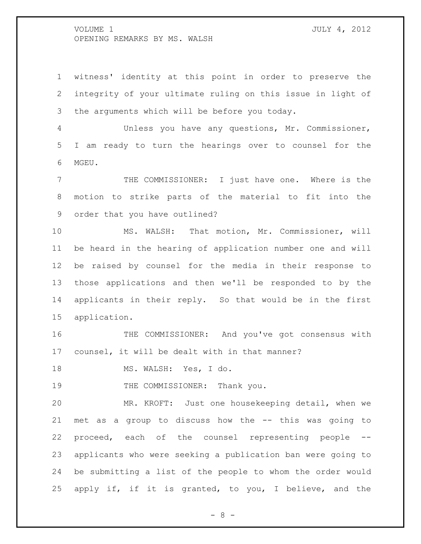witness' identity at this point in order to preserve the integrity of your ultimate ruling on this issue in light of the arguments which will be before you today.

 Unless you have any questions, Mr. Commissioner, I am ready to turn the hearings over to counsel for the MGEU.

 THE COMMISSIONER: I just have one. Where is the motion to strike parts of the material to fit into the order that you have outlined?

 MS. WALSH: That motion, Mr. Commissioner, will be heard in the hearing of application number one and will be raised by counsel for the media in their response to those applications and then we'll be responded to by the applicants in their reply. So that would be in the first application.

 THE COMMISSIONER: And you've got consensus with counsel, it will be dealt with in that manner?

18 MS. WALSH: Yes, I do.

19 THE COMMISSIONER: Thank you.

 MR. KROFT: Just one housekeeping detail, when we met as a group to discuss how the -- this was going to proceed, each of the counsel representing people -- applicants who were seeking a publication ban were going to be submitting a list of the people to whom the order would apply if, if it is granted, to you, I believe, and the

- 8 -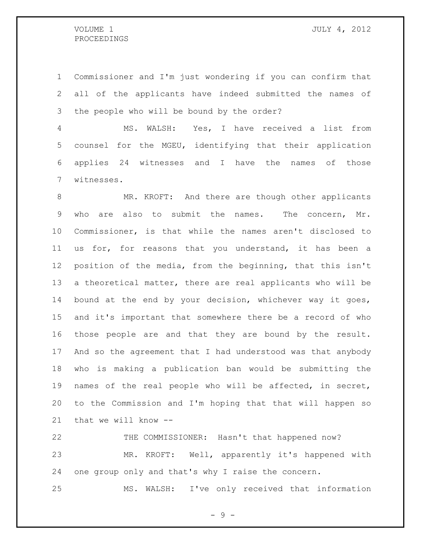Commissioner and I'm just wondering if you can confirm that all of the applicants have indeed submitted the names of the people who will be bound by the order?

 MS. WALSH: Yes, I have received a list from counsel for the MGEU, identifying that their application applies 24 witnesses and I have the names of those witnesses.

8 MR. KROFT: And there are though other applicants who are also to submit the names. The concern, Mr. Commissioner, is that while the names aren't disclosed to us for, for reasons that you understand, it has been a position of the media, from the beginning, that this isn't a theoretical matter, there are real applicants who will be bound at the end by your decision, whichever way it goes, and it's important that somewhere there be a record of who those people are and that they are bound by the result. And so the agreement that I had understood was that anybody who is making a publication ban would be submitting the names of the real people who will be affected, in secret, to the Commission and I'm hoping that that will happen so that we will know --

 THE COMMISSIONER: Hasn't that happened now? MR. KROFT: Well, apparently it's happened with one group only and that's why I raise the concern.

MS. WALSH: I've only received that information

- 9 -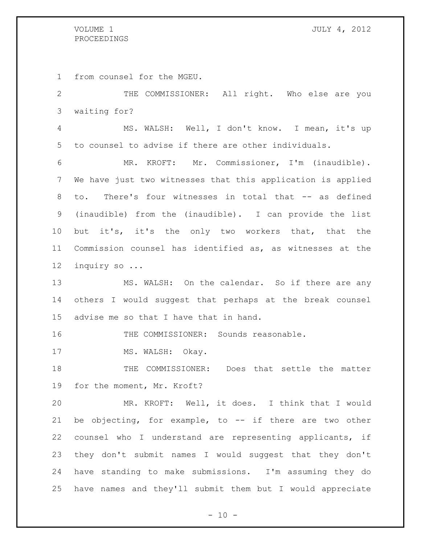from counsel for the MGEU.

 THE COMMISSIONER: All right. Who else are you waiting for?

 MS. WALSH: Well, I don't know. I mean, it's up to counsel to advise if there are other individuals.

 MR. KROFT: Mr. Commissioner, I'm (inaudible). We have just two witnesses that this application is applied to. There's four witnesses in total that -- as defined (inaudible) from the (inaudible). I can provide the list but it's, it's the only two workers that, that the Commission counsel has identified as, as witnesses at the inquiry so ...

 MS. WALSH: On the calendar. So if there are any others I would suggest that perhaps at the break counsel advise me so that I have that in hand.

16 THE COMMISSIONER: Sounds reasonable.

17 MS. WALSH: Okay.

 THE COMMISSIONER: Does that settle the matter for the moment, Mr. Kroft?

 MR. KROFT: Well, it does. I think that I would be objecting, for example, to -- if there are two other counsel who I understand are representing applicants, if they don't submit names I would suggest that they don't have standing to make submissions. I'm assuming they do have names and they'll submit them but I would appreciate

 $- 10 -$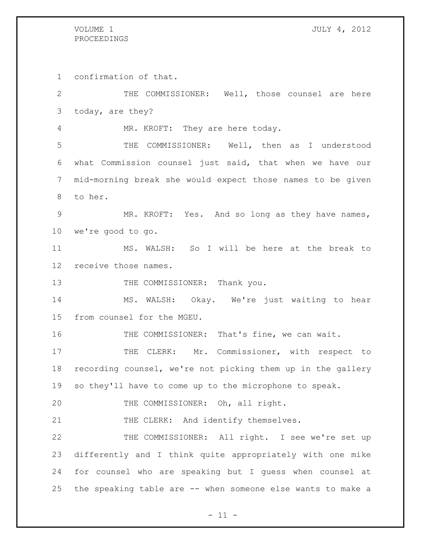confirmation of that.

 THE COMMISSIONER: Well, those counsel are here today, are they? MR. KROFT: They are here today. THE COMMISSIONER: Well, then as I understood what Commission counsel just said, that when we have our mid-morning break she would expect those names to be given to her. MR. KROFT: Yes. And so long as they have names, we're good to go. MS. WALSH: So I will be here at the break to receive those names. 13 THE COMMISSIONER: Thank you. MS. WALSH: Okay. We're just waiting to hear from counsel for the MGEU. THE COMMISSIONER: That's fine, we can wait. 17 THE CLERK: Mr. Commissioner, with respect to recording counsel, we're not picking them up in the gallery so they'll have to come up to the microphone to speak. THE COMMISSIONER: Oh, all right. 21 THE CLERK: And identify themselves. THE COMMISSIONER: All right. I see we're set up differently and I think quite appropriately with one mike for counsel who are speaking but I guess when counsel at the speaking table are -- when someone else wants to make a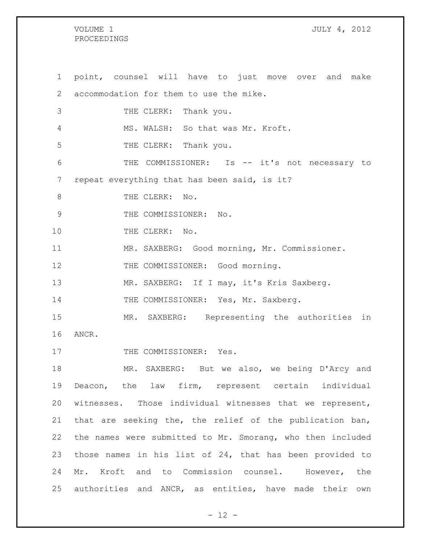#### VOLUME 1 JULY 4, 2012 PROCEEDINGS

1 point, counsel will have to just move over and make 2 accommodation for them to use the mike. 3 THE CLERK: Thank you. 4 MS. WALSH: So that was Mr. Kroft. 5 THE CLERK: Thank you. 6 THE COMMISSIONER: Is -- it's not necessary to 7 repeat everything that has been said, is it? 8 THE CLERK: No. 9 THE COMMISSIONER: No. 10 THE CLERK: No. 11 MR. SAXBERG: Good morning, Mr. Commissioner. 12 THE COMMISSIONER: Good morning. 13 MR. SAXBERG: If I may, it's Kris Saxberg. 14 THE COMMISSIONER: Yes, Mr. Saxberg. 15 MR. SAXBERG: Representing the authorities in 16 ANCR. 17 THE COMMISSIONER: Yes. 18 MR. SAXBERG: But we also, we being D'Arcy and 19 Deacon, the law firm, represent certain individual 20 witnesses. Those individual witnesses that we represent, 21 that are seeking the, the relief of the publication ban, 22 the names were submitted to Mr. Smorang, who then included 23 those names in his list of 24, that has been provided to 24 Mr. Kroft and to Commission counsel. However, the 25 authorities and ANCR, as entities, have made their own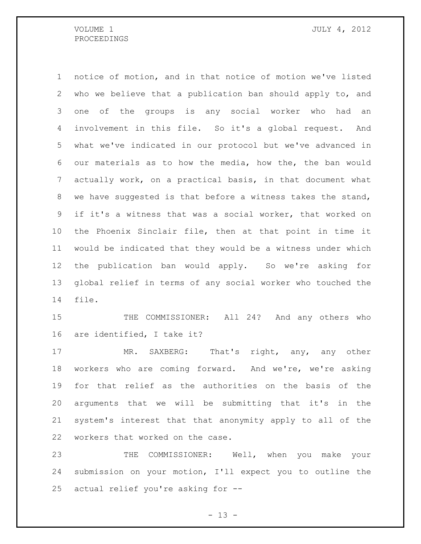notice of motion, and in that notice of motion we've listed who we believe that a publication ban should apply to, and one of the groups is any social worker who had an involvement in this file. So it's a global request. And what we've indicated in our protocol but we've advanced in our materials as to how the media, how the, the ban would actually work, on a practical basis, in that document what we have suggested is that before a witness takes the stand, if it's a witness that was a social worker, that worked on the Phoenix Sinclair file, then at that point in time it would be indicated that they would be a witness under which the publication ban would apply. So we're asking for global relief in terms of any social worker who touched the file.

15 THE COMMISSIONER: All 24? And any others who are identified, I take it?

17 MR. SAXBERG: That's right, any, any other workers who are coming forward. And we're, we're asking for that relief as the authorities on the basis of the arguments that we will be submitting that it's in the system's interest that that anonymity apply to all of the workers that worked on the case.

 THE COMMISSIONER: Well, when you make your submission on your motion, I'll expect you to outline the actual relief you're asking for --

 $- 13 -$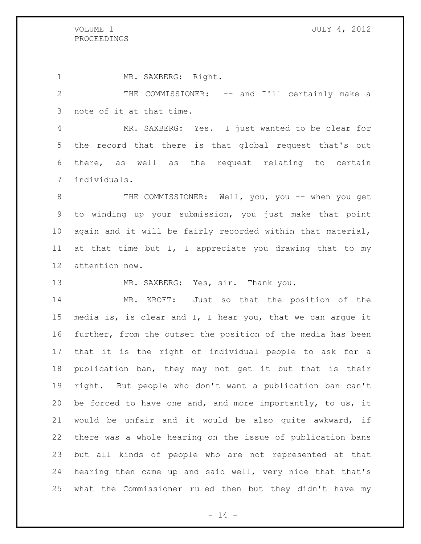MR. SAXBERG: Right. THE COMMISSIONER: -- and I'll certainly make a note of it at that time. MR. SAXBERG: Yes. I just wanted to be clear for the record that there is that global request that's out there, as well as the request relating to certain individuals. 8 THE COMMISSIONER: Well, you, you -- when you get to winding up your submission, you just make that point again and it will be fairly recorded within that material, at that time but I, I appreciate you drawing that to my attention now. 13 MR. SAXBERG: Yes, sir. Thank you. MR. KROFT: Just so that the position of the media is, is clear and I, I hear you, that we can argue it further, from the outset the position of the media has been that it is the right of individual people to ask for a publication ban, they may not get it but that is their

 right. But people who don't want a publication ban can't be forced to have one and, and more importantly, to us, it would be unfair and it would be also quite awkward, if there was a whole hearing on the issue of publication bans but all kinds of people who are not represented at that hearing then came up and said well, very nice that that's what the Commissioner ruled then but they didn't have my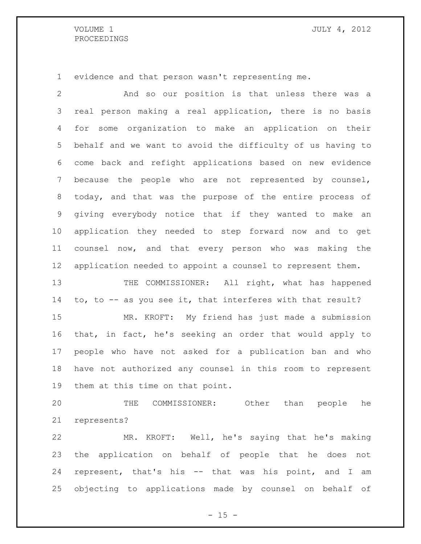#### VOLUME 1 JULY 4, 2012 PROCEEDINGS

evidence and that person wasn't representing me.

 And so our position is that unless there was a real person making a real application, there is no basis for some organization to make an application on their behalf and we want to avoid the difficulty of us having to come back and refight applications based on new evidence because the people who are not represented by counsel, today, and that was the purpose of the entire process of giving everybody notice that if they wanted to make an application they needed to step forward now and to get counsel now, and that every person who was making the application needed to appoint a counsel to represent them. 13 THE COMMISSIONER: All right, what has happened to, to -- as you see it, that interferes with that result? MR. KROFT: My friend has just made a submission that, in fact, he's seeking an order that would apply to people who have not asked for a publication ban and who have not authorized any counsel in this room to represent them at this time on that point. THE COMMISSIONER: Other than people he represents?

 MR. KROFT: Well, he's saying that he's making the application on behalf of people that he does not represent, that's his -- that was his point, and I am objecting to applications made by counsel on behalf of

 $- 15 -$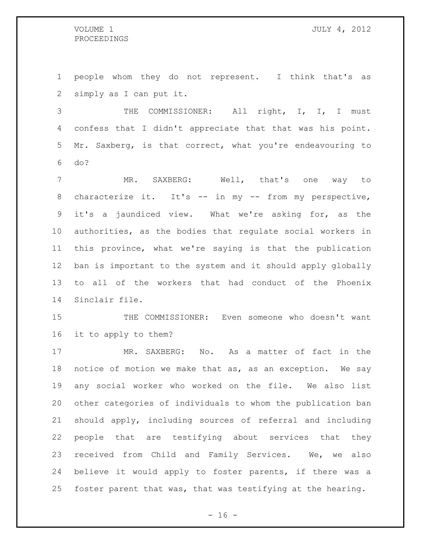people whom they do not represent. I think that's as simply as I can put it.

3 THE COMMISSIONER: All right, I, I, I must confess that I didn't appreciate that that was his point. Mr. Saxberg, is that correct, what you're endeavouring to do?

 MR. SAXBERG: Well, that's one way to 8 characterize it. It's -- in my -- from my perspective, it's a jaundiced view. What we're asking for, as the authorities, as the bodies that regulate social workers in this province, what we're saying is that the publication ban is important to the system and it should apply globally to all of the workers that had conduct of the Phoenix Sinclair file.

 THE COMMISSIONER: Even someone who doesn't want it to apply to them?

 MR. SAXBERG: No. As a matter of fact in the notice of motion we make that as, as an exception. We say any social worker who worked on the file. We also list other categories of individuals to whom the publication ban should apply, including sources of referral and including people that are testifying about services that they received from Child and Family Services. We, we also believe it would apply to foster parents, if there was a foster parent that was, that was testifying at the hearing.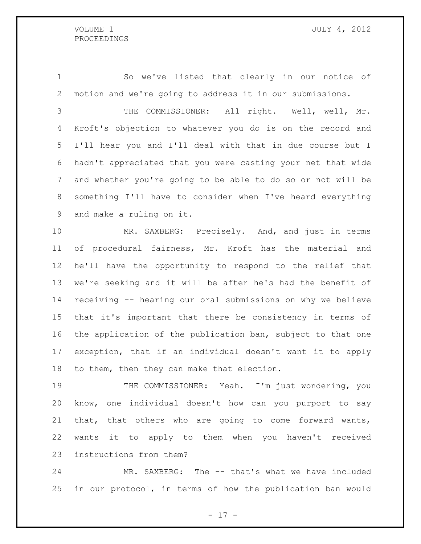So we've listed that clearly in our notice of motion and we're going to address it in our submissions.

 THE COMMISSIONER: All right. Well, well, Mr. Kroft's objection to whatever you do is on the record and I'll hear you and I'll deal with that in due course but I hadn't appreciated that you were casting your net that wide and whether you're going to be able to do so or not will be something I'll have to consider when I've heard everything and make a ruling on it.

 MR. SAXBERG: Precisely. And, and just in terms of procedural fairness, Mr. Kroft has the material and he'll have the opportunity to respond to the relief that we're seeking and it will be after he's had the benefit of receiving -- hearing our oral submissions on why we believe that it's important that there be consistency in terms of the application of the publication ban, subject to that one exception, that if an individual doesn't want it to apply to them, then they can make that election.

 THE COMMISSIONER: Yeah. I'm just wondering, you know, one individual doesn't how can you purport to say that, that others who are going to come forward wants, wants it to apply to them when you haven't received instructions from them?

 MR. SAXBERG: The -- that's what we have included in our protocol, in terms of how the publication ban would

- 17 -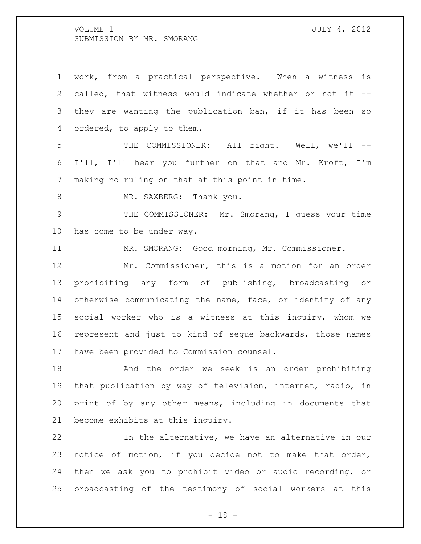work, from a practical perspective. When a witness is called, that witness would indicate whether or not it -- they are wanting the publication ban, if it has been so ordered, to apply to them. THE COMMISSIONER: All right. Well, we'll -- I'll, I'll hear you further on that and Mr. Kroft, I'm making no ruling on that at this point in time. 8 MR. SAXBERG: Thank you. THE COMMISSIONER: Mr. Smorang, I guess your time has come to be under way. MR. SMORANG: Good morning, Mr. Commissioner. Mr. Commissioner, this is a motion for an order prohibiting any form of publishing, broadcasting or otherwise communicating the name, face, or identity of any social worker who is a witness at this inquiry, whom we represent and just to kind of segue backwards, those names have been provided to Commission counsel. And the order we seek is an order prohibiting that publication by way of television, internet, radio, in print of by any other means, including in documents that

become exhibits at this inquiry.

 In the alternative, we have an alternative in our notice of motion, if you decide not to make that order, then we ask you to prohibit video or audio recording, or broadcasting of the testimony of social workers at this

 $- 18 -$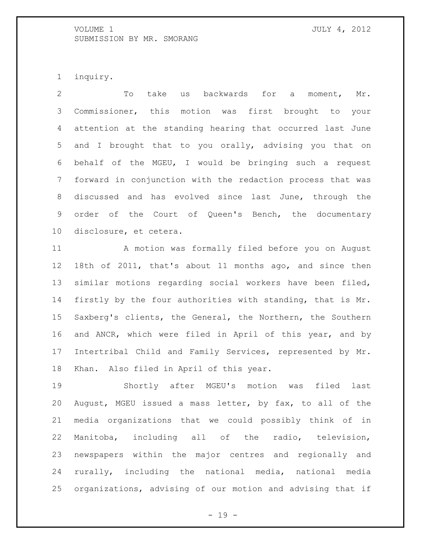inquiry.

 To take us backwards for a moment, Mr. Commissioner, this motion was first brought to your attention at the standing hearing that occurred last June and I brought that to you orally, advising you that on behalf of the MGEU, I would be bringing such a request forward in conjunction with the redaction process that was discussed and has evolved since last June, through the order of the Court of Queen's Bench, the documentary disclosure, et cetera.

 A motion was formally filed before you on August 18th of 2011, that's about 11 months ago, and since then similar motions regarding social workers have been filed, firstly by the four authorities with standing, that is Mr. Saxberg's clients, the General, the Northern, the Southern and ANCR, which were filed in April of this year, and by Intertribal Child and Family Services, represented by Mr. Khan. Also filed in April of this year.

 Shortly after MGEU's motion was filed last August, MGEU issued a mass letter, by fax, to all of the media organizations that we could possibly think of in Manitoba, including all of the radio, television, newspapers within the major centres and regionally and rurally, including the national media, national media organizations, advising of our motion and advising that if

- 19 -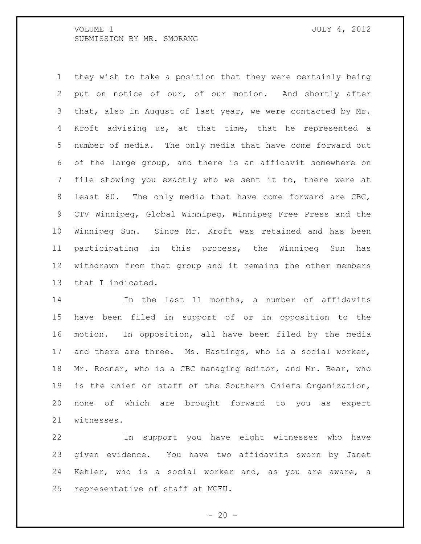they wish to take a position that they were certainly being put on notice of our, of our motion. And shortly after 3 that, also in August of last year, we were contacted by Mr. Kroft advising us, at that time, that he represented a number of media. The only media that have come forward out of the large group, and there is an affidavit somewhere on file showing you exactly who we sent it to, there were at least 80. The only media that have come forward are CBC, CTV Winnipeg, Global Winnipeg, Winnipeg Free Press and the Winnipeg Sun. Since Mr. Kroft was retained and has been participating in this process, the Winnipeg Sun has withdrawn from that group and it remains the other members that I indicated.

14 In the last 11 months, a number of affidavits have been filed in support of or in opposition to the motion. In opposition, all have been filed by the media and there are three. Ms. Hastings, who is a social worker, Mr. Rosner, who is a CBC managing editor, and Mr. Bear, who is the chief of staff of the Southern Chiefs Organization, none of which are brought forward to you as expert witnesses.

 In support you have eight witnesses who have given evidence. You have two affidavits sworn by Janet Kehler, who is a social worker and, as you are aware, a representative of staff at MGEU.

 $- 20 -$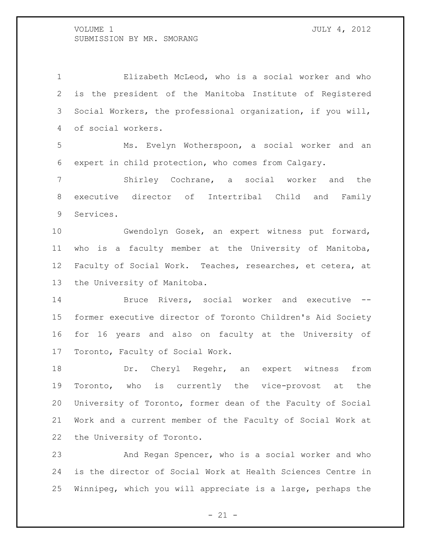Elizabeth McLeod, who is a social worker and who is the president of the Manitoba Institute of Registered Social Workers, the professional organization, if you will, of social workers.

 Ms. Evelyn Wotherspoon, a social worker and an expert in child protection, who comes from Calgary.

 Shirley Cochrane, a social worker and the executive director of Intertribal Child and Family Services.

 Gwendolyn Gosek, an expert witness put forward, who is a faculty member at the University of Manitoba, Faculty of Social Work. Teaches, researches, et cetera, at the University of Manitoba.

 Bruce Rivers, social worker and executive -- former executive director of Toronto Children's Aid Society for 16 years and also on faculty at the University of Toronto, Faculty of Social Work.

18 Dr. Cheryl Regehr, an expert witness from Toronto, who is currently the vice-provost at the University of Toronto, former dean of the Faculty of Social Work and a current member of the Faculty of Social Work at the University of Toronto.

 And Regan Spencer, who is a social worker and who is the director of Social Work at Health Sciences Centre in Winnipeg, which you will appreciate is a large, perhaps the

 $- 21 -$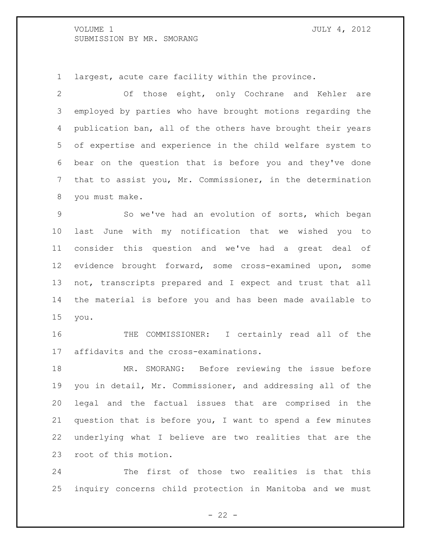largest, acute care facility within the province.

 Of those eight, only Cochrane and Kehler are employed by parties who have brought motions regarding the publication ban, all of the others have brought their years of expertise and experience in the child welfare system to bear on the question that is before you and they've done that to assist you, Mr. Commissioner, in the determination you must make.

 So we've had an evolution of sorts, which began last June with my notification that we wished you to consider this question and we've had a great deal of evidence brought forward, some cross-examined upon, some not, transcripts prepared and I expect and trust that all the material is before you and has been made available to you.

 THE COMMISSIONER: I certainly read all of the affidavits and the cross-examinations.

 MR. SMORANG: Before reviewing the issue before you in detail, Mr. Commissioner, and addressing all of the legal and the factual issues that are comprised in the question that is before you, I want to spend a few minutes underlying what I believe are two realities that are the root of this motion.

 The first of those two realities is that this inquiry concerns child protection in Manitoba and we must

 $- 22 -$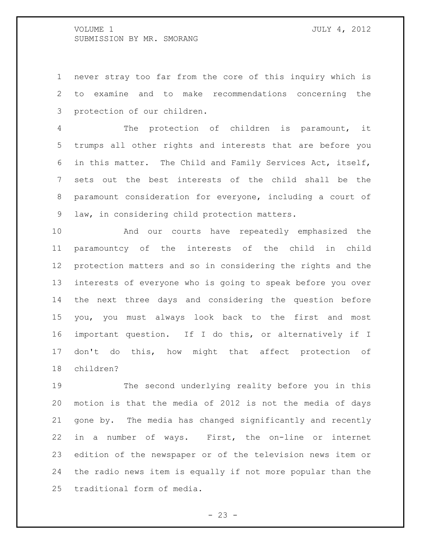never stray too far from the core of this inquiry which is to examine and to make recommendations concerning the protection of our children.

 The protection of children is paramount, it trumps all other rights and interests that are before you in this matter. The Child and Family Services Act, itself, sets out the best interests of the child shall be the paramount consideration for everyone, including a court of law, in considering child protection matters.

 And our courts have repeatedly emphasized the paramountcy of the interests of the child in child protection matters and so in considering the rights and the interests of everyone who is going to speak before you over the next three days and considering the question before you, you must always look back to the first and most important question. If I do this, or alternatively if I don't do this, how might that affect protection of children?

 The second underlying reality before you in this motion is that the media of 2012 is not the media of days gone by. The media has changed significantly and recently in a number of ways. First, the on-line or internet edition of the newspaper or of the television news item or the radio news item is equally if not more popular than the traditional form of media.

 $- 23 -$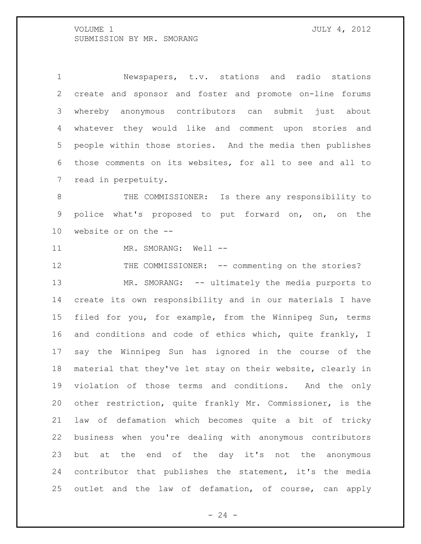Newspapers, t.v. stations and radio stations create and sponsor and foster and promote on-line forums whereby anonymous contributors can submit just about whatever they would like and comment upon stories and people within those stories. And the media then publishes those comments on its websites, for all to see and all to read in perpetuity.

8 THE COMMISSIONER: Is there any responsibility to police what's proposed to put forward on, on, on the website or on the --

11 MR. SMORANG: Well --

12 THE COMMISSIONER: -- commenting on the stories? 13 MR. SMORANG: -- ultimately the media purports to create its own responsibility and in our materials I have filed for you, for example, from the Winnipeg Sun, terms 16 and conditions and code of ethics which, quite frankly, I say the Winnipeg Sun has ignored in the course of the material that they've let stay on their website, clearly in violation of those terms and conditions. And the only other restriction, quite frankly Mr. Commissioner, is the law of defamation which becomes quite a bit of tricky business when you're dealing with anonymous contributors but at the end of the day it's not the anonymous contributor that publishes the statement, it's the media outlet and the law of defamation, of course, can apply

 $- 24 -$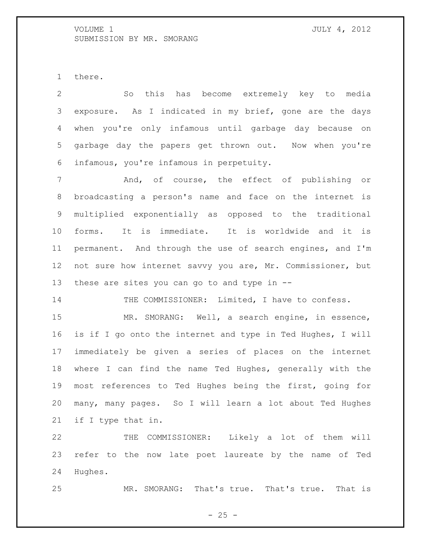there.

 So this has become extremely key to media exposure. As I indicated in my brief, gone are the days when you're only infamous until garbage day because on garbage day the papers get thrown out. Now when you're infamous, you're infamous in perpetuity. And, of course, the effect of publishing or broadcasting a person's name and face on the internet is multiplied exponentially as opposed to the traditional forms. It is immediate. It is worldwide and it is permanent. And through the use of search engines, and I'm not sure how internet savvy you are, Mr. Commissioner, but these are sites you can go to and type in --

14 THE COMMISSIONER: Limited, I have to confess.

 MR. SMORANG: Well, a search engine, in essence, is if I go onto the internet and type in Ted Hughes, I will immediately be given a series of places on the internet where I can find the name Ted Hughes, generally with the most references to Ted Hughes being the first, going for many, many pages. So I will learn a lot about Ted Hughes if I type that in.

 THE COMMISSIONER: Likely a lot of them will refer to the now late poet laureate by the name of Ted Hughes.

MR. SMORANG: That's true. That's true. That is

 $- 25 -$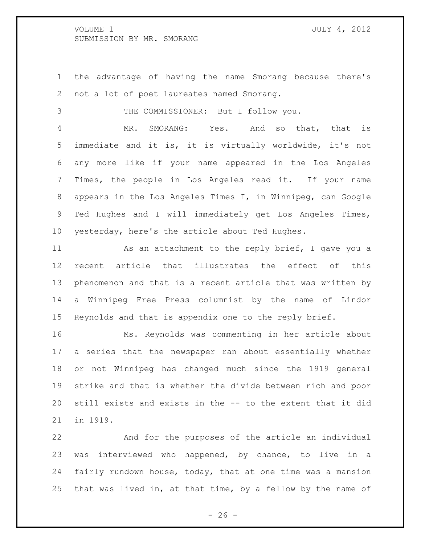the advantage of having the name Smorang because there's not a lot of poet laureates named Smorang.

THE COMMISSIONER: But I follow you.

 MR. SMORANG: Yes. And so that, that is immediate and it is, it is virtually worldwide, it's not any more like if your name appeared in the Los Angeles Times, the people in Los Angeles read it. If your name appears in the Los Angeles Times I, in Winnipeg, can Google Ted Hughes and I will immediately get Los Angeles Times, yesterday, here's the article about Ted Hughes.

11 As an attachment to the reply brief, I gave you a recent article that illustrates the effect of this phenomenon and that is a recent article that was written by a Winnipeg Free Press columnist by the name of Lindor Reynolds and that is appendix one to the reply brief.

 Ms. Reynolds was commenting in her article about a series that the newspaper ran about essentially whether or not Winnipeg has changed much since the 1919 general strike and that is whether the divide between rich and poor still exists and exists in the -- to the extent that it did in 1919.

 And for the purposes of the article an individual was interviewed who happened, by chance, to live in a fairly rundown house, today, that at one time was a mansion that was lived in, at that time, by a fellow by the name of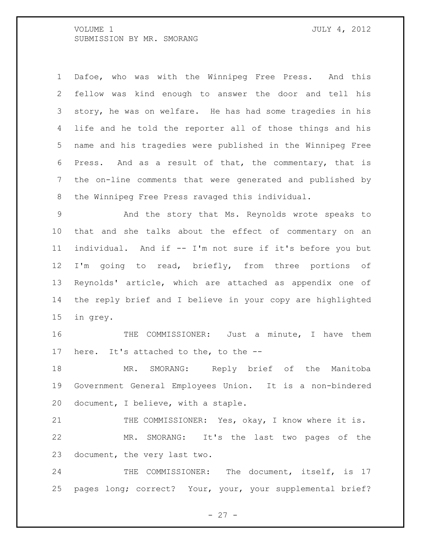Dafoe, who was with the Winnipeg Free Press. And this fellow was kind enough to answer the door and tell his story, he was on welfare. He has had some tragedies in his life and he told the reporter all of those things and his name and his tragedies were published in the Winnipeg Free Press. And as a result of that, the commentary, that is the on-line comments that were generated and published by the Winnipeg Free Press ravaged this individual.

 And the story that Ms. Reynolds wrote speaks to that and she talks about the effect of commentary on an individual. And if -- I'm not sure if it's before you but 12 I'm going to read, briefly, from three portions of Reynolds' article, which are attached as appendix one of the reply brief and I believe in your copy are highlighted in grey.

 THE COMMISSIONER: Just a minute, I have them here. It's attached to the, to the --

18 MR. SMORANG: Reply brief of the Manitoba Government General Employees Union. It is a non-bindered document, I believe, with a staple.

21 THE COMMISSIONER: Yes, okay, I know where it is. MR. SMORANG: It's the last two pages of the document, the very last two.

24 THE COMMISSIONER: The document, itself, is 17 pages long; correct? Your, your, your supplemental brief?

 $- 27 -$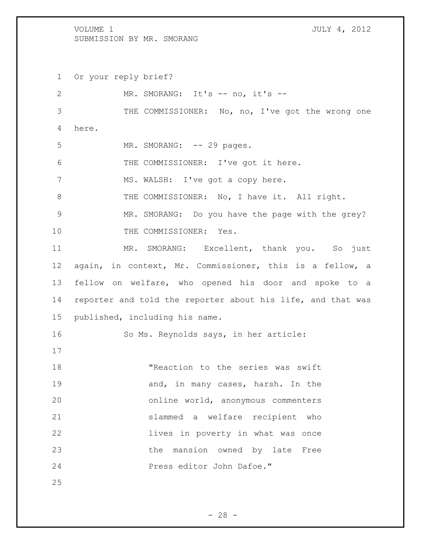Or your reply brief? 2 MR. SMORANG: It's -- no, it's -- THE COMMISSIONER: No, no, I've got the wrong one here. 5 MR. SMORANG: -- 29 pages. THE COMMISSIONER: I've got it here. 7 MS. WALSH: I've got a copy here. 8 THE COMMISSIONER: No, I have it. All right. MR. SMORANG: Do you have the page with the grey? 10 THE COMMISSIONER: Yes. MR. SMORANG: Excellent, thank you. So just again, in context, Mr. Commissioner, this is a fellow, a fellow on welfare, who opened his door and spoke to a reporter and told the reporter about his life, and that was published, including his name. So Ms. Reynolds says, in her article: "Reaction to the series was swift 19 and, in many cases, harsh. In the online world, anonymous commenters slammed a welfare recipient who lives in poverty in what was once 23 the mansion owned by late Free Press editor John Dafoe."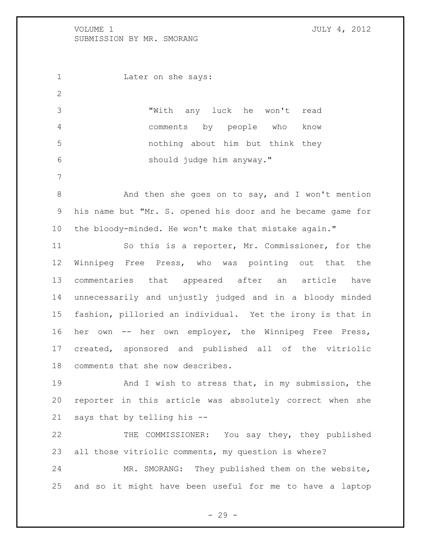1 Later on she says: "With any luck he won't read comments by people who know nothing about him but think they should judge him anyway." 8 And then she goes on to say, and I won't mention his name but "Mr. S. opened his door and he became game for the bloody-minded. He won't make that mistake again."

 So this is a reporter, Mr. Commissioner, for the Winnipeg Free Press, who was pointing out that the commentaries that appeared after an article have unnecessarily and unjustly judged and in a bloody minded fashion, pilloried an individual. Yet the irony is that in her own -- her own employer, the Winnipeg Free Press, created, sponsored and published all of the vitriolic comments that she now describes.

19 And I wish to stress that, in my submission, the reporter in this article was absolutely correct when she says that by telling his --

 THE COMMISSIONER: You say they, they published all those vitriolic comments, my question is where?

 MR. SMORANG: They published them on the website, and so it might have been useful for me to have a laptop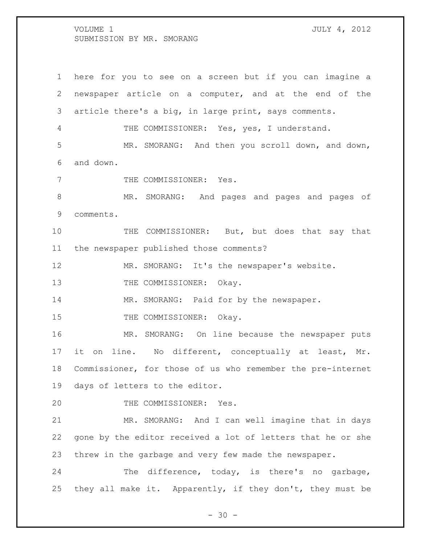here for you to see on a screen but if you can imagine a newspaper article on a computer, and at the end of the article there's a big, in large print, says comments. 4 THE COMMISSIONER: Yes, yes, I understand. MR. SMORANG: And then you scroll down, and down, and down. 7 THE COMMISSIONER: Yes. MR. SMORANG: And pages and pages and pages of comments. THE COMMISSIONER: But, but does that say that the newspaper published those comments? MR. SMORANG: It's the newspaper's website. 13 THE COMMISSIONER: Okay. 14 MR. SMORANG: Paid for by the newspaper. 15 THE COMMISSIONER: Okay. MR. SMORANG: On line because the newspaper puts it on line. No different, conceptually at least, Mr. Commissioner, for those of us who remember the pre-internet days of letters to the editor. THE COMMISSIONER: Yes. MR. SMORANG: And I can well imagine that in days gone by the editor received a lot of letters that he or she threw in the garbage and very few made the newspaper. The difference, today, is there's no garbage, they all make it. Apparently, if they don't, they must be

 $- 30 -$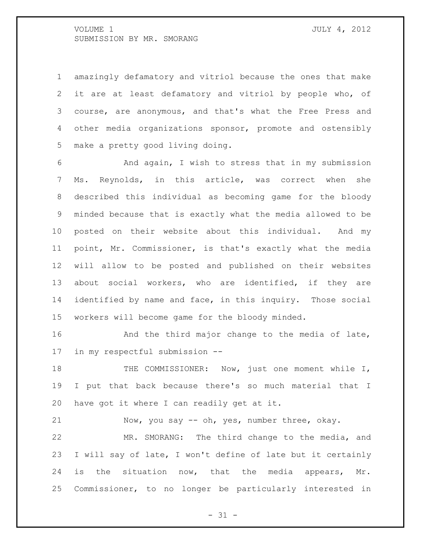amazingly defamatory and vitriol because the ones that make it are at least defamatory and vitriol by people who, of course, are anonymous, and that's what the Free Press and other media organizations sponsor, promote and ostensibly make a pretty good living doing.

 And again, I wish to stress that in my submission Ms. Reynolds, in this article, was correct when she described this individual as becoming game for the bloody minded because that is exactly what the media allowed to be posted on their website about this individual. And my point, Mr. Commissioner, is that's exactly what the media will allow to be posted and published on their websites about social workers, who are identified, if they are identified by name and face, in this inquiry. Those social workers will become game for the bloody minded.

**And the third major change to the media of late,** in my respectful submission --

18 THE COMMISSIONER: Now, just one moment while I, I put that back because there's so much material that I have got it where I can readily get at it.

Now, you say -- oh, yes, number three, okay.

 MR. SMORANG: The third change to the media, and I will say of late, I won't define of late but it certainly 24 is the situation now, that the media appears, Mr. Commissioner, to no longer be particularly interested in

 $- 31 -$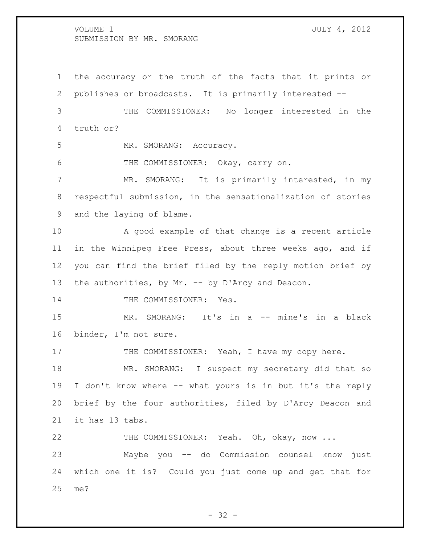the accuracy or the truth of the facts that it prints or publishes or broadcasts. It is primarily interested -- THE COMMISSIONER: No longer interested in the truth or? 5 MR. SMORANG: Accuracy. THE COMMISSIONER: Okay, carry on. MR. SMORANG: It is primarily interested, in my respectful submission, in the sensationalization of stories and the laying of blame. A good example of that change is a recent article in the Winnipeg Free Press, about three weeks ago, and if you can find the brief filed by the reply motion brief by 13 the authorities, by Mr. -- by D'Arcy and Deacon. 14 THE COMMISSIONER: Yes. MR. SMORANG: It's in a -- mine's in a black binder, I'm not sure. 17 THE COMMISSIONER: Yeah, I have my copy here. 18 MR. SMORANG: I suspect my secretary did that so I don't know where -- what yours is in but it's the reply brief by the four authorities, filed by D'Arcy Deacon and it has 13 tabs. THE COMMISSIONER: Yeah. Oh, okay, now ... Maybe you -- do Commission counsel know just which one it is? Could you just come up and get that for me?

 $- 32 -$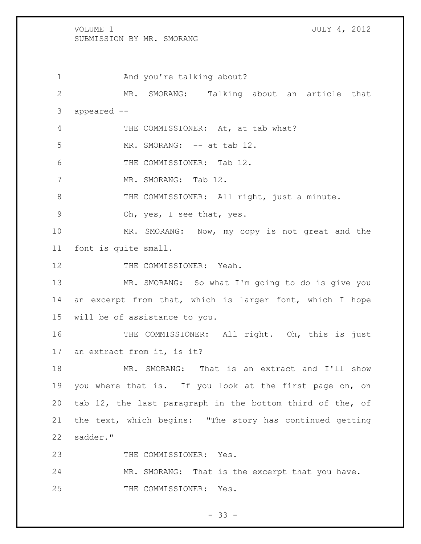1 And you're talking about? MR. SMORANG: Talking about an article that appeared -- 4 THE COMMISSIONER: At, at tab what? 5 MR. SMORANG: -- at tab 12. THE COMMISSIONER: Tab 12. 7 MR. SMORANG: Tab 12. 8 THE COMMISSIONER: All right, just a minute. Oh, yes, I see that, yes. MR. SMORANG: Now, my copy is not great and the font is quite small. 12 THE COMMISSIONER: Yeah. MR. SMORANG: So what I'm going to do is give you an excerpt from that, which is larger font, which I hope will be of assistance to you. 16 THE COMMISSIONER: All right. Oh, this is just an extract from it, is it? MR. SMORANG: That is an extract and I'll show you where that is. If you look at the first page on, on tab 12, the last paragraph in the bottom third of the, of the text, which begins: "The story has continued getting 22 sadder."

23 THE COMMISSIONER: Yes.

24 MR. SMORANG: That is the excerpt that you have. 25 THE COMMISSIONER: Yes.

 $- 33 -$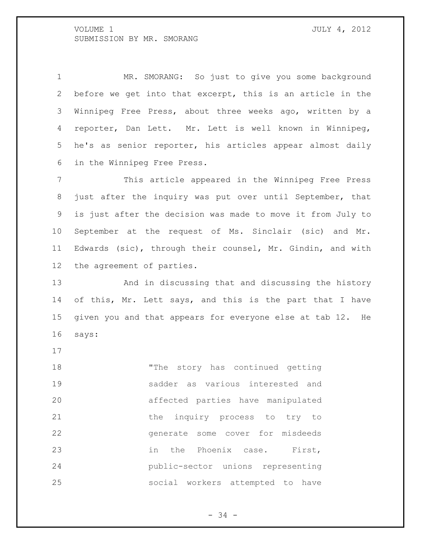MR. SMORANG: So just to give you some background before we get into that excerpt, this is an article in the Winnipeg Free Press, about three weeks ago, written by a reporter, Dan Lett. Mr. Lett is well known in Winnipeg, he's as senior reporter, his articles appear almost daily in the Winnipeg Free Press.

 This article appeared in the Winnipeg Free Press just after the inquiry was put over until September, that is just after the decision was made to move it from July to September at the request of Ms. Sinclair (sic) and Mr. Edwards (sic), through their counsel, Mr. Gindin, and with the agreement of parties.

 And in discussing that and discussing the history of this, Mr. Lett says, and this is the part that I have given you and that appears for everyone else at tab 12. He says:

 "The story has continued getting sadder as various interested and affected parties have manipulated 21 the inquiry process to try to generate some cover for misdeeds 23 in the Phoenix case. First, public-sector unions representing social workers attempted to have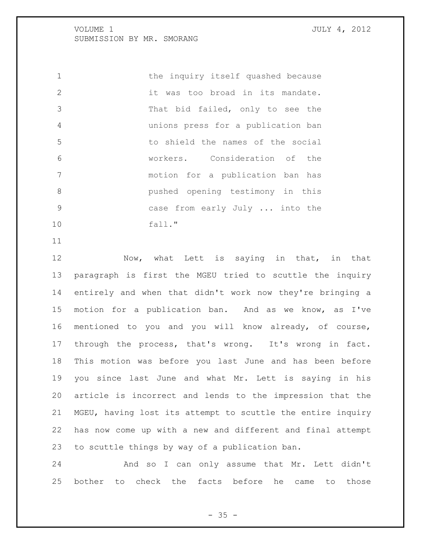the inquiry itself quashed because it was too broad in its mandate. That bid failed, only to see the unions press for a publication ban to shield the names of the social workers. Consideration of the motion for a publication ban has pushed opening testimony in this case from early July ... into the fall."

12 Now, what Lett is saying in that, in that paragraph is first the MGEU tried to scuttle the inquiry entirely and when that didn't work now they're bringing a motion for a publication ban. And as we know, as I've mentioned to you and you will know already, of course, through the process, that's wrong. It's wrong in fact. This motion was before you last June and has been before you since last June and what Mr. Lett is saying in his article is incorrect and lends to the impression that the MGEU, having lost its attempt to scuttle the entire inquiry has now come up with a new and different and final attempt to scuttle things by way of a publication ban.

 And so I can only assume that Mr. Lett didn't bother to check the facts before he came to those

 $- 35 -$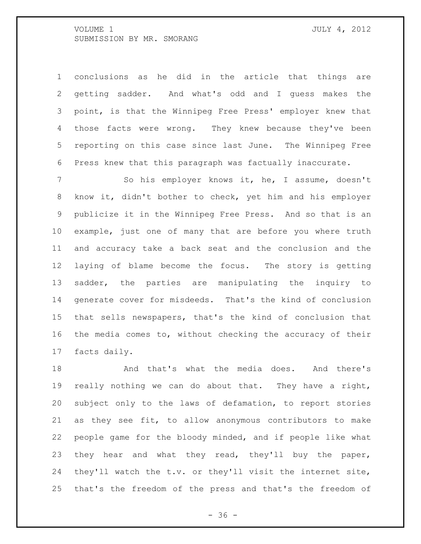conclusions as he did in the article that things are getting sadder. And what's odd and I guess makes the point, is that the Winnipeg Free Press' employer knew that 4 those facts were wrong. They knew because they've been reporting on this case since last June. The Winnipeg Free Press knew that this paragraph was factually inaccurate.

 So his employer knows it, he, I assume, doesn't know it, didn't bother to check, yet him and his employer publicize it in the Winnipeg Free Press. And so that is an example, just one of many that are before you where truth and accuracy take a back seat and the conclusion and the laying of blame become the focus. The story is getting sadder, the parties are manipulating the inquiry to generate cover for misdeeds. That's the kind of conclusion that sells newspapers, that's the kind of conclusion that the media comes to, without checking the accuracy of their facts daily.

18 And that's what the media does. And there's really nothing we can do about that. They have a right, subject only to the laws of defamation, to report stories as they see fit, to allow anonymous contributors to make people game for the bloody minded, and if people like what 23 they hear and what they read, they'll buy the paper, they'll watch the t.v. or they'll visit the internet site, that's the freedom of the press and that's the freedom of

 $- 36 -$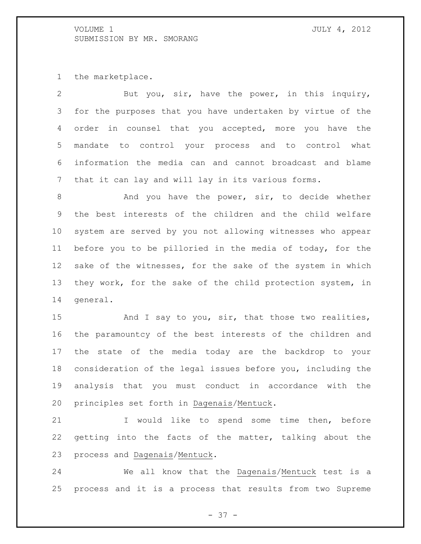the marketplace.

| 2               | But you, sir, have the power, in this inquiry,             |
|-----------------|------------------------------------------------------------|
| 3               | for the purposes that you have undertaken by virtue of the |
| 4               | order in counsel that you accepted, more you have the      |
| 5               | mandate to control your process and to control what        |
| 6               | information the media can and cannot broadcast and blame   |
| $7\phantom{.0}$ | that it can lay and will lay in its various forms.         |
| 8               | And you have the power, sir, to decide whether             |
| 9               | the best interests of the children and the child welfare   |
| 10 <sub>o</sub> | system are served by you not allowing witnesses who appear |
| 11              | before you to be pilloried in the media of today, for the  |
| 12              | sake of the witnesses, for the sake of the system in which |
| 13              | they work, for the sake of the child protection system, in |
| 14              | qeneral.                                                   |
| 15              | And I say to you, sir, that those two realities,           |
| 16              | the paramountcy of the best interests of the children and  |
| 17              | state of the media today are the backdrop to your<br>the   |
|                 |                                                            |

 consideration of the legal issues before you, including the analysis that you must conduct in accordance with the principles set forth in Dagenais/Mentuck.

 I would like to spend some time then, before getting into the facts of the matter, talking about the process and Dagenais/Mentuck.

 We all know that the Dagenais/Mentuck test is a process and it is a process that results from two Supreme

- 37 -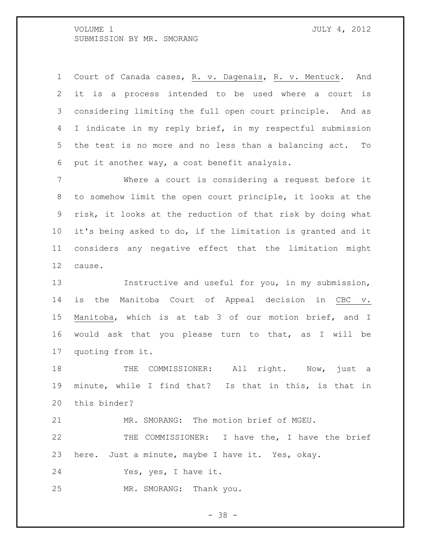Court of Canada cases, R. v. Dagenais, R. v. Mentuck. And it is a process intended to be used where a court is considering limiting the full open court principle. And as I indicate in my reply brief, in my respectful submission the test is no more and no less than a balancing act. To put it another way, a cost benefit analysis.

 Where a court is considering a request before it to somehow limit the open court principle, it looks at the risk, it looks at the reduction of that risk by doing what it's being asked to do, if the limitation is granted and it considers any negative effect that the limitation might cause.

 Instructive and useful for you, in my submission, is the Manitoba Court of Appeal decision in CBC v. Manitoba, which is at tab 3 of our motion brief, and I would ask that you please turn to that, as I will be quoting from it.

18 THE COMMISSIONER: All right. Now, just a minute, while I find that? Is that in this, is that in this binder?

MR. SMORANG: The motion brief of MGEU.

 THE COMMISSIONER: I have the, I have the brief here. Just a minute, maybe I have it. Yes, okay.

Yes, yes, I have it.

MR. SMORANG: Thank you.

- 38 -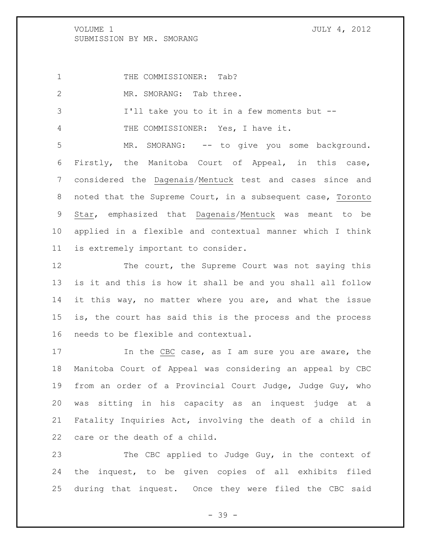1 THE COMMISSIONER: Tab?

2 MR. SMORANG: Tab three.

I'll take you to it in a few moments but --

THE COMMISSIONER: Yes, I have it.

 MR. SMORANG: -- to give you some background. Firstly, the Manitoba Court of Appeal, in this case, considered the Dagenais/Mentuck test and cases since and noted that the Supreme Court, in a subsequent case, Toronto Star, emphasized that Dagenais/Mentuck was meant to be applied in a flexible and contextual manner which I think is extremely important to consider.

12 The court, the Supreme Court was not saying this is it and this is how it shall be and you shall all follow it this way, no matter where you are, and what the issue is, the court has said this is the process and the process needs to be flexible and contextual.

17 17 In the CBC case, as I am sure you are aware, the Manitoba Court of Appeal was considering an appeal by CBC from an order of a Provincial Court Judge, Judge Guy, who was sitting in his capacity as an inquest judge at a Fatality Inquiries Act, involving the death of a child in care or the death of a child.

23 The CBC applied to Judge Guy, in the context of the inquest, to be given copies of all exhibits filed during that inquest. Once they were filed the CBC said

- 39 -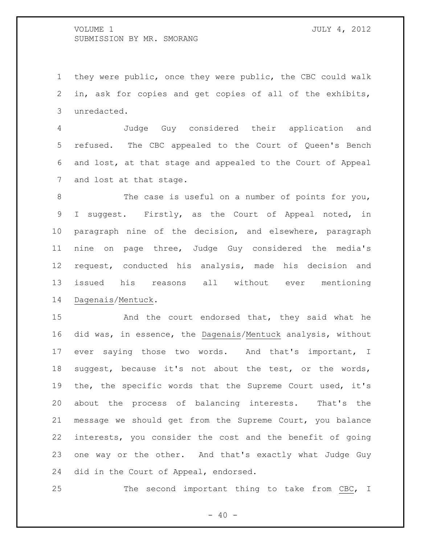they were public, once they were public, the CBC could walk in, ask for copies and get copies of all of the exhibits, unredacted.

 Judge Guy considered their application and refused. The CBC appealed to the Court of Queen's Bench and lost, at that stage and appealed to the Court of Appeal and lost at that stage.

 The case is useful on a number of points for you, I suggest. Firstly, as the Court of Appeal noted, in paragraph nine of the decision, and elsewhere, paragraph nine on page three, Judge Guy considered the media's request, conducted his analysis, made his decision and issued his reasons all without ever mentioning Dagenais/Mentuck.

15 And the court endorsed that, they said what he did was, in essence, the Dagenais/Mentuck analysis, without ever saying those two words. And that's important, I suggest, because it's not about the test, or the words, the, the specific words that the Supreme Court used, it's about the process of balancing interests. That's the message we should get from the Supreme Court, you balance interests, you consider the cost and the benefit of going one way or the other. And that's exactly what Judge Guy did in the Court of Appeal, endorsed.

25 The second important thing to take from CBC, I

 $- 40 -$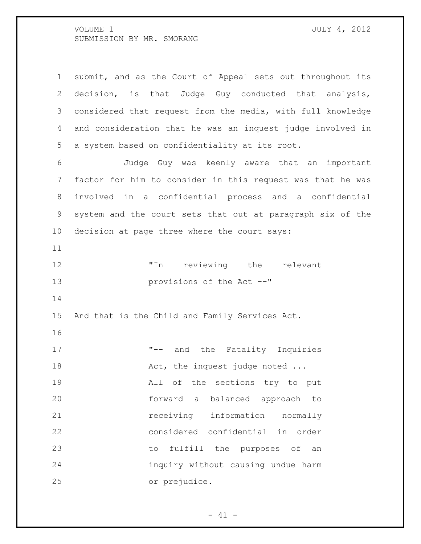| $\mathbf 1$    | submit, and as the Court of Appeal sets out throughout its  |
|----------------|-------------------------------------------------------------|
| $\overline{2}$ | decision, is that Judge Guy conducted that analysis,        |
| 3              | considered that request from the media, with full knowledge |
| 4              | and consideration that he was an inquest judge involved in  |
| 5              | a system based on confidentiality at its root.              |
| 6              | Judge Guy was keenly aware that an important                |
| 7              | factor for him to consider in this request was that he was  |
| 8              | involved in a confidential process and a confidential       |
| 9              | system and the court sets that out at paragraph six of the  |
| 10             | decision at page three where the court says:                |
| 11             |                                                             |
| 12             | "In reviewing the relevant                                  |
| 13             | provisions of the Act --"                                   |
| 14             |                                                             |
| 15             | And that is the Child and Family Services Act.              |
| 16             |                                                             |
| 17             | "-- and the Fatality Inquiries                              |
| 18             | Act, the inquest judge noted                                |
| 19             | All of the sections try to put                              |
| 20             | forward a balanced approach to                              |
| 21             | receiving information<br>normally                           |
| 22             | considered confidential in order                            |
| 23             | to fulfill the purposes of an                               |
| 24             | inquiry without causing undue harm                          |
| 25             | or prejudice.                                               |

- 41 -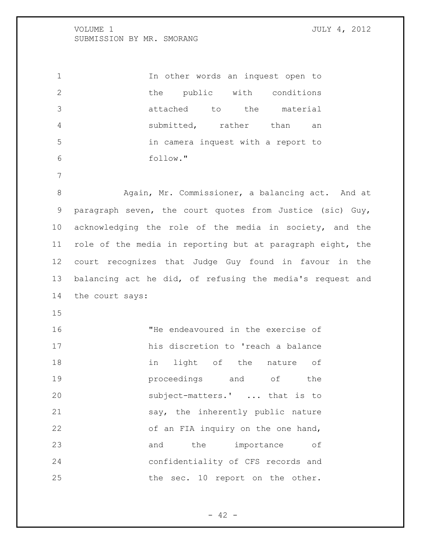In other words an inquest open to the public with conditions attached to the material submitted, rather than an in camera inquest with a report to follow." 8 Again, Mr. Commissioner, a balancing act. And at paragraph seven, the court quotes from Justice (sic) Guy, acknowledging the role of the media in society, and the role of the media in reporting but at paragraph eight, the court recognizes that Judge Guy found in favour in the balancing act he did, of refusing the media's request and the court says: 

 "He endeavoured in the exercise of his discretion to 'reach a balance 18 in light of the nature of **proceedings** and of the subject-matters.' ... that is to say, the inherently public nature 22 of an FIA inquiry on the one hand, 23 and the importance of confidentiality of CFS records and 25 the sec. 10 report on the other.

 $- 42 -$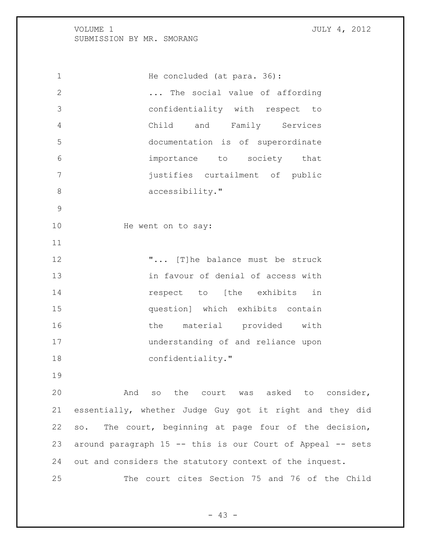1 He concluded (at para. 36): ... The social value of affording confidentiality with respect to Child and Family Services documentation is of superordinate importance to society that justifies curtailment of public 8 accessibility." 10 He went on to say: **"...** [T]he balance must be struck in favour of denial of access with **respect** to [the exhibits in question] which exhibits contain 16 the material provided with understanding of and reliance upon 18 confidentiality." And so the court was asked to consider, essentially, whether Judge Guy got it right and they did so. The court, beginning at page four of the decision,

out and considers the statutory context of the inquest.

The court cites Section 75 and 76 of the Child

around paragraph 15 -- this is our Court of Appeal -- sets

 $- 43 -$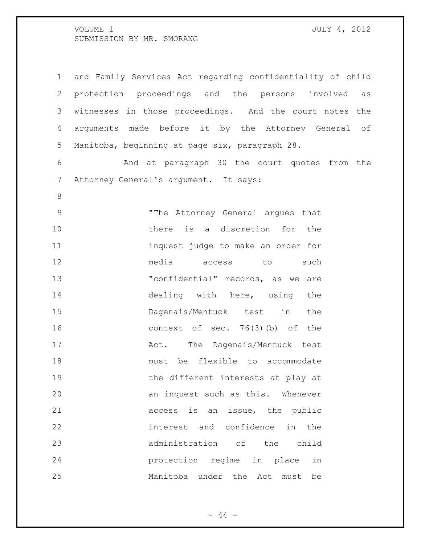| $\mathbf 1$    | and Family Services Act regarding confidentiality of child |
|----------------|------------------------------------------------------------|
| $\overline{2}$ | protection proceedings and the persons involved<br>as      |
| 3              | witnesses in those proceedings. And the court notes the    |
| 4              | arguments made before it by the Attorney General of        |
| 5              | Manitoba, beginning at page six, paragraph 28.             |
| 6              | And at paragraph 30 the court quotes from the              |
| $\overline{7}$ | Attorney General's argument. It says:                      |
| $\,8\,$        |                                                            |
| $\mathsf 9$    | "The Attorney General arques that                          |
| 10             | there is a discretion for the                              |
| 11             | inquest judge to make an order for                         |
| 12             | media access to<br>such                                    |
| 13             | "confidential" records, as we are                          |
| 14             | dealing with here, using the                               |
| 15             | Dagenais/Mentuck test in<br>the                            |
| 16             | context of sec. $76(3)$ (b) of the                         |
| 17             | The Dagenais/Mentuck test<br>Act.                          |
| 18             | must be flexible to accommodate                            |
| 19             | the different interests at play at                         |
| 20             | an inquest such as this. Whenever                          |
| 21             | access is an issue, the public                             |
| 22             | interest and confidence in the                             |
| 23             | administration of the child                                |
| 24             | protection regime in place in                              |
| 25             | Manitoba under the Act must<br>be                          |

- 44 -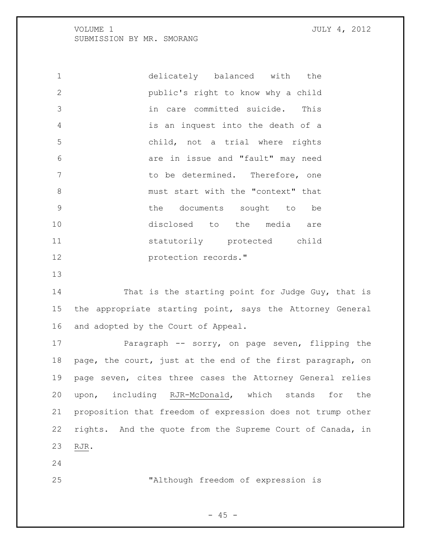delicately balanced with the public's right to know why a child in care committed suicide. This is an inquest into the death of a child, not a trial where rights are in issue and "fault" may need to be determined. Therefore, one 8 must start with the "context" that the documents sought to be disclosed to the media are statutorily protected child **protection records.**"

14 That is the starting point for Judge Guy, that is the appropriate starting point, says the Attorney General and adopted by the Court of Appeal.

 Paragraph -- sorry, on page seven, flipping the page, the court, just at the end of the first paragraph, on page seven, cites three cases the Attorney General relies upon, including RJR-McDonald, which stands for the proposition that freedom of expression does not trump other rights. And the quote from the Supreme Court of Canada, in RJR.

"Although freedom of expression is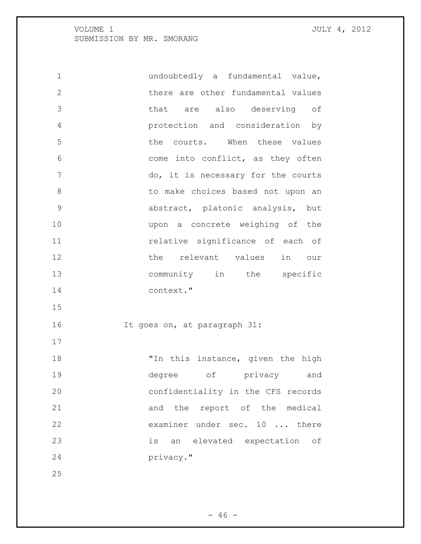| $\mathbf 1$    | undoubtedly a fundamental value,   |
|----------------|------------------------------------|
| $\mathbf{2}$   | there are other fundamental values |
| 3              | that are also deserving of         |
| $\overline{4}$ | protection and consideration by    |
| 5              | the courts. When these values      |
| 6              | come into conflict, as they often  |
| 7              | do, it is necessary for the courts |
| 8              | to make choices based not upon an  |
| 9              | abstract, platonic analysis, but   |
| 10             | upon a concrete weighing of the    |
| 11             | relative significance of each of   |
| 12             | the relevant values in our         |
| 13             | community in the specific          |
| 14             | context."                          |
| 15             |                                    |
| 16             | It goes on, at paragraph 31:       |
| 17             |                                    |
| 18             | "In this instance, given the high  |
| 19             | of privacy<br>degree<br>and        |
| 20             | confidentiality in the CFS records |
| 21             | and the report of the medical      |
| 22             | examiner under sec. 10  there      |
| 23             | is an elevated expectation of      |
| 24             | privacy."                          |
| 25             |                                    |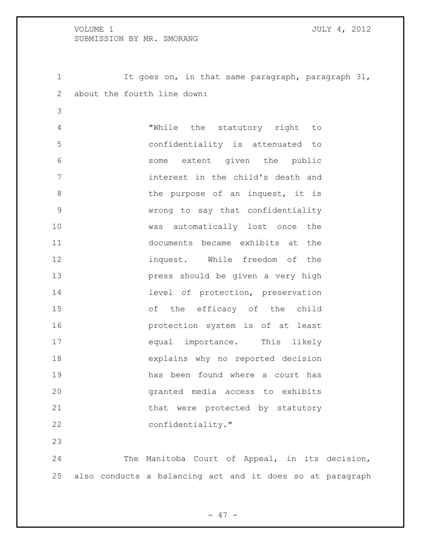It goes on, in that same paragraph, paragraph 31, about the fourth line down:

 "While the statutory right to confidentiality is attenuated to some extent given the public interest in the child's death and 8 b the purpose of an inquest, it is wrong to say that confidentiality was automatically lost once the documents became exhibits at the inquest. While freedom of the press should be given a very high **14** level of protection, preservation of the efficacy of the child protection system is of at least equal importance. This likely explains why no reported decision has been found where a court has granted media access to exhibits 21 that were protected by statutory 22 confidentiality."

 The Manitoba Court of Appeal, in its decision, also conducts a balancing act and it does so at paragraph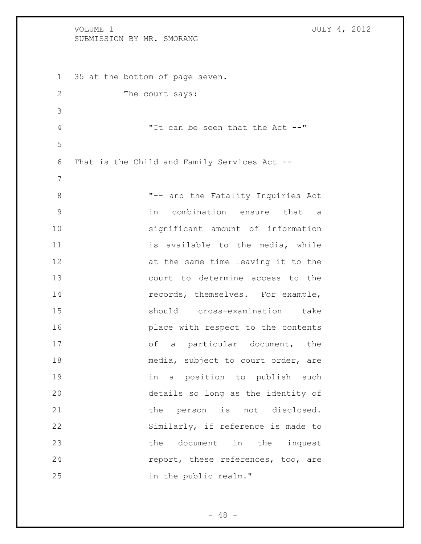# VOLUME 1 JULY 4, 2012 SUBMISSION BY MR. SMORANG 35 at the bottom of page seven. 2 The court says: "It can be seen that the Act --" That is the Child and Family Services Act -- "-- and the Fatality Inquiries Act in combination ensure that a significant amount of information 11 is available to the media, while 12 at the same time leaving it to the court to determine access to the 14 records, themselves. For example, should cross-examination take place with respect to the contents 17 of a particular document, the 18 media, subject to court order, are in a position to publish such details so long as the identity of 21 the person is not disclosed. Similarly, if reference is made to the document in the inquest **report, these references, too, are** in the public realm."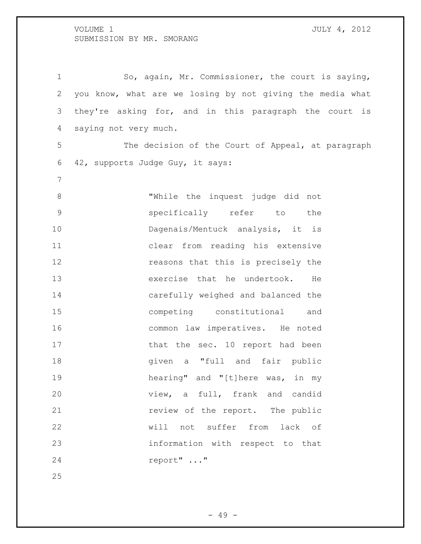So, again, Mr. Commissioner, the court is saying, you know, what are we losing by not giving the media what they're asking for, and in this paragraph the court is saying not very much. The decision of the Court of Appeal, at paragraph 42, supports Judge Guy, it says: "While the inquest judge did not specifically refer to the 10 Dagenais/Mentuck analysis, it is clear from reading his extensive **reasons** that this is precisely the exercise that he undertook. He carefully weighed and balanced the competing constitutional and common law imperatives. He noted 17 that the sec. 10 report had been **given** a "full and fair public hearing" and "[t]here was, in my view, a full, frank and candid **review of the report.** The public will not suffer from lack of information with respect to that report" ..." 

- 49 -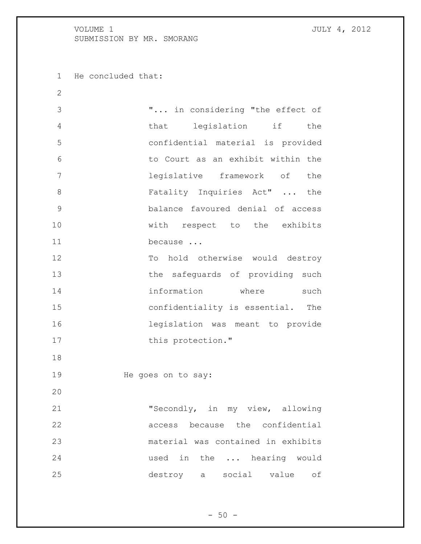He concluded that:

| 2             |                                    |
|---------------|------------------------------------|
| 3             | " in considering "the effect of    |
| 4             | that legislation if<br>the         |
| 5             | confidential material is provided  |
| 6             | to Court as an exhibit within the  |
| 7             | legislative framework of the       |
| 8             | Fatality Inquiries Act"  the       |
| $\mathcal{G}$ | balance favoured denial of access  |
| 10            | with respect to the exhibits       |
| 11            | because                            |
| 12            | To hold otherwise would destroy    |
| 13            | the safeguards of providing such   |
| 14            | information where<br>such          |
| 15            | confidentiality is essential. The  |
| 16            | legislation was meant to provide   |
| 17            | this protection."                  |
| 18            |                                    |
| 19            | He goes on to say:                 |
| 20            |                                    |
| 21            | "Secondly, in my view, allowing    |
| 22            | access because the confidential    |
| 23            | material was contained in exhibits |
| 24            | used in the  hearing would         |
| 25            | destroy a social value of          |
|               |                                    |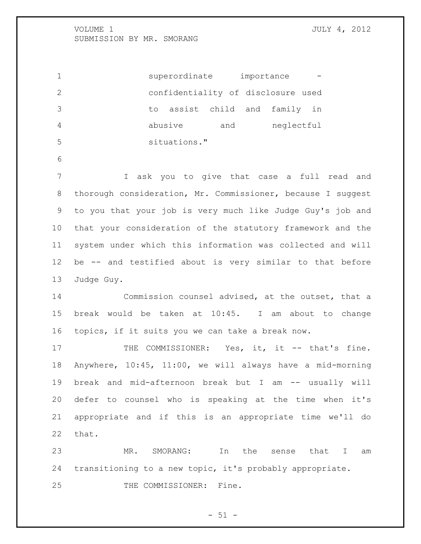1 superordinate importance confidentiality of disclosure used to assist child and family in abusive and neglectful situations." 

 I ask you to give that case a full read and thorough consideration, Mr. Commissioner, because I suggest to you that your job is very much like Judge Guy's job and that your consideration of the statutory framework and the system under which this information was collected and will be -- and testified about is very similar to that before Judge Guy.

 Commission counsel advised, at the outset, that a break would be taken at 10:45. I am about to change topics, if it suits you we can take a break now.

17 THE COMMISSIONER: Yes, it, it -- that's fine. Anywhere, 10:45, 11:00, we will always have a mid-morning break and mid-afternoon break but I am -- usually will defer to counsel who is speaking at the time when it's appropriate and if this is an appropriate time we'll do that.

 MR. SMORANG: In the sense that I am transitioning to a new topic, it's probably appropriate.

25 THE COMMISSIONER: Fine.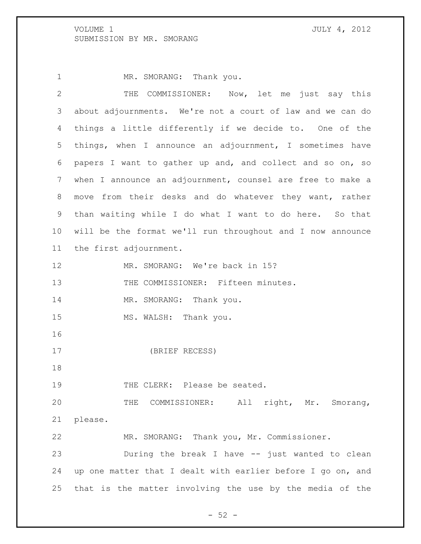1 MR. SMORANG: Thank you.

| $\overline{2}$ | THE COMMISSIONER: Now, let me just say this                 |
|----------------|-------------------------------------------------------------|
| 3              | about adjournments. We're not a court of law and we can do  |
| 4              | things a little differently if we decide to. One of the     |
| 5              | things, when I announce an adjournment, I sometimes have    |
| 6              | papers I want to gather up and, and collect and so on, so   |
| 7              | when I announce an adjournment, counsel are free to make a  |
| 8              | move from their desks and do whatever they want, rather     |
| 9              | than waiting while I do what I want to do here. So that     |
| 10             | will be the format we'll run throughout and I now announce  |
| 11             | the first adjournment.                                      |
| 12             | MR. SMORANG: We're back in 15?                              |
| 13             | THE COMMISSIONER: Fifteen minutes.                          |
| 14             | MR. SMORANG: Thank you.                                     |
| 15             | MS. WALSH: Thank you.                                       |
| 16             |                                                             |
| 17             | (BRIEF RECESS)                                              |
| 18             |                                                             |
| 19             | THE CLERK: Please be seated.                                |
| 20             | THE COMMISSIONER: All right, Mr. Smorang,                   |
| 21             | please.                                                     |
| 22             | MR. SMORANG: Thank you, Mr. Commissioner.                   |
| 23             | During the break I have -- just wanted to clean             |
| 24             | up one matter that I dealt with earlier before I go on, and |
| 25             | that is the matter involving the use by the media of the    |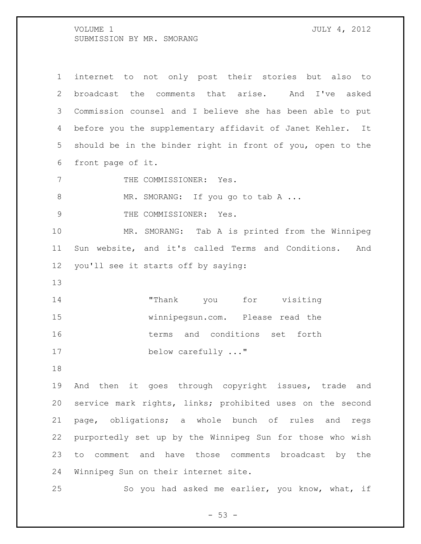| $\mathbf 1$    | internet to not only post their stories but also to        |
|----------------|------------------------------------------------------------|
| $\mathbf{2}$   | broadcast the comments that arise. And I've asked          |
| 3              | Commission counsel and I believe she has been able to put  |
| 4              | before you the supplementary affidavit of Janet Kehler. It |
| 5 <sup>1</sup> | should be in the binder right in front of you, open to the |
| 6              | front page of it.                                          |
| 7              | THE COMMISSIONER: Yes.                                     |
| 8              | MR. SMORANG: If you go to tab A                            |
| 9              | THE COMMISSIONER: Yes.                                     |
| 10             | MR. SMORANG: Tab A is printed from the Winnipeg            |
| 11             | Sun website, and it's called Terms and Conditions.<br>And  |
| 12             | you'll see it starts off by saying:                        |
| 13             |                                                            |
| 14             | "Thank you for visiting                                    |
| 15             | winnipegsun.com. Please read the                           |
| 16             | terms and conditions set forth                             |
| 17             | below carefully "                                          |
| 18             |                                                            |
| 19             | And then it goes through copyright issues, trade and       |
| 20             | service mark rights, links; prohibited uses on the second  |
| 21             | page, obligations; a whole bunch of rules and<br>regs      |
| 22             | purportedly set up by the Winnipeg Sun for those who wish  |
| 23             | comment and have those comments broadcast by the<br>to     |

Winnipeg Sun on their internet site.

So you had asked me earlier, you know, what, if

- 53 -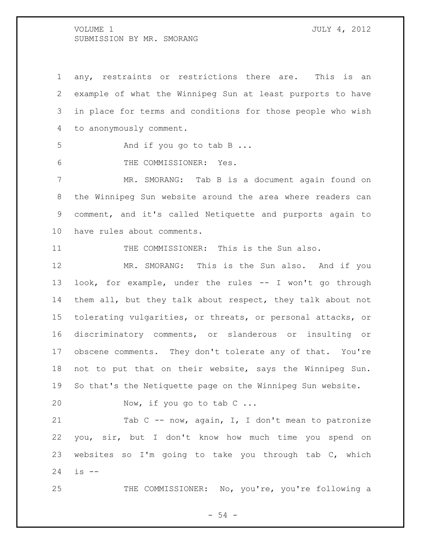any, restraints or restrictions there are. This is an example of what the Winnipeg Sun at least purports to have in place for terms and conditions for those people who wish to anonymously comment.

5 And if you go to tab B ...

THE COMMISSIONER: Yes.

 MR. SMORANG: Tab B is a document again found on the Winnipeg Sun website around the area where readers can comment, and it's called Netiquette and purports again to have rules about comments.

11 THE COMMISSIONER: This is the Sun also.

 MR. SMORANG: This is the Sun also. And if you look, for example, under the rules -- I won't go through them all, but they talk about respect, they talk about not tolerating vulgarities, or threats, or personal attacks, or discriminatory comments, or slanderous or insulting or obscene comments. They don't tolerate any of that. You're not to put that on their website, says the Winnipeg Sun. So that's the Netiquette page on the Winnipeg Sun website.

20 Now, if you go to tab C ...

21 Tab C -- now, again, I, I don't mean to patronize you, sir, but I don't know how much time you spend on websites so I'm going to take you through tab C, which is --

25 THE COMMISSIONER: No, you're, you're following a

 $-54 -$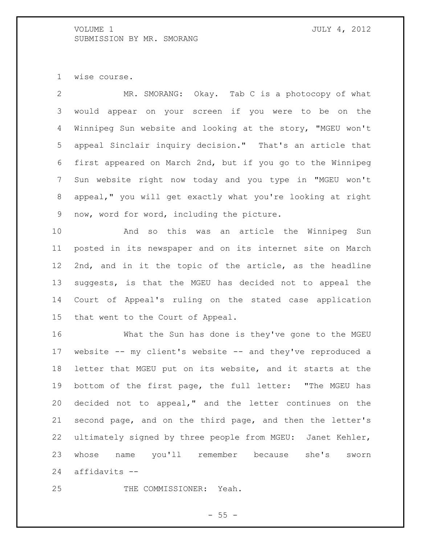wise course.

 MR. SMORANG: Okay. Tab C is a photocopy of what would appear on your screen if you were to be on the Winnipeg Sun website and looking at the story, "MGEU won't appeal Sinclair inquiry decision." That's an article that first appeared on March 2nd, but if you go to the Winnipeg Sun website right now today and you type in "MGEU won't appeal," you will get exactly what you're looking at right now, word for word, including the picture.

 And so this was an article the Winnipeg Sun posted in its newspaper and on its internet site on March 2nd, and in it the topic of the article, as the headline suggests, is that the MGEU has decided not to appeal the Court of Appeal's ruling on the stated case application that went to the Court of Appeal.

 What the Sun has done is they've gone to the MGEU website -- my client's website -- and they've reproduced a letter that MGEU put on its website, and it starts at the bottom of the first page, the full letter: "The MGEU has decided not to appeal," and the letter continues on the second page, and on the third page, and then the letter's ultimately signed by three people from MGEU: Janet Kehler, whose name you'll remember because she's sworn affidavits --

THE COMMISSIONER: Yeah.

 $- 55 -$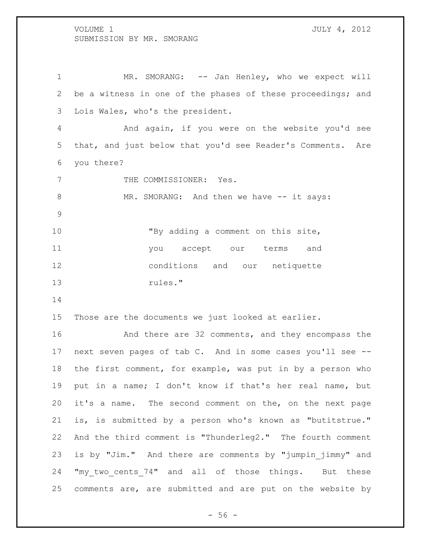1 MR. SMORANG: -- Jan Henley, who we expect will be a witness in one of the phases of these proceedings; and Lois Wales, who's the president. And again, if you were on the website you'd see that, and just below that you'd see Reader's Comments. Are you there? 7 THE COMMISSIONER: Yes. 8 MR. SMORANG: And then we have -- it says: "By adding a comment on this site, you accept our terms and conditions and our netiquette rules." Those are the documents we just looked at earlier. And there are 32 comments, and they encompass the next seven pages of tab C. And in some cases you'll see -- the first comment, for example, was put in by a person who put in a name; I don't know if that's her real name, but it's a name. The second comment on the, on the next page is, is submitted by a person who's known as "butitstrue." And the third comment is "Thunderleg2." The fourth comment

 is by "Jim." And there are comments by "jumpin\_jimmy" and 24 "my two cents 74" and all of those things. But these comments are, are submitted and are put on the website by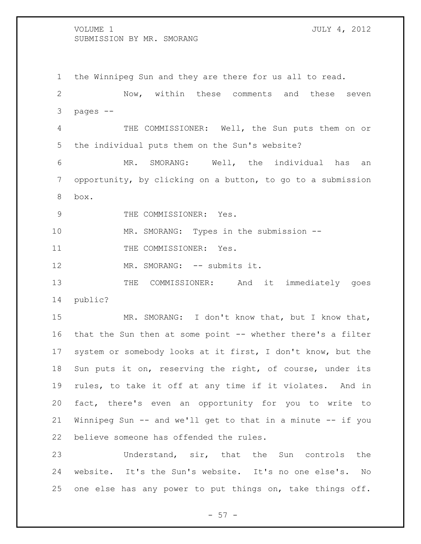the Winnipeg Sun and they are there for us all to read. Now, within these comments and these seven pages -- THE COMMISSIONER: Well, the Sun puts them on or the individual puts them on the Sun's website? MR. SMORANG: Well, the individual has an opportunity, by clicking on a button, to go to a submission box. 9 THE COMMISSIONER: Yes. MR. SMORANG: Types in the submission -- 11 THE COMMISSIONER: Yes. 12 MR. SMORANG: -- submits it. 13 THE COMMISSIONER: And it immediately goes public? MR. SMORANG: I don't know that, but I know that, 16 that the Sun then at some point -- whether there's a filter system or somebody looks at it first, I don't know, but the Sun puts it on, reserving the right, of course, under its rules, to take it off at any time if it violates. And in fact, there's even an opportunity for you to write to Winnipeg Sun -- and we'll get to that in a minute -- if you believe someone has offended the rules. Understand, sir, that the Sun controls the

 website. It's the Sun's website. It's no one else's. No one else has any power to put things on, take things off.

 $- 57 -$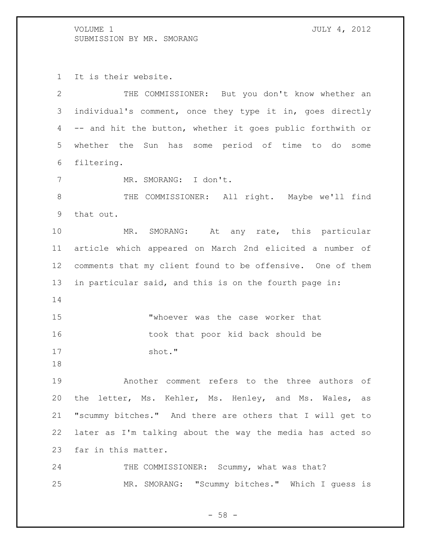It is their website. THE COMMISSIONER: But you don't know whether an individual's comment, once they type it in, goes directly

 -- and hit the button, whether it goes public forthwith or whether the Sun has some period of time to do some filtering.

MR. SMORANG: I don't.

 THE COMMISSIONER: All right. Maybe we'll find that out.

 MR. SMORANG: At any rate, this particular article which appeared on March 2nd elicited a number of comments that my client found to be offensive. One of them in particular said, and this is on the fourth page in: 

 "whoever was the case worker that took that poor kid back should be 17 shot."

 Another comment refers to the three authors of the letter, Ms. Kehler, Ms. Henley, and Ms. Wales, as "scummy bitches." And there are others that I will get to later as I'm talking about the way the media has acted so far in this matter.

24 THE COMMISSIONER: Scummy, what was that? MR. SMORANG: "Scummy bitches." Which I guess is

 $-58 -$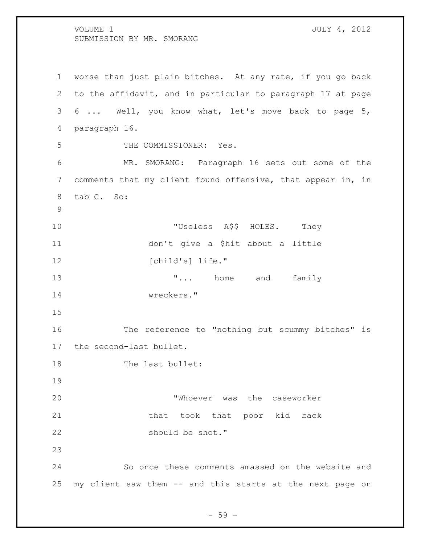worse than just plain bitches. At any rate, if you go back to the affidavit, and in particular to paragraph 17 at page 6 ... Well, you know what, let's move back to page 5, paragraph 16. THE COMMISSIONER: Yes. MR. SMORANG: Paragraph 16 sets out some of the comments that my client found offensive, that appear in, in tab C. So: 10 TUseless A\$\$ HOLES. They don't give a \$hit about a little 12 [child's] life." 13 T... home and family wreckers." The reference to "nothing but scummy bitches" is the second-last bullet. 18 The last bullet: "Whoever was the caseworker 21 that took that poor kid back should be shot." So once these comments amassed on the website and my client saw them -- and this starts at the next page on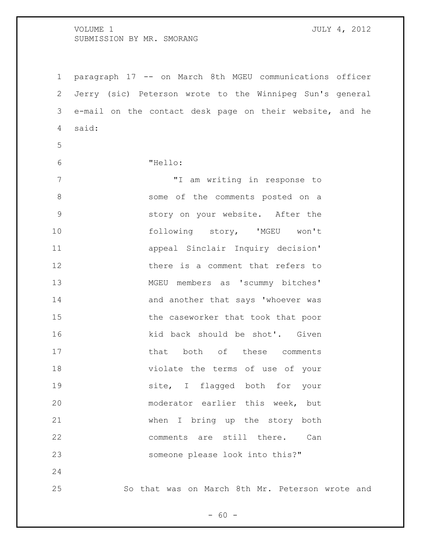| $\mathbf 1$    | paragraph 17 -- on March 8th MGEU communications officer |  |
|----------------|----------------------------------------------------------|--|
| $\mathbf{2}$   | Jerry (sic) Peterson wrote to the Winnipeg Sun's general |  |
| 3              | e-mail on the contact desk page on their website, and he |  |
| $\overline{4}$ | said:                                                    |  |
| 5              |                                                          |  |
| 6              | "Hello:                                                  |  |
| $7\phantom{.}$ | "I am writing in response to                             |  |
| $\,8\,$        | some of the comments posted on a                         |  |
| $\mathsf 9$    | story on your website. After the                         |  |
| 10             | following story, 'MGEU won't                             |  |
| 11             | appeal Sinclair Inquiry decision'                        |  |
| 12             | there is a comment that refers to                        |  |
| 13             | MGEU members as 'scummy bitches'                         |  |
| 14             | and another that says 'whoever was                       |  |
| 15             | the caseworker that took that poor                       |  |
| 16             | kid back should be shot'. Given                          |  |
| 17             | that both of these comments                              |  |
| 18             | violate the terms of use of your                         |  |
| 19             | site, I flagged both for your                            |  |
| 20             | moderator earlier this week, but                         |  |
| 21             | when I bring up the story both                           |  |
| 22             | comments are still there.<br>Can                         |  |
| 23             | someone please look into this?"                          |  |
| 24             |                                                          |  |
| 25             | So that was on March 8th Mr. Peterson wrote and          |  |

- 60 -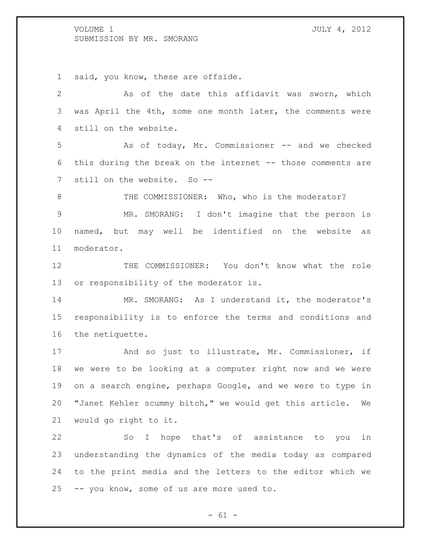said, you know, these are offside.

 As of the date this affidavit was sworn, which was April the 4th, some one month later, the comments were still on the website. As of today, Mr. Commissioner -- and we checked this during the break on the internet -- those comments are 7 still on the website. So --8 THE COMMISSIONER: Who, who is the moderator? MR. SMORANG: I don't imagine that the person is named, but may well be identified on the website as moderator. 12 THE COMMISSIONER: You don't know what the role or responsibility of the moderator is. 14 MR. SMORANG: As I understand it, the moderator's responsibility is to enforce the terms and conditions and the netiquette. And so just to illustrate, Mr. Commissioner, if we were to be looking at a computer right now and we were on a search engine, perhaps Google, and we were to type in "Janet Kehler scummy bitch," we would get this article. We would go right to it. So I hope that's of assistance to you in understanding the dynamics of the media today as compared

-- you know, some of us are more used to.

 $- 61 -$ 

to the print media and the letters to the editor which we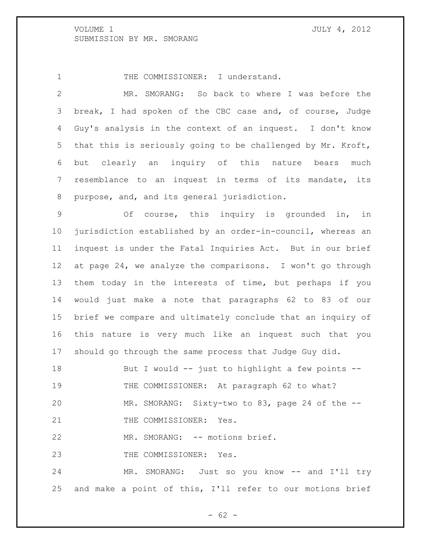1 THE COMMISSIONER: I understand.

 MR. SMORANG: So back to where I was before the break, I had spoken of the CBC case and, of course, Judge Guy's analysis in the context of an inquest. I don't know that this is seriously going to be challenged by Mr. Kroft, but clearly an inquiry of this nature bears much resemblance to an inquest in terms of its mandate, its purpose, and, and its general jurisdiction.

 Of course, this inquiry is grounded in, in jurisdiction established by an order-in-council, whereas an inquest is under the Fatal Inquiries Act. But in our brief at page 24, we analyze the comparisons. I won't go through them today in the interests of time, but perhaps if you would just make a note that paragraphs 62 to 83 of our brief we compare and ultimately conclude that an inquiry of this nature is very much like an inquest such that you should go through the same process that Judge Guy did.

 But I would -- just to highlight a few points -- 19 THE COMMISSIONER: At paragraph 62 to what? MR. SMORANG: Sixty-two to 83, page 24 of the -- 21 THE COMMISSIONER: Yes.

22 MR. SMORANG: -- motions brief.

23 THE COMMISSIONER: Yes.

24 MR. SMORANG: Just so you know -- and I'll try and make a point of this, I'll refer to our motions brief

 $- 62 -$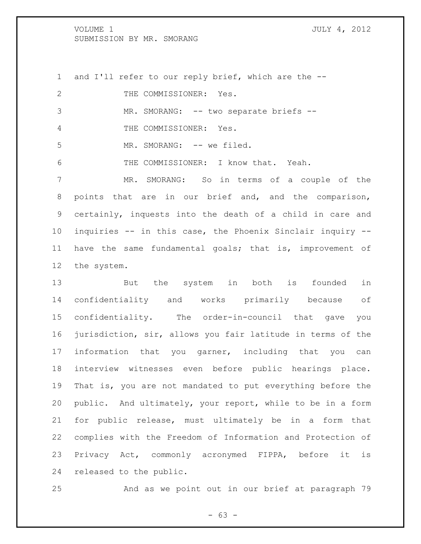and I'll refer to our reply brief, which are the -- 2 THE COMMISSIONER: Yes. 3 MR. SMORANG: -- two separate briefs -- THE COMMISSIONER: Yes. 5 MR. SMORANG: -- we filed. THE COMMISSIONER: I know that. Yeah. MR. SMORANG: So in terms of a couple of the points that are in our brief and, and the comparison, certainly, inquests into the death of a child in care and inquiries -- in this case, the Phoenix Sinclair inquiry -- have the same fundamental goals; that is, improvement of the system. But the system in both is founded in

 confidentiality and works primarily because of confidentiality. The order-in-council that gave you jurisdiction, sir, allows you fair latitude in terms of the information that you garner, including that you can interview witnesses even before public hearings place. That is, you are not mandated to put everything before the public. And ultimately, your report, while to be in a form for public release, must ultimately be in a form that complies with the Freedom of Information and Protection of Privacy Act, commonly acronymed FIPPA, before it is released to the public.

And as we point out in our brief at paragraph 79

- 63 -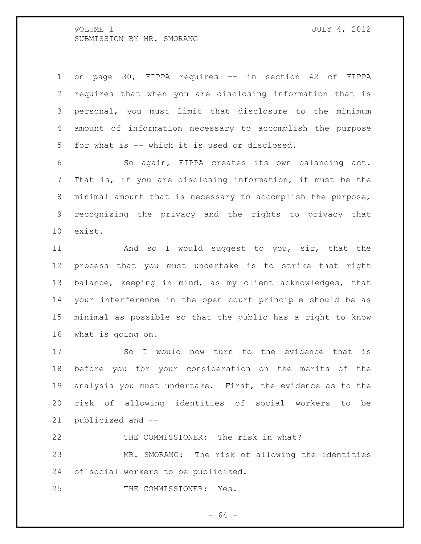on page 30, FIPPA requires -- in section 42 of FIPPA requires that when you are disclosing information that is personal, you must limit that disclosure to the minimum amount of information necessary to accomplish the purpose for what is -- which it is used or disclosed.

 So again, FIPPA creates its own balancing act. That is, if you are disclosing information, it must be the minimal amount that is necessary to accomplish the purpose, recognizing the privacy and the rights to privacy that exist.

11 And so I would suggest to you, sir, that the process that you must undertake is to strike that right balance, keeping in mind, as my client acknowledges, that your interference in the open court principle should be as minimal as possible so that the public has a right to know what is going on.

 So I would now turn to the evidence that is before you for your consideration on the merits of the analysis you must undertake. First, the evidence as to the risk of allowing identities of social workers to be publicized and --

THE COMMISSIONER: The risk in what?

 MR. SMORANG: The risk of allowing the identities of social workers to be publicized.

THE COMMISSIONER: Yes.

- 64 -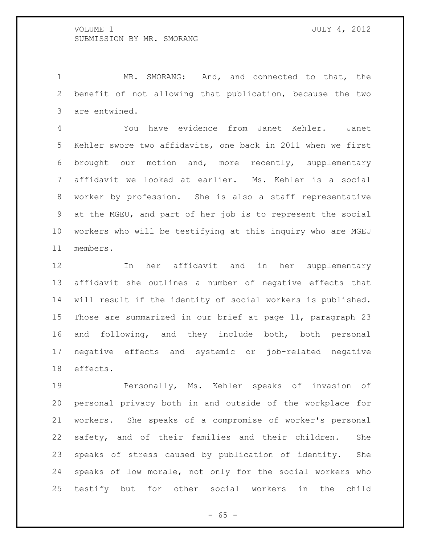MR. SMORANG: And, and connected to that, the benefit of not allowing that publication, because the two are entwined.

 You have evidence from Janet Kehler. Janet Kehler swore two affidavits, one back in 2011 when we first brought our motion and, more recently, supplementary affidavit we looked at earlier. Ms. Kehler is a social worker by profession. She is also a staff representative at the MGEU, and part of her job is to represent the social workers who will be testifying at this inquiry who are MGEU members.

 In her affidavit and in her supplementary affidavit she outlines a number of negative effects that will result if the identity of social workers is published. Those are summarized in our brief at page 11, paragraph 23 and following, and they include both, both personal negative effects and systemic or job-related negative effects.

 Personally, Ms. Kehler speaks of invasion of personal privacy both in and outside of the workplace for workers. She speaks of a compromise of worker's personal safety, and of their families and their children. She speaks of stress caused by publication of identity. She speaks of low morale, not only for the social workers who testify but for other social workers in the child

 $- 65 -$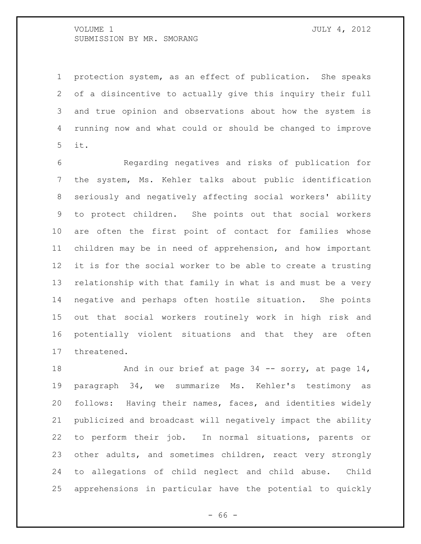protection system, as an effect of publication. She speaks of a disincentive to actually give this inquiry their full and true opinion and observations about how the system is running now and what could or should be changed to improve it.

 Regarding negatives and risks of publication for the system, Ms. Kehler talks about public identification seriously and negatively affecting social workers' ability to protect children. She points out that social workers are often the first point of contact for families whose children may be in need of apprehension, and how important it is for the social worker to be able to create a trusting relationship with that family in what is and must be a very negative and perhaps often hostile situation. She points out that social workers routinely work in high risk and potentially violent situations and that they are often threatened.

18 And in our brief at page 34 -- sorry, at page 14, paragraph 34, we summarize Ms. Kehler's testimony as follows: Having their names, faces, and identities widely publicized and broadcast will negatively impact the ability to perform their job. In normal situations, parents or 23 other adults, and sometimes children, react very strongly to allegations of child neglect and child abuse. Child apprehensions in particular have the potential to quickly

- 66 -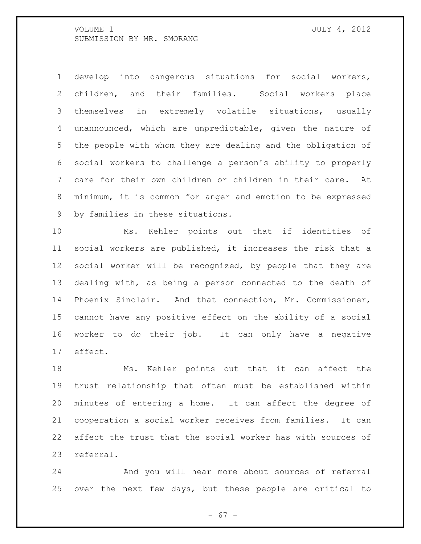develop into dangerous situations for social workers, children, and their families. Social workers place themselves in extremely volatile situations, usually unannounced, which are unpredictable, given the nature of the people with whom they are dealing and the obligation of social workers to challenge a person's ability to properly care for their own children or children in their care. At minimum, it is common for anger and emotion to be expressed by families in these situations.

 Ms. Kehler points out that if identities of social workers are published, it increases the risk that a social worker will be recognized, by people that they are dealing with, as being a person connected to the death of Phoenix Sinclair. And that connection, Mr. Commissioner, cannot have any positive effect on the ability of a social worker to do their job. It can only have a negative effect.

 Ms. Kehler points out that it can affect the trust relationship that often must be established within minutes of entering a home. It can affect the degree of cooperation a social worker receives from families. It can affect the trust that the social worker has with sources of referral.

 And you will hear more about sources of referral over the next few days, but these people are critical to

- 67 -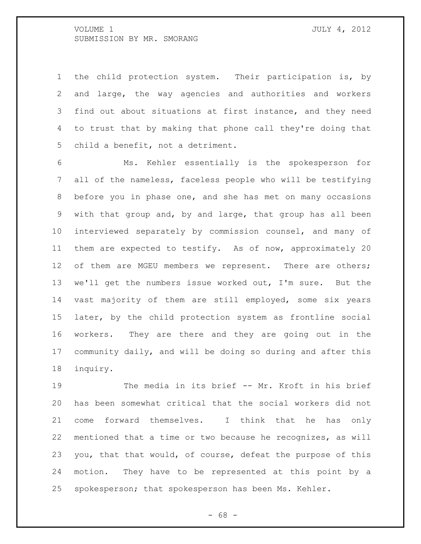the child protection system. Their participation is, by and large, the way agencies and authorities and workers find out about situations at first instance, and they need to trust that by making that phone call they're doing that child a benefit, not a detriment.

 Ms. Kehler essentially is the spokesperson for all of the nameless, faceless people who will be testifying before you in phase one, and she has met on many occasions with that group and, by and large, that group has all been interviewed separately by commission counsel, and many of them are expected to testify. As of now, approximately 20 12 of them are MGEU members we represent. There are others; we'll get the numbers issue worked out, I'm sure. But the vast majority of them are still employed, some six years later, by the child protection system as frontline social workers. They are there and they are going out in the community daily, and will be doing so during and after this inquiry.

 The media in its brief -- Mr. Kroft in his brief has been somewhat critical that the social workers did not come forward themselves. I think that he has only mentioned that a time or two because he recognizes, as will you, that that would, of course, defeat the purpose of this motion. They have to be represented at this point by a spokesperson; that spokesperson has been Ms. Kehler.

- 68 -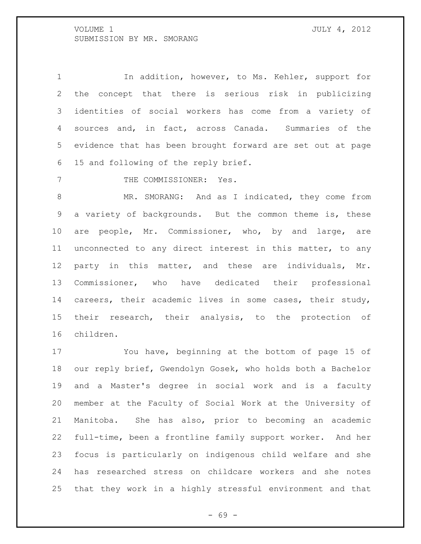1 1 In addition, however, to Ms. Kehler, support for the concept that there is serious risk in publicizing identities of social workers has come from a variety of sources and, in fact, across Canada. Summaries of the evidence that has been brought forward are set out at page 15 and following of the reply brief.

7 THE COMMISSIONER: Yes.

 MR. SMORANG: And as I indicated, they come from a variety of backgrounds. But the common theme is, these are people, Mr. Commissioner, who, by and large, are unconnected to any direct interest in this matter, to any party in this matter, and these are individuals, Mr. Commissioner, who have dedicated their professional careers, their academic lives in some cases, their study, their research, their analysis, to the protection of children.

 You have, beginning at the bottom of page 15 of our reply brief, Gwendolyn Gosek, who holds both a Bachelor and a Master's degree in social work and is a faculty member at the Faculty of Social Work at the University of Manitoba. She has also, prior to becoming an academic full-time, been a frontline family support worker. And her focus is particularly on indigenous child welfare and she has researched stress on childcare workers and she notes that they work in a highly stressful environment and that

- 69 -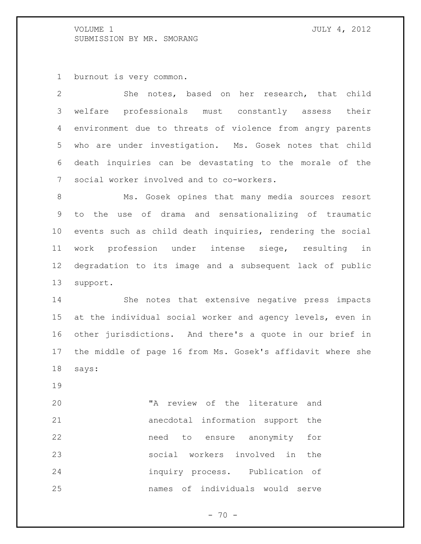burnout is very common.

 She notes, based on her research, that child welfare professionals must constantly assess their environment due to threats of violence from angry parents who are under investigation. Ms. Gosek notes that child death inquiries can be devastating to the morale of the social worker involved and to co-workers.

 Ms. Gosek opines that many media sources resort to the use of drama and sensationalizing of traumatic events such as child death inquiries, rendering the social work profession under intense siege, resulting in degradation to its image and a subsequent lack of public support.

 She notes that extensive negative press impacts at the individual social worker and agency levels, even in other jurisdictions. And there's a quote in our brief in the middle of page 16 from Ms. Gosek's affidavit where she says:

 "A review of the literature and anecdotal information support the need to ensure anonymity for social workers involved in the inquiry process. Publication of names of individuals would serve

- 70 -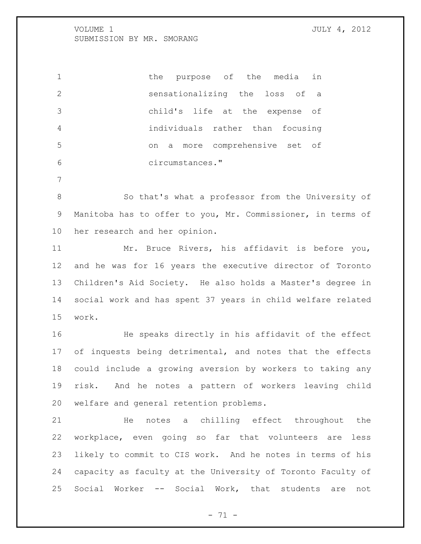1 the purpose of the media in sensationalizing the loss of a child's life at the expense of individuals rather than focusing on a more comprehensive set of circumstances."

 So that's what a professor from the University of Manitoba has to offer to you, Mr. Commissioner, in terms of her research and her opinion.

 Mr. Bruce Rivers, his affidavit is before you, and he was for 16 years the executive director of Toronto Children's Aid Society. He also holds a Master's degree in social work and has spent 37 years in child welfare related work.

 He speaks directly in his affidavit of the effect 17 of inquests being detrimental, and notes that the effects could include a growing aversion by workers to taking any risk. And he notes a pattern of workers leaving child welfare and general retention problems.

 He notes a chilling effect throughout the workplace, even going so far that volunteers are less likely to commit to CIS work. And he notes in terms of his capacity as faculty at the University of Toronto Faculty of Social Worker -- Social Work, that students are not

- 71 -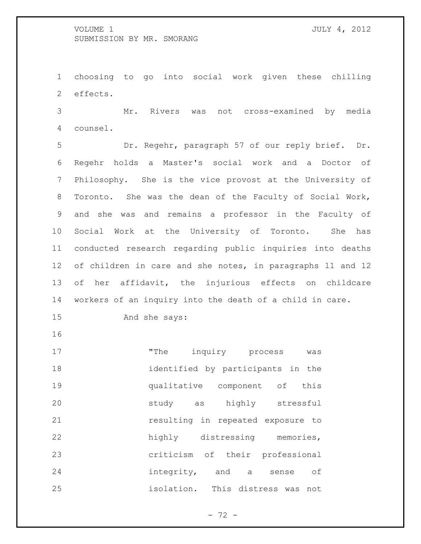choosing to go into social work given these chilling effects.

 Mr. Rivers was not cross-examined by media counsel.

 Dr. Regehr, paragraph 57 of our reply brief. Dr. Regehr holds a Master's social work and a Doctor of Philosophy. She is the vice provost at the University of Toronto. She was the dean of the Faculty of Social Work, and she was and remains a professor in the Faculty of Social Work at the University of Toronto. She has conducted research regarding public inquiries into deaths of children in care and she notes, in paragraphs 11 and 12 of her affidavit, the injurious effects on childcare workers of an inquiry into the death of a child in care.

And she says:

17 The inquiry process was identified by participants in the qualitative component of this study as highly stressful resulting in repeated exposure to highly distressing memories, criticism of their professional integrity, and a sense of isolation. This distress was not

- 72 -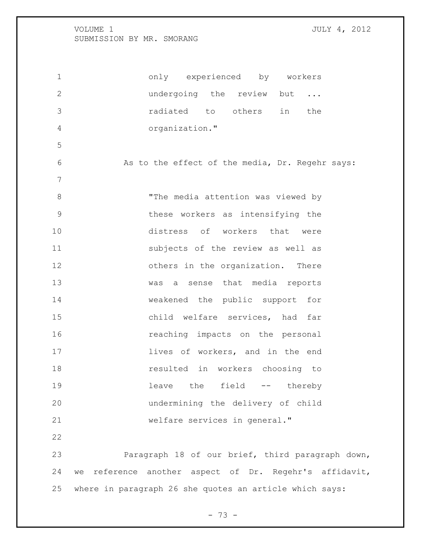2 undergoing the review but ... radiated to others in the organization." As to the effect of the media, Dr. Regehr says: "The media attention was viewed by these workers as intensifying the distress of workers that were subjects of the review as well as 12 others in the organization. There was a sense that media reports weakened the public support for child welfare services, had far reaching impacts on the personal **lives of workers, and in the end**  resulted in workers choosing to leave the field -- thereby undermining the delivery of child welfare services in general." Paragraph 18 of our brief, third paragraph down, we reference another aspect of Dr. Regehr's affidavit, where in paragraph 26 she quotes an article which says:

only experienced by workers

- 73 -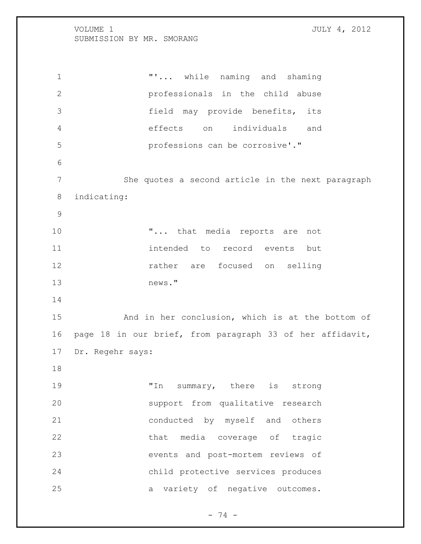**"'...** while naming and shaming professionals in the child abuse field may provide benefits, its effects on individuals and professions can be corrosive'." She quotes a second article in the next paragraph indicating: **"...** that media reports are not intended to record events but rather are focused on selling news." And in her conclusion, which is at the bottom of page 18 in our brief, from paragraph 33 of her affidavit, Dr. Regehr says: "In summary, there is strong support from qualitative research conducted by myself and others that media coverage of tragic events and post-mortem reviews of child protective services produces a variety of negative outcomes.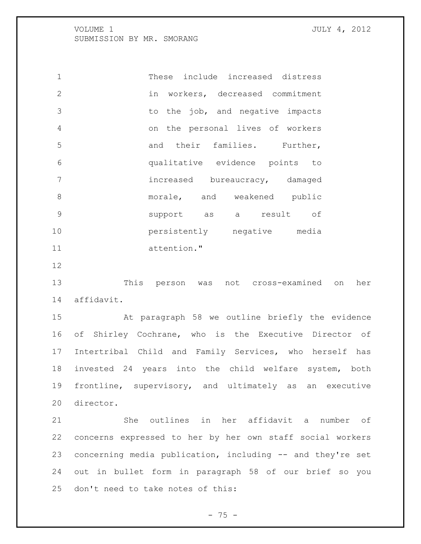These include increased distress in workers, decreased commitment to the job, and negative impacts on the personal lives of workers 5 and their families. Further, qualitative evidence points to increased bureaucracy, damaged 8 morale, and weakened public support as a result of persistently negative media attention."

 This person was not cross-examined on her affidavit.

 At paragraph 58 we outline briefly the evidence of Shirley Cochrane, who is the Executive Director of Intertribal Child and Family Services, who herself has invested 24 years into the child welfare system, both frontline, supervisory, and ultimately as an executive director.

 She outlines in her affidavit a number of concerns expressed to her by her own staff social workers concerning media publication, including -- and they're set out in bullet form in paragraph 58 of our brief so you don't need to take notes of this:

 $- 75 -$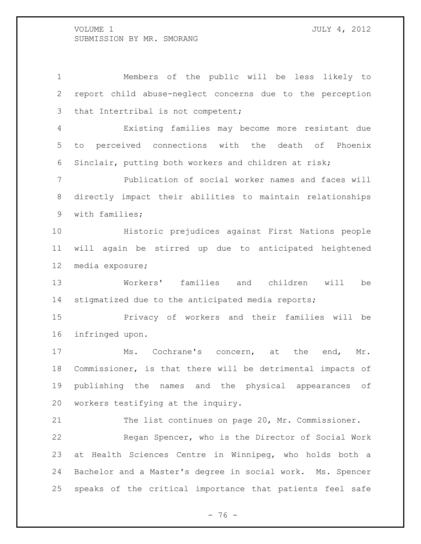Members of the public will be less likely to report child abuse-neglect concerns due to the perception that Intertribal is not competent; Existing families may become more resistant due to perceived connections with the death of Phoenix Sinclair, putting both workers and children at risk; Publication of social worker names and faces will directly impact their abilities to maintain relationships with families; Historic prejudices against First Nations people will again be stirred up due to anticipated heightened media exposure; Workers' families and children will be stigmatized due to the anticipated media reports; Privacy of workers and their families will be infringed upon. Ms. Cochrane's concern, at the end, Mr. Commissioner, is that there will be detrimental impacts of publishing the names and the physical appearances of workers testifying at the inquiry. The list continues on page 20, Mr. Commissioner. Regan Spencer, who is the Director of Social Work at Health Sciences Centre in Winnipeg, who holds both a

 Bachelor and a Master's degree in social work. Ms. Spencer speaks of the critical importance that patients feel safe

 $- 76 -$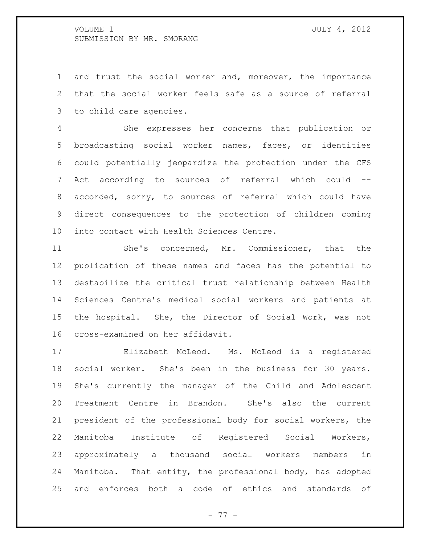and trust the social worker and, moreover, the importance that the social worker feels safe as a source of referral to child care agencies.

 She expresses her concerns that publication or broadcasting social worker names, faces, or identities could potentially jeopardize the protection under the CFS Act according to sources of referral which could -- accorded, sorry, to sources of referral which could have direct consequences to the protection of children coming into contact with Health Sciences Centre.

 She's concerned, Mr. Commissioner, that the publication of these names and faces has the potential to destabilize the critical trust relationship between Health Sciences Centre's medical social workers and patients at the hospital. She, the Director of Social Work, was not cross-examined on her affidavit.

 Elizabeth McLeod. Ms. McLeod is a registered social worker. She's been in the business for 30 years. She's currently the manager of the Child and Adolescent Treatment Centre in Brandon. She's also the current president of the professional body for social workers, the Manitoba Institute of Registered Social Workers, approximately a thousand social workers members in Manitoba. That entity, the professional body, has adopted and enforces both a code of ethics and standards of

- 77 -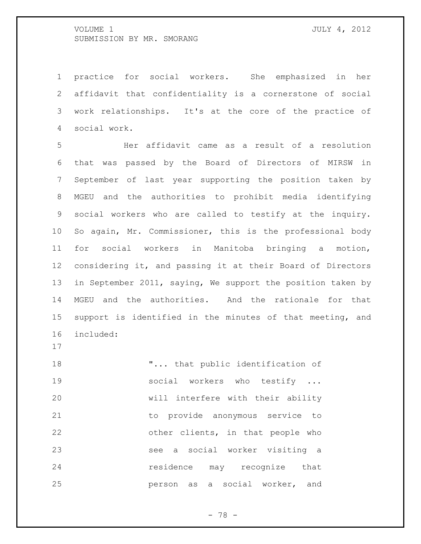practice for social workers. She emphasized in her affidavit that confidentiality is a cornerstone of social work relationships. It's at the core of the practice of social work.

 Her affidavit came as a result of a resolution that was passed by the Board of Directors of MIRSW in September of last year supporting the position taken by MGEU and the authorities to prohibit media identifying social workers who are called to testify at the inquiry. So again, Mr. Commissioner, this is the professional body for social workers in Manitoba bringing a motion, considering it, and passing it at their Board of Directors in September 2011, saying, We support the position taken by MGEU and the authorities. And the rationale for that support is identified in the minutes of that meeting, and included:

18 T... that public identification of 19 social workers who testify ... will interfere with their ability to provide anonymous service to other clients, in that people who see a social worker visiting a residence may recognize that person as a social worker, and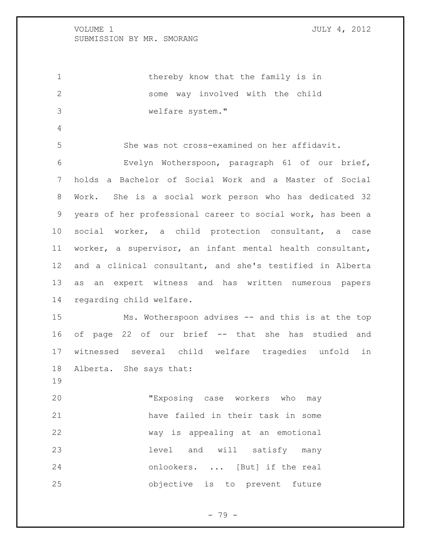1 thereby know that the family is in some way involved with the child welfare system."

She was not cross-examined on her affidavit.

 Evelyn Wotherspoon, paragraph 61 of our brief, holds a Bachelor of Social Work and a Master of Social Work. She is a social work person who has dedicated 32 years of her professional career to social work, has been a social worker, a child protection consultant, a case worker, a supervisor, an infant mental health consultant, and a clinical consultant, and she's testified in Alberta as an expert witness and has written numerous papers regarding child welfare.

 Ms. Wotherspoon advises -- and this is at the top of page 22 of our brief -- that she has studied and witnessed several child welfare tragedies unfold in Alberta. She says that:

 "Exposing case workers who may have failed in their task in some way is appealing at an emotional level and will satisfy many onlookers. ... [But] if the real objective is to prevent future

- 79 -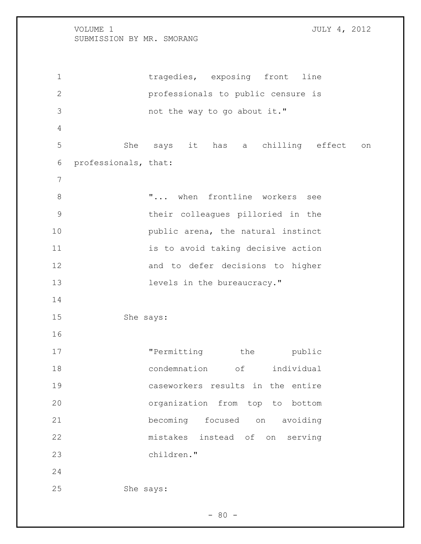1 tragedies, exposing front line professionals to public censure is not the way to go about it." She says it has a chilling effect on professionals, that: 8  $\ldots$  "... when frontline workers see their colleagues pilloried in the **public** arena, the natural instinct 11 is to avoid taking decisive action and to defer decisions to higher 13 levels in the bureaucracy." She says: 17 The mitting the public 18 condemnation of individual caseworkers results in the entire organization from top to bottom becoming focused on avoiding mistakes instead of on serving children." She says:

 $- 80 -$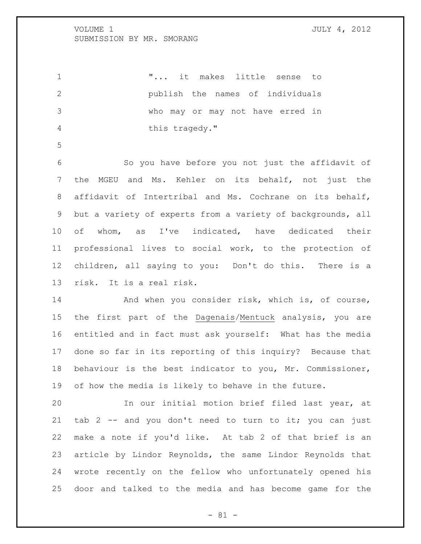"... it makes little sense to publish the names of individuals who may or may not have erred in this tragedy."

 So you have before you not just the affidavit of the MGEU and Ms. Kehler on its behalf, not just the affidavit of Intertribal and Ms. Cochrane on its behalf, but a variety of experts from a variety of backgrounds, all of whom, as I've indicated, have dedicated their professional lives to social work, to the protection of children, all saying to you: Don't do this. There is a risk. It is a real risk.

14 And when you consider risk, which is, of course, the first part of the Dagenais/Mentuck analysis, you are entitled and in fact must ask yourself: What has the media done so far in its reporting of this inquiry? Because that behaviour is the best indicator to you, Mr. Commissioner, of how the media is likely to behave in the future.

 In our initial motion brief filed last year, at tab 2 -- and you don't need to turn to it; you can just make a note if you'd like. At tab 2 of that brief is an article by Lindor Reynolds, the same Lindor Reynolds that wrote recently on the fellow who unfortunately opened his door and talked to the media and has become game for the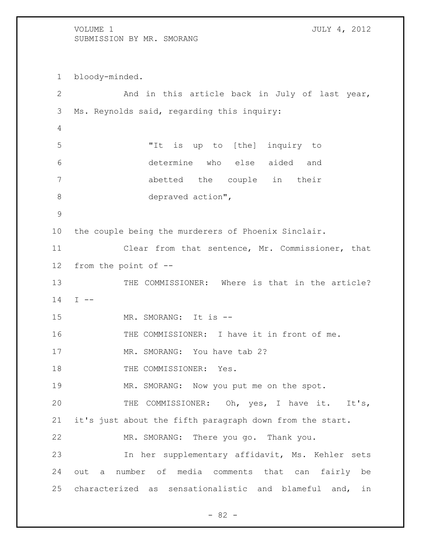bloody-minded. And in this article back in July of last year, Ms. Reynolds said, regarding this inquiry: "It is up to [the] inquiry to determine who else aided and abetted the couple in their depraved action", the couple being the murderers of Phoenix Sinclair. Clear from that sentence, Mr. Commissioner, that from the point of -- 13 THE COMMISSIONER: Where is that in the article? I -- 15 MR. SMORANG: It is  $--$  THE COMMISSIONER: I have it in front of me. 17 MR. SMORANG: You have tab 2? 18 THE COMMISSIONER: Yes. 19 MR. SMORANG: Now you put me on the spot. THE COMMISSIONER: Oh, yes, I have it. It's, it's just about the fifth paragraph down from the start. MR. SMORANG: There you go. Thank you. In her supplementary affidavit, Ms. Kehler sets out a number of media comments that can fairly be characterized as sensationalistic and blameful and, in

 $- 82 -$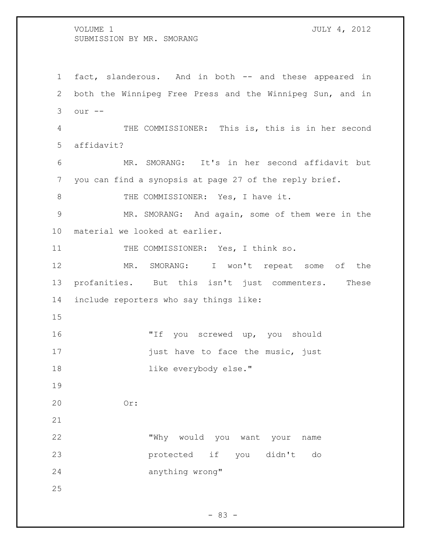fact, slanderous. And in both -- and these appeared in both the Winnipeg Free Press and the Winnipeg Sun, and in our -- THE COMMISSIONER: This is, this is in her second affidavit? MR. SMORANG: It's in her second affidavit but you can find a synopsis at page 27 of the reply brief. 8 THE COMMISSIONER: Yes, I have it. MR. SMORANG: And again, some of them were in the material we looked at earlier. 11 THE COMMISSIONER: Yes, I think so. MR. SMORANG: I won't repeat some of the profanities. But this isn't just commenters. These include reporters who say things like: "If you screwed up, you should **just have to face the music, just like everybody else."**  Or: "Why would you want your name protected if you didn't do anything wrong" 

- 83 -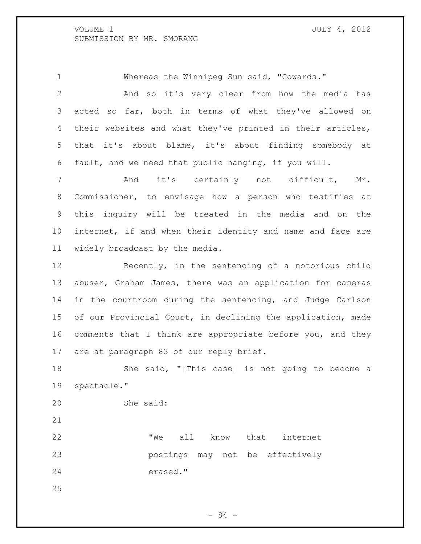Whereas the Winnipeg Sun said, "Cowards." And so it's very clear from how the media has acted so far, both in terms of what they've allowed on their websites and what they've printed in their articles, that it's about blame, it's about finding somebody at fault, and we need that public hanging, if you will.

7 and it's certainly not difficult, Mr. Commissioner, to envisage how a person who testifies at this inquiry will be treated in the media and on the internet, if and when their identity and name and face are widely broadcast by the media.

 Recently, in the sentencing of a notorious child abuser, Graham James, there was an application for cameras in the courtroom during the sentencing, and Judge Carlson of our Provincial Court, in declining the application, made comments that I think are appropriate before you, and they are at paragraph 83 of our reply brief.

 She said, "[This case] is not going to become a spectacle."

She said:

22 TWe all know that internet postings may not be effectively erased."

- 84 -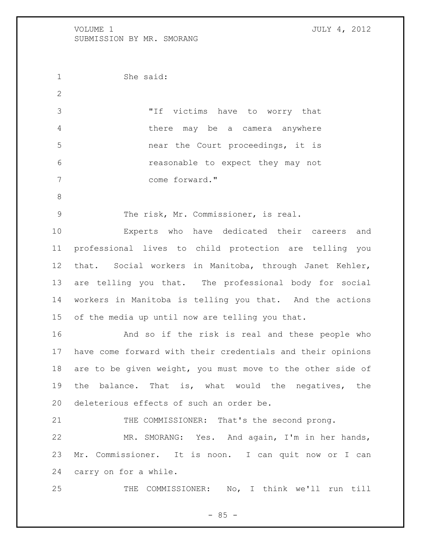She said: "If victims have to worry that there may be a camera anywhere near the Court proceedings, it is reasonable to expect they may not come forward." The risk, Mr. Commissioner, is real. Experts who have dedicated their careers and professional lives to child protection are telling you that. Social workers in Manitoba, through Janet Kehler, are telling you that. The professional body for social workers in Manitoba is telling you that. And the actions of the media up until now are telling you that. And so if the risk is real and these people who have come forward with their credentials and their opinions are to be given weight, you must move to the other side of the balance. That is, what would the negatives, the deleterious effects of such an order be. 21 THE COMMISSIONER: That's the second prong. MR. SMORANG: Yes. And again, I'm in her hands, Mr. Commissioner. It is noon. I can quit now or I can carry on for a while. THE COMMISSIONER: No, I think we'll run till

 $- 85 -$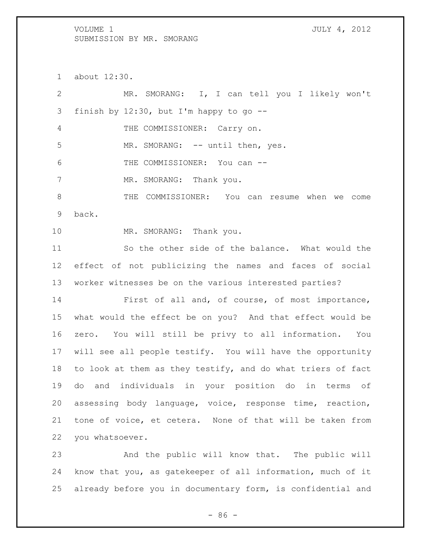about 12:30.

 MR. SMORANG: I, I can tell you I likely won't finish by 12:30, but I'm happy to go -- THE COMMISSIONER: Carry on. 5 MR. SMORANG: -- until then, yes. THE COMMISSIONER: You can -- 7 MR. SMORANG: Thank you. THE COMMISSIONER: You can resume when we come back. 10 MR. SMORANG: Thank you. So the other side of the balance. What would the effect of not publicizing the names and faces of social worker witnesses be on the various interested parties? First of all and, of course, of most importance, what would the effect be on you? And that effect would be zero. You will still be privy to all information. You will see all people testify. You will have the opportunity to look at them as they testify, and do what triers of fact do and individuals in your position do in terms of assessing body language, voice, response time, reaction, tone of voice, et cetera. None of that will be taken from you whatsoever. And the public will know that. The public will know that you, as gatekeeper of all information, much of it

 $-86 -$ 

already before you in documentary form, is confidential and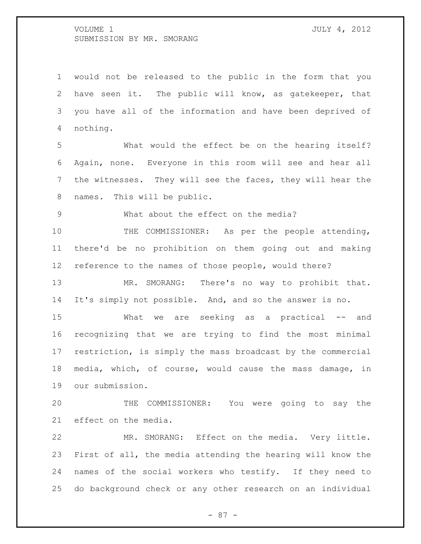would not be released to the public in the form that you have seen it. The public will know, as gatekeeper, that you have all of the information and have been deprived of nothing.

 What would the effect be on the hearing itself? Again, none. Everyone in this room will see and hear all the witnesses. They will see the faces, they will hear the names. This will be public.

What about the effect on the media?

10 THE COMMISSIONER: As per the people attending, there'd be no prohibition on them going out and making reference to the names of those people, would there?

 MR. SMORANG: There's no way to prohibit that. It's simply not possible. And, and so the answer is no.

 What we are seeking as a practical -- and recognizing that we are trying to find the most minimal restriction, is simply the mass broadcast by the commercial media, which, of course, would cause the mass damage, in our submission.

 THE COMMISSIONER: You were going to say the effect on the media.

 MR. SMORANG: Effect on the media. Very little. First of all, the media attending the hearing will know the names of the social workers who testify. If they need to do background check or any other research on an individual

- 87 -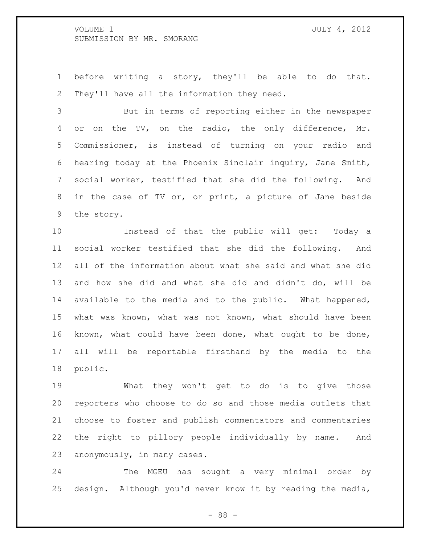before writing a story, they'll be able to do that. They'll have all the information they need.

 But in terms of reporting either in the newspaper 4 or on the TV, on the radio, the only difference, Mr. Commissioner, is instead of turning on your radio and hearing today at the Phoenix Sinclair inquiry, Jane Smith, social worker, testified that she did the following. And in the case of TV or, or print, a picture of Jane beside the story.

 Instead of that the public will get: Today a social worker testified that she did the following. And all of the information about what she said and what she did and how she did and what she did and didn't do, will be available to the media and to the public. What happened, what was known, what was not known, what should have been known, what could have been done, what ought to be done, all will be reportable firsthand by the media to the public.

 What they won't get to do is to give those reporters who choose to do so and those media outlets that choose to foster and publish commentators and commentaries the right to pillory people individually by name. And anonymously, in many cases.

 The MGEU has sought a very minimal order by design. Although you'd never know it by reading the media,

- 88 -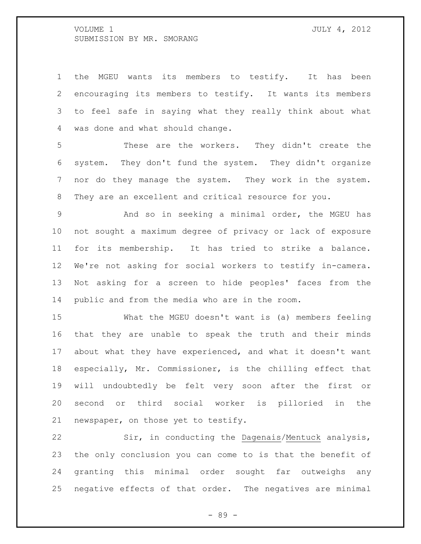the MGEU wants its members to testify. It has been encouraging its members to testify. It wants its members to feel safe in saying what they really think about what was done and what should change.

 These are the workers. They didn't create the system. They don't fund the system. They didn't organize nor do they manage the system. They work in the system. They are an excellent and critical resource for you.

 And so in seeking a minimal order, the MGEU has not sought a maximum degree of privacy or lack of exposure for its membership. It has tried to strike a balance. We're not asking for social workers to testify in-camera. Not asking for a screen to hide peoples' faces from the public and from the media who are in the room.

 What the MGEU doesn't want is (a) members feeling that they are unable to speak the truth and their minds about what they have experienced, and what it doesn't want especially, Mr. Commissioner, is the chilling effect that will undoubtedly be felt very soon after the first or second or third social worker is pilloried in the newspaper, on those yet to testify.

 Sir, in conducting the Dagenais/Mentuck analysis, the only conclusion you can come to is that the benefit of granting this minimal order sought far outweighs any negative effects of that order. The negatives are minimal

- 89 -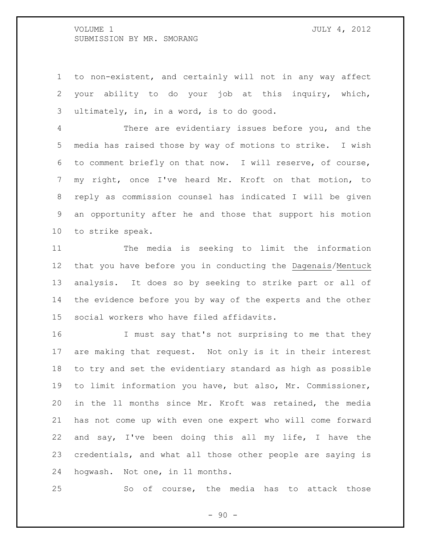to non-existent, and certainly will not in any way affect your ability to do your job at this inquiry, which, ultimately, in, in a word, is to do good.

 There are evidentiary issues before you, and the media has raised those by way of motions to strike. I wish to comment briefly on that now. I will reserve, of course, my right, once I've heard Mr. Kroft on that motion, to reply as commission counsel has indicated I will be given an opportunity after he and those that support his motion to strike speak.

 The media is seeking to limit the information that you have before you in conducting the Dagenais/Mentuck analysis. It does so by seeking to strike part or all of the evidence before you by way of the experts and the other social workers who have filed affidavits.

 I must say that's not surprising to me that they are making that request. Not only is it in their interest to try and set the evidentiary standard as high as possible to limit information you have, but also, Mr. Commissioner, in the 11 months since Mr. Kroft was retained, the media has not come up with even one expert who will come forward and say, I've been doing this all my life, I have the credentials, and what all those other people are saying is hogwash. Not one, in 11 months.

So of course, the media has to attack those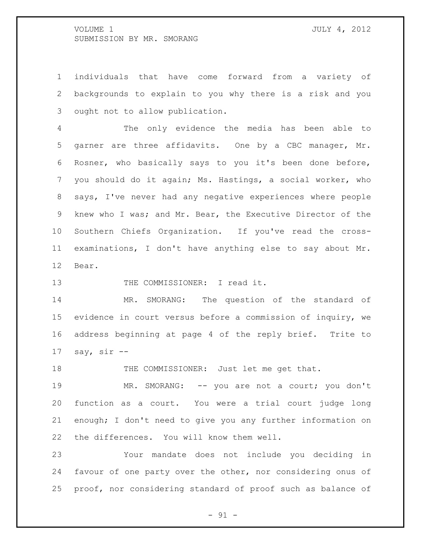individuals that have come forward from a variety of backgrounds to explain to you why there is a risk and you ought not to allow publication.

 The only evidence the media has been able to garner are three affidavits. One by a CBC manager, Mr. Rosner, who basically says to you it's been done before, you should do it again; Ms. Hastings, a social worker, who says, I've never had any negative experiences where people knew who I was; and Mr. Bear, the Executive Director of the Southern Chiefs Organization. If you've read the cross- examinations, I don't have anything else to say about Mr. Bear.

13 THE COMMISSIONER: I read it.

 MR. SMORANG: The question of the standard of evidence in court versus before a commission of inquiry, we address beginning at page 4 of the reply brief. Trite to say, sir  $-$ 

18 THE COMMISSIONER: Just let me get that.

 MR. SMORANG: -- you are not a court; you don't function as a court. You were a trial court judge long enough; I don't need to give you any further information on the differences. You will know them well.

 Your mandate does not include you deciding in favour of one party over the other, nor considering onus of proof, nor considering standard of proof such as balance of

 $-91 -$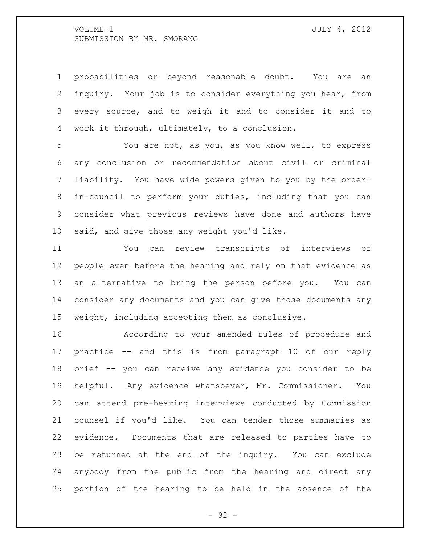probabilities or beyond reasonable doubt. You are an inquiry. Your job is to consider everything you hear, from every source, and to weigh it and to consider it and to work it through, ultimately, to a conclusion.

 You are not, as you, as you know well, to express any conclusion or recommendation about civil or criminal liability. You have wide powers given to you by the order- in-council to perform your duties, including that you can consider what previous reviews have done and authors have said, and give those any weight you'd like.

 You can review transcripts of interviews of people even before the hearing and rely on that evidence as an alternative to bring the person before you. You can consider any documents and you can give those documents any weight, including accepting them as conclusive.

 According to your amended rules of procedure and practice -- and this is from paragraph 10 of our reply brief -- you can receive any evidence you consider to be helpful. Any evidence whatsoever, Mr. Commissioner. You can attend pre-hearing interviews conducted by Commission counsel if you'd like. You can tender those summaries as evidence. Documents that are released to parties have to be returned at the end of the inquiry. You can exclude anybody from the public from the hearing and direct any portion of the hearing to be held in the absence of the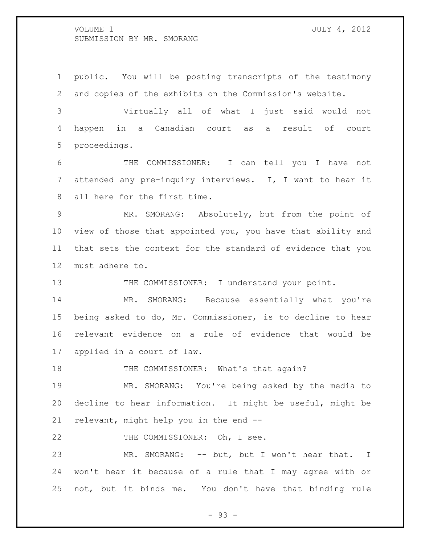public. You will be posting transcripts of the testimony and copies of the exhibits on the Commission's website.

 Virtually all of what I just said would not happen in a Canadian court as a result of court proceedings.

 THE COMMISSIONER: I can tell you I have not attended any pre-inquiry interviews. I, I want to hear it all here for the first time.

 MR. SMORANG: Absolutely, but from the point of view of those that appointed you, you have that ability and that sets the context for the standard of evidence that you must adhere to.

13 THE COMMISSIONER: I understand your point.

 MR. SMORANG: Because essentially what you're being asked to do, Mr. Commissioner, is to decline to hear relevant evidence on a rule of evidence that would be applied in a court of law.

18 THE COMMISSIONER: What's that again?

 MR. SMORANG: You're being asked by the media to decline to hear information. It might be useful, might be relevant, might help you in the end --

22 THE COMMISSIONER: Oh, I see.

23 MR. SMORANG: -- but, but I won't hear that. I won't hear it because of a rule that I may agree with or not, but it binds me. You don't have that binding rule

- 93 -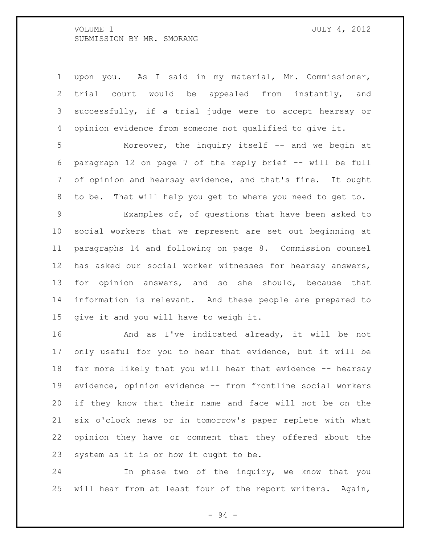upon you. As I said in my material, Mr. Commissioner, trial court would be appealed from instantly, and successfully, if a trial judge were to accept hearsay or opinion evidence from someone not qualified to give it.

 Moreover, the inquiry itself -- and we begin at paragraph 12 on page 7 of the reply brief -- will be full of opinion and hearsay evidence, and that's fine. It ought to be. That will help you get to where you need to get to.

 Examples of, of questions that have been asked to social workers that we represent are set out beginning at paragraphs 14 and following on page 8. Commission counsel has asked our social worker witnesses for hearsay answers, for opinion answers, and so she should, because that information is relevant. And these people are prepared to give it and you will have to weigh it.

 And as I've indicated already, it will be not only useful for you to hear that evidence, but it will be far more likely that you will hear that evidence -- hearsay evidence, opinion evidence -- from frontline social workers if they know that their name and face will not be on the six o'clock news or in tomorrow's paper replete with what opinion they have or comment that they offered about the system as it is or how it ought to be.

 In phase two of the inquiry, we know that you will hear from at least four of the report writers. Again,

- 94 -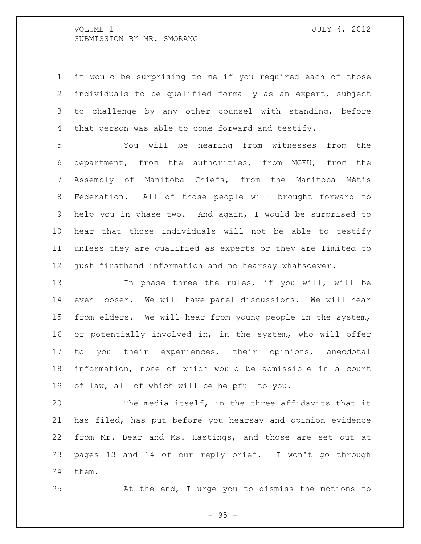it would be surprising to me if you required each of those individuals to be qualified formally as an expert, subject 3 to challenge by any other counsel with standing, before that person was able to come forward and testify.

 You will be hearing from witnesses from the department, from the authorities, from MGEU, from the Assembly of Manitoba Chiefs, from the Manitoba Métis Federation. All of those people will brought forward to help you in phase two. And again, I would be surprised to hear that those individuals will not be able to testify unless they are qualified as experts or they are limited to just firsthand information and no hearsay whatsoever.

13 13 In phase three the rules, if you will, will be even looser. We will have panel discussions. We will hear from elders. We will hear from young people in the system, or potentially involved in, in the system, who will offer to you their experiences, their opinions, anecdotal information, none of which would be admissible in a court of law, all of which will be helpful to you.

 The media itself, in the three affidavits that it has filed, has put before you hearsay and opinion evidence from Mr. Bear and Ms. Hastings, and those are set out at pages 13 and 14 of our reply brief. I won't go through them.

At the end, I urge you to dismiss the motions to

- 95 -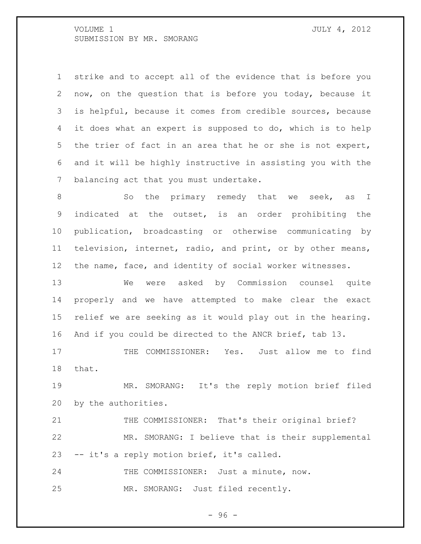strike and to accept all of the evidence that is before you now, on the question that is before you today, because it is helpful, because it comes from credible sources, because it does what an expert is supposed to do, which is to help the trier of fact in an area that he or she is not expert, and it will be highly instructive in assisting you with the balancing act that you must undertake.

8 So the primary remedy that we seek, as I indicated at the outset, is an order prohibiting the publication, broadcasting or otherwise communicating by television, internet, radio, and print, or by other means, the name, face, and identity of social worker witnesses.

 We were asked by Commission counsel quite properly and we have attempted to make clear the exact relief we are seeking as it would play out in the hearing. And if you could be directed to the ANCR brief, tab 13.

 THE COMMISSIONER: Yes. Just allow me to find that.

 MR. SMORANG: It's the reply motion brief filed by the authorities.

21 THE COMMISSIONER: That's their original brief? MR. SMORANG: I believe that is their supplemental -- it's a reply motion brief, it's called.

24 THE COMMISSIONER: Just a minute, now. MR. SMORANG: Just filed recently.

 $-96 -$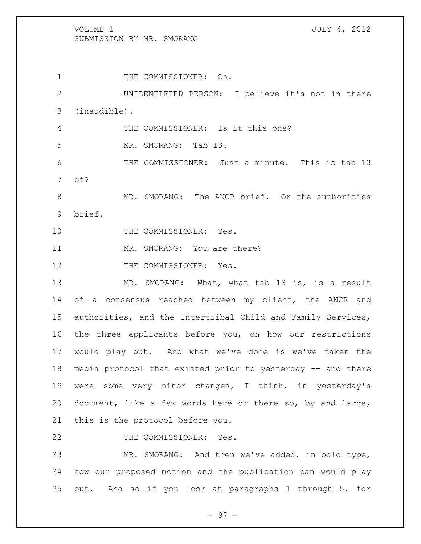1 THE COMMISSIONER: Oh. UNIDENTIFIED PERSON: I believe it's not in there (inaudible). THE COMMISSIONER: Is it this one? MR. SMORANG: Tab 13. THE COMMISSIONER: Just a minute. This is tab 13 of? 8 MR. SMORANG: The ANCR brief. Or the authorities brief. 10 THE COMMISSIONER: Yes. 11 MR. SMORANG: You are there? 12 THE COMMISSIONER: Yes. MR. SMORANG: What, what tab 13 is, is a result 14 of a consensus reached between my client, the ANCR and authorities, and the Intertribal Child and Family Services, the three applicants before you, on how our restrictions would play out. And what we've done is we've taken the media protocol that existed prior to yesterday -- and there were some very minor changes, I think, in yesterday's document, like a few words here or there so, by and large, this is the protocol before you.

22 THE COMMISSIONER: Yes.

 MR. SMORANG: And then we've added, in bold type, how our proposed motion and the publication ban would play out. And so if you look at paragraphs 1 through 5, for

- 97 -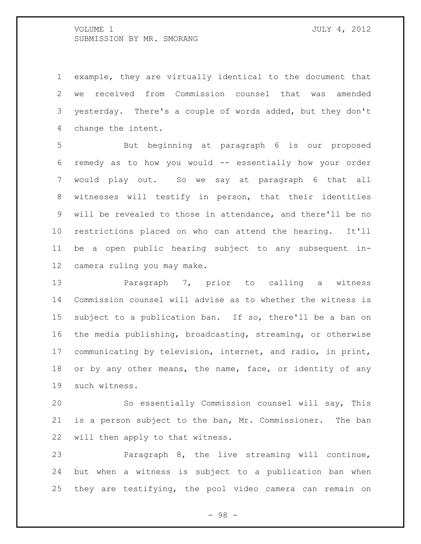example, they are virtually identical to the document that we received from Commission counsel that was amended yesterday. There's a couple of words added, but they don't change the intent.

 But beginning at paragraph 6 is our proposed remedy as to how you would -- essentially how your order would play out. So we say at paragraph 6 that all witnesses will testify in person, that their identities will be revealed to those in attendance, and there'll be no restrictions placed on who can attend the hearing. It'll be a open public hearing subject to any subsequent in-camera ruling you may make.

**Paragraph 7, prior to calling a witness**  Commission counsel will advise as to whether the witness is subject to a publication ban. If so, there'll be a ban on the media publishing, broadcasting, streaming, or otherwise communicating by television, internet, and radio, in print, 18 or by any other means, the name, face, or identity of any such witness.

 So essentially Commission counsel will say, This is a person subject to the ban, Mr. Commissioner. The ban will then apply to that witness.

 Paragraph 8, the live streaming will continue, but when a witness is subject to a publication ban when they are testifying, the pool video camera can remain on

- 98 -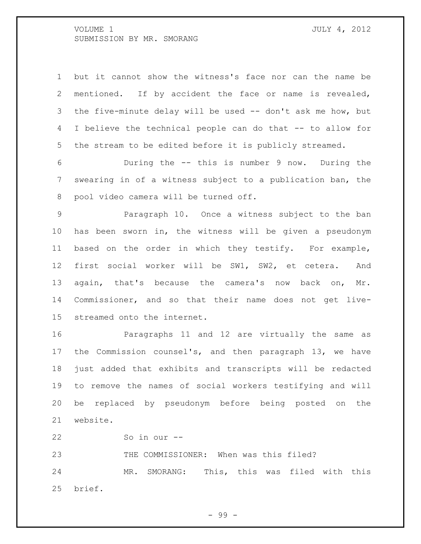but it cannot show the witness's face nor can the name be mentioned. If by accident the face or name is revealed, 3 the five-minute delay will be used -- don't ask me how, but I believe the technical people can do that -- to allow for the stream to be edited before it is publicly streamed.

 During the -- this is number 9 now. During the swearing in of a witness subject to a publication ban, the pool video camera will be turned off.

 Paragraph 10. Once a witness subject to the ban has been sworn in, the witness will be given a pseudonym based on the order in which they testify. For example, first social worker will be SW1, SW2, et cetera. And 13 again, that's because the camera's now back on, Mr. Commissioner, and so that their name does not get live-streamed onto the internet.

 Paragraphs 11 and 12 are virtually the same as the Commission counsel's, and then paragraph 13, we have just added that exhibits and transcripts will be redacted to remove the names of social workers testifying and will be replaced by pseudonym before being posted on the website.

So in our --

THE COMMISSIONER: When was this filed?

 MR. SMORANG: This, this was filed with this brief.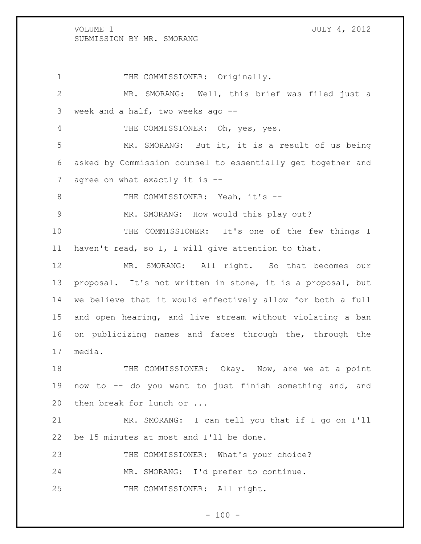# 1 THE COMMISSIONER: Originally. 2 MR. SMORANG: Well, this brief was filed just a 3 week and a half, two weeks ago -- 4 THE COMMISSIONER: Oh, yes, yes. 5 MR. SMORANG: But it, it is a result of us being 6 asked by Commission counsel to essentially get together and 7 agree on what exactly it is --8 THE COMMISSIONER: Yeah, it's --9 MR. SMORANG: How would this play out? 10 THE COMMISSIONER: It's one of the few things I 11 haven't read, so I, I will give attention to that. 12 MR. SMORANG: All right. So that becomes our 13 proposal. It's not written in stone, it is a proposal, but 14 we believe that it would effectively allow for both a full 15 and open hearing, and live stream without violating a ban 16 on publicizing names and faces through the, through the 17 media. 18 THE COMMISSIONER: Okay. Now, are we at a point 19 now to -- do you want to just finish something and, and 20 then break for lunch or ... 21 MR. SMORANG: I can tell you that if I go on I'll 22 be 15 minutes at most and I'll be done. 23 THE COMMISSIONER: What's your choice? 24 MR. SMORANG: I'd prefer to continue. 25 THE COMMISSIONER: All right.

 $- 100 -$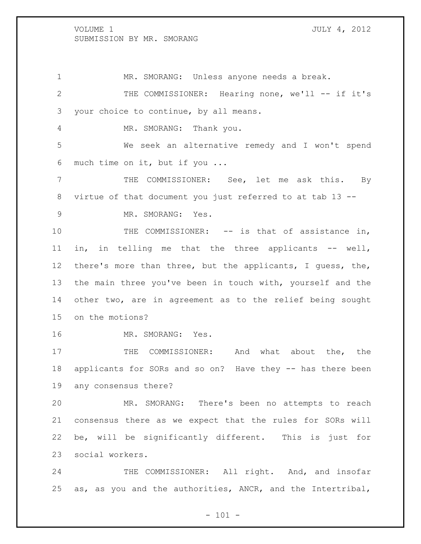MR. SMORANG: Unless anyone needs a break. THE COMMISSIONER: Hearing none, we'll -- if it's your choice to continue, by all means. 4 MR. SMORANG: Thank you. We seek an alternative remedy and I won't spend much time on it, but if you ... THE COMMISSIONER: See, let me ask this. By virtue of that document you just referred to at tab 13 -- MR. SMORANG: Yes. 10 THE COMMISSIONER: -- is that of assistance in, in, in telling me that the three applicants -- well, there's more than three, but the applicants, I guess, the, the main three you've been in touch with, yourself and the other two, are in agreement as to the relief being sought on the motions? 16 MR. SMORANG: Yes. 17 THE COMMISSIONER: And what about the, the applicants for SORs and so on? Have they -- has there been any consensus there? MR. SMORANG: There's been no attempts to reach consensus there as we expect that the rules for SORs will be, will be significantly different. This is just for social workers. 24 THE COMMISSIONER: All right. And, and insofar

 $- 101 -$ 

as, as you and the authorities, ANCR, and the Intertribal,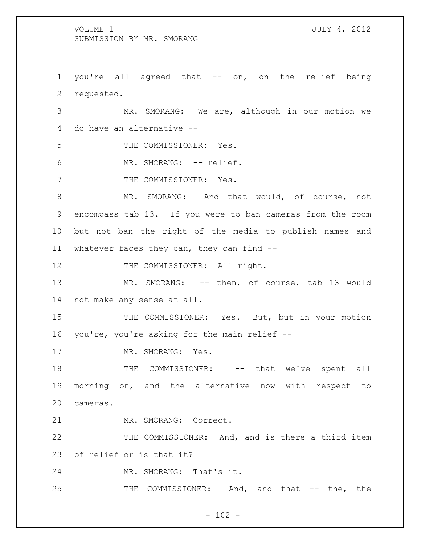1 you're all agreed that -- on, on the relief being 2 requested.

3 MR. SMORANG: We are, although in our motion we 4 do have an alternative --

5 THE COMMISSIONER: Yes.

6 MR. SMORANG: -- relief.

7 THE COMMISSIONER: Yes.

8 MR. SMORANG: And that would, of course, not 9 encompass tab 13. If you were to ban cameras from the room 10 but not ban the right of the media to publish names and 11 whatever faces they can, they can find --

12 THE COMMISSIONER: All right.

13 MR. SMORANG: -- then, of course, tab 13 would 14 not make any sense at all.

15 THE COMMISSIONER: Yes. But, but in your motion 16 you're, you're asking for the main relief --

17 MR. SMORANG: Yes.

18 THE COMMISSIONER: -- that we've spent all 19 morning on, and the alternative now with respect to 20 cameras.

21 MR. SMORANG: Correct.

22 THE COMMISSIONER: And, and is there a third item 23 of relief or is that it?

24 MR. SMORANG: That's it.

25 THE COMMISSIONER: And, and that -- the, the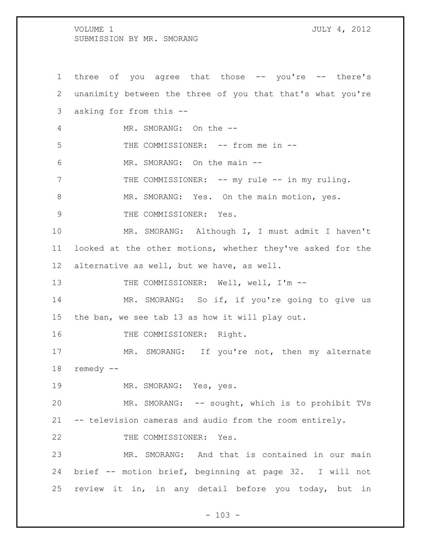three of you agree that those -- you're -- there's unanimity between the three of you that that's what you're asking for from this -- MR. SMORANG: On the -- 5 THE COMMISSIONER: -- from me in -- MR. SMORANG: On the main -- THE COMMISSIONER: -- my rule -- in my ruling. 8 MR. SMORANG: Yes. On the main motion, yes. 9 THE COMMISSIONER: Yes. MR. SMORANG: Although I, I must admit I haven't looked at the other motions, whether they've asked for the alternative as well, but we have, as well. 13 THE COMMISSIONER: Well, well, I'm --14 MR. SMORANG: So if, if you're going to give us the ban, we see tab 13 as how it will play out. 16 THE COMMISSIONER: Right. 17 MR. SMORANG: If you're not, then my alternate remedy -- MR. SMORANG: Yes, yes. MR. SMORANG: -- sought, which is to prohibit TVs -- television cameras and audio from the room entirely. 22 THE COMMISSIONER: Yes. MR. SMORANG: And that is contained in our main brief -- motion brief, beginning at page 32. I will not review it in, in any detail before you today, but in

 $- 103 -$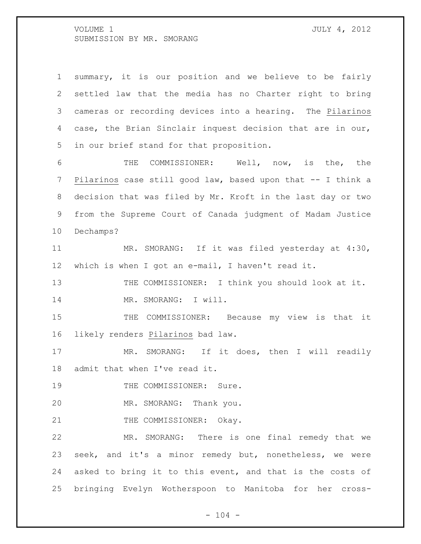| $\mathbf 1$ | summary, it is our position and we believe to be fairly     |
|-------------|-------------------------------------------------------------|
| 2           | settled law that the media has no Charter right to bring    |
| 3           | cameras or recording devices into a hearing. The Pilarinos  |
| 4           | case, the Brian Sinclair inquest decision that are in our,  |
| 5           | in our brief stand for that proposition.                    |
| 6           | COMMISSIONER: Well, now, is the, the<br>THE                 |
| 7           | Pilarinos case still good law, based upon that -- I think a |
| 8           | decision that was filed by Mr. Kroft in the last day or two |
| 9           | from the Supreme Court of Canada judgment of Madam Justice  |
| 10          | Dechamps?                                                   |
| 11          | MR. SMORANG: If it was filed yesterday at 4:30,             |
| 12          | which is when I got an e-mail, I haven't read it.           |
| 13          | THE COMMISSIONER: I think you should look at it.            |
| 14          | MR. SMORANG: I will.                                        |
| 15          | THE COMMISSIONER: Because my view is that it                |
| 16          | likely renders Pilarinos bad law.                           |
| 17          | MR. SMORANG: If it does, then I will readily                |
| 18          | admit that when I've read it.                               |
| 19          | THE COMMISSIONER: Sure.                                     |
| 20          | MR. SMORANG: Thank you.                                     |
| 21          | THE COMMISSIONER: Okay.                                     |
| 22          | MR. SMORANG: There is one final remedy that we              |
| 23          | seek, and it's a minor remedy but, nonetheless, we were     |
| 24          | asked to bring it to this event, and that is the costs of   |
| 25          | bringing Evelyn Wotherspoon to Manitoba for her cross-      |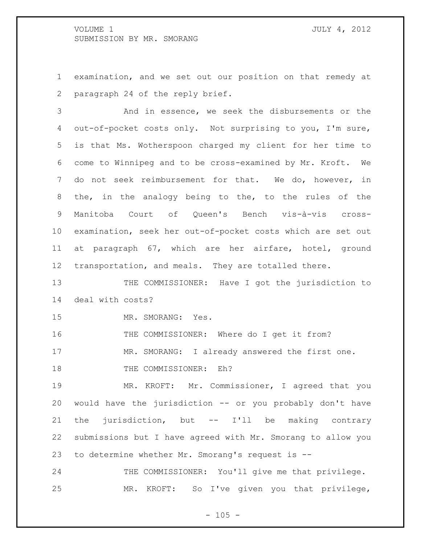examination, and we set out our position on that remedy at paragraph 24 of the reply brief.

 And in essence, we seek the disbursements or the out-of-pocket costs only. Not surprising to you, I'm sure, is that Ms. Wotherspoon charged my client for her time to come to Winnipeg and to be cross-examined by Mr. Kroft. We do not seek reimbursement for that. We do, however, in the, in the analogy being to the, to the rules of the Manitoba Court of Queen's Bench vis-à-vis cross- examination, seek her out-of-pocket costs which are set out at paragraph 67, which are her airfare, hotel, ground transportation, and meals. They are totalled there.

13 THE COMMISSIONER: Have I got the jurisdiction to deal with costs?

MR. SMORANG: Yes.

THE COMMISSIONER: Where do I get it from?

MR. SMORANG: I already answered the first one.

18 THE COMMISSIONER: Eh?

 MR. KROFT: Mr. Commissioner, I agreed that you would have the jurisdiction -- or you probably don't have the jurisdiction, but -- I'll be making contrary submissions but I have agreed with Mr. Smorang to allow you to determine whether Mr. Smorang's request is --

 THE COMMISSIONER: You'll give me that privilege. MR. KROFT: So I've given you that privilege,

 $- 105 -$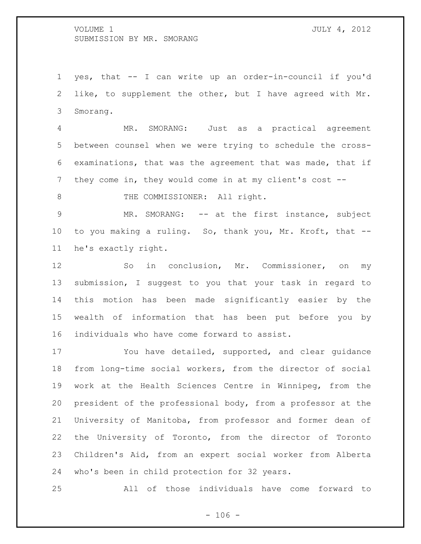yes, that -- I can write up an order-in-council if you'd like, to supplement the other, but I have agreed with Mr. Smorang.

 MR. SMORANG: Just as a practical agreement between counsel when we were trying to schedule the cross- examinations, that was the agreement that was made, that if they come in, they would come in at my client's cost --

8 THE COMMISSIONER: All right.

 MR. SMORANG: -- at the first instance, subject to you making a ruling. So, thank you, Mr. Kroft, that -- he's exactly right.

 So in conclusion, Mr. Commissioner, on my submission, I suggest to you that your task in regard to this motion has been made significantly easier by the wealth of information that has been put before you by individuals who have come forward to assist.

 You have detailed, supported, and clear guidance from long-time social workers, from the director of social work at the Health Sciences Centre in Winnipeg, from the president of the professional body, from a professor at the University of Manitoba, from professor and former dean of the University of Toronto, from the director of Toronto Children's Aid, from an expert social worker from Alberta who's been in child protection for 32 years.

All of those individuals have come forward to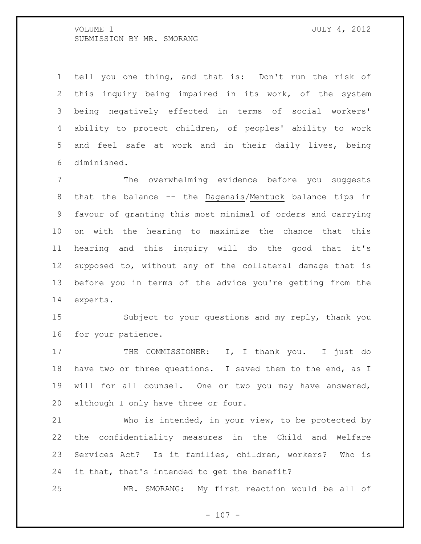tell you one thing, and that is: Don't run the risk of this inquiry being impaired in its work, of the system being negatively effected in terms of social workers' ability to protect children, of peoples' ability to work and feel safe at work and in their daily lives, being diminished.

 The overwhelming evidence before you suggests that the balance -- the Dagenais/Mentuck balance tips in favour of granting this most minimal of orders and carrying on with the hearing to maximize the chance that this hearing and this inquiry will do the good that it's supposed to, without any of the collateral damage that is before you in terms of the advice you're getting from the experts.

 Subject to your questions and my reply, thank you for your patience.

17 THE COMMISSIONER: I, I thank you. I just do have two or three questions. I saved them to the end, as I will for all counsel. One or two you may have answered, although I only have three or four.

 Who is intended, in your view, to be protected by the confidentiality measures in the Child and Welfare Services Act? Is it families, children, workers? Who is it that, that's intended to get the benefit?

MR. SMORANG: My first reaction would be all of

 $- 107 -$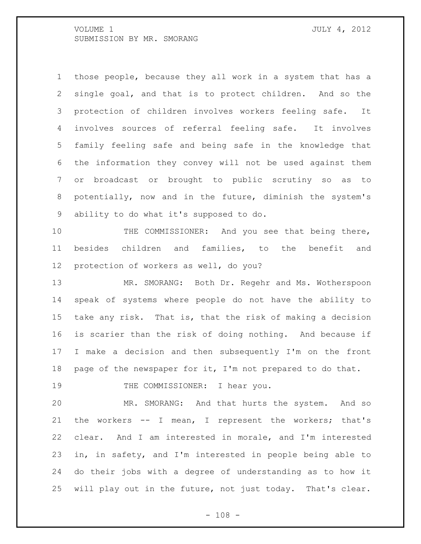those people, because they all work in a system that has a single goal, and that is to protect children. And so the protection of children involves workers feeling safe. It involves sources of referral feeling safe. It involves family feeling safe and being safe in the knowledge that the information they convey will not be used against them or broadcast or brought to public scrutiny so as to potentially, now and in the future, diminish the system's ability to do what it's supposed to do.

10 THE COMMISSIONER: And you see that being there, besides children and families, to the benefit and protection of workers as well, do you?

 MR. SMORANG: Both Dr. Regehr and Ms. Wotherspoon speak of systems where people do not have the ability to take any risk. That is, that the risk of making a decision is scarier than the risk of doing nothing. And because if I make a decision and then subsequently I'm on the front 18 page of the newspaper for it, I'm not prepared to do that.

19 THE COMMISSIONER: I hear you.

 MR. SMORANG: And that hurts the system. And so the workers -- I mean, I represent the workers; that's clear. And I am interested in morale, and I'm interested in, in safety, and I'm interested in people being able to do their jobs with a degree of understanding as to how it will play out in the future, not just today. That's clear.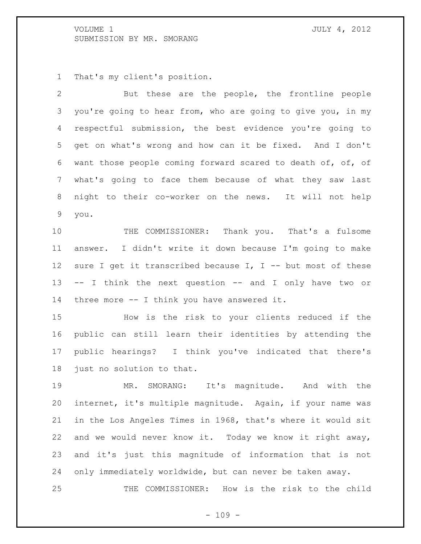That's my client's position.

 But these are the people, the frontline people you're going to hear from, who are going to give you, in my respectful submission, the best evidence you're going to get on what's wrong and how can it be fixed. And I don't want those people coming forward scared to death of, of, of what's going to face them because of what they saw last night to their co-worker on the news. It will not help you.

 THE COMMISSIONER: Thank you. That's a fulsome answer. I didn't write it down because I'm going to make 12 sure I get it transcribed because I, I -- but most of these -- I think the next question -- and I only have two or three more -- I think you have answered it.

 How is the risk to your clients reduced if the public can still learn their identities by attending the public hearings? I think you've indicated that there's just no solution to that.

 MR. SMORANG: It's magnitude. And with the internet, it's multiple magnitude. Again, if your name was in the Los Angeles Times in 1968, that's where it would sit and we would never know it. Today we know it right away, and it's just this magnitude of information that is not only immediately worldwide, but can never be taken away.

THE COMMISSIONER: How is the risk to the child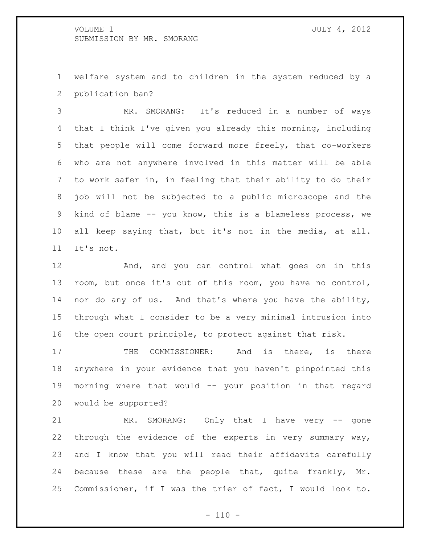welfare system and to children in the system reduced by a publication ban?

 MR. SMORANG: It's reduced in a number of ways that I think I've given you already this morning, including that people will come forward more freely, that co-workers who are not anywhere involved in this matter will be able to work safer in, in feeling that their ability to do their job will not be subjected to a public microscope and the kind of blame -- you know, this is a blameless process, we all keep saying that, but it's not in the media, at all. It's not.

 And, and you can control what goes on in this room, but once it's out of this room, you have no control, nor do any of us. And that's where you have the ability, through what I consider to be a very minimal intrusion into the open court principle, to protect against that risk.

17 THE COMMISSIONER: And is there, is there anywhere in your evidence that you haven't pinpointed this morning where that would -- your position in that regard would be supported?

 MR. SMORANG: Only that I have very -- gone through the evidence of the experts in very summary way, and I know that you will read their affidavits carefully 24 because these are the people that, quite frankly, Mr. Commissioner, if I was the trier of fact, I would look to.

 $- 110 -$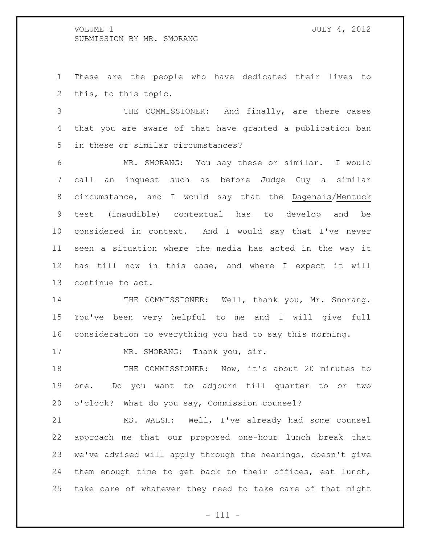These are the people who have dedicated their lives to this, to this topic.

 THE COMMISSIONER: And finally, are there cases that you are aware of that have granted a publication ban in these or similar circumstances?

 MR. SMORANG: You say these or similar. I would call an inquest such as before Judge Guy a similar circumstance, and I would say that the Dagenais/Mentuck test (inaudible) contextual has to develop and be considered in context. And I would say that I've never seen a situation where the media has acted in the way it has till now in this case, and where I expect it will continue to act.

14 THE COMMISSIONER: Well, thank you, Mr. Smorang. You've been very helpful to me and I will give full consideration to everything you had to say this morning.

17 MR. SMORANG: Thank you, sir.

18 THE COMMISSIONER: Now, it's about 20 minutes to one. Do you want to adjourn till quarter to or two o'clock? What do you say, Commission counsel?

 MS. WALSH: Well, I've already had some counsel approach me that our proposed one-hour lunch break that we've advised will apply through the hearings, doesn't give them enough time to get back to their offices, eat lunch, take care of whatever they need to take care of that might

- 111 -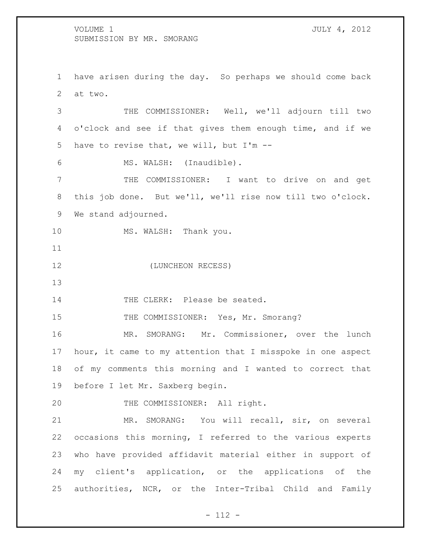have arisen during the day. So perhaps we should come back at two.

 THE COMMISSIONER: Well, we'll adjourn till two o'clock and see if that gives them enough time, and if we have to revise that, we will, but I'm --

MS. WALSH: (Inaudible).

 THE COMMISSIONER: I want to drive on and get this job done. But we'll, we'll rise now till two o'clock. We stand adjourned.

10 MS. WALSH: Thank you.

(LUNCHEON RECESS)

14 THE CLERK: Please be seated.

15 THE COMMISSIONER: Yes, Mr. Smorang?

 MR. SMORANG: Mr. Commissioner, over the lunch hour, it came to my attention that I misspoke in one aspect of my comments this morning and I wanted to correct that before I let Mr. Saxberg begin.

20 THE COMMISSIONER: All right.

 MR. SMORANG: You will recall, sir, on several occasions this morning, I referred to the various experts who have provided affidavit material either in support of my client's application, or the applications of the authorities, NCR, or the Inter-Tribal Child and Family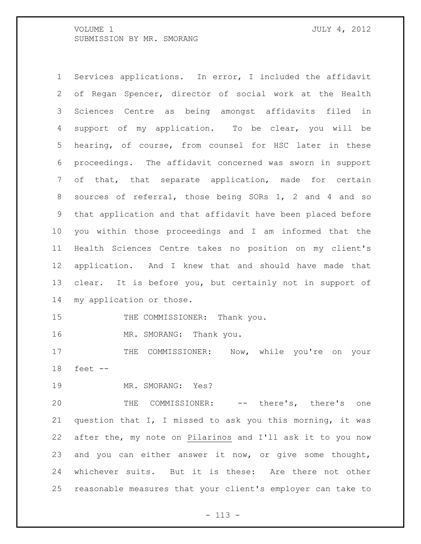Services applications. In error, I included the affidavit of Regan Spencer, director of social work at the Health Sciences Centre as being amongst affidavits filed in support of my application. To be clear, you will be hearing, of course, from counsel for HSC later in these proceedings. The affidavit concerned was sworn in support of that, that separate application, made for certain sources of referral, those being SORs 1, 2 and 4 and so that application and that affidavit have been placed before you within those proceedings and I am informed that the Health Sciences Centre takes no position on my client's application. And I knew that and should have made that clear. It is before you, but certainly not in support of my application or those.

15 THE COMMISSIONER: Thank you.

16 MR. SMORANG: Thank you.

17 THE COMMISSIONER: Now, while you're on your feet --

MR. SMORANG: Yes?

 THE COMMISSIONER: -- there's, there's one question that I, I missed to ask you this morning, it was after the, my note on Pilarinos and I'll ask it to you now and you can either answer it now, or give some thought, whichever suits. But it is these: Are there not other reasonable measures that your client's employer can take to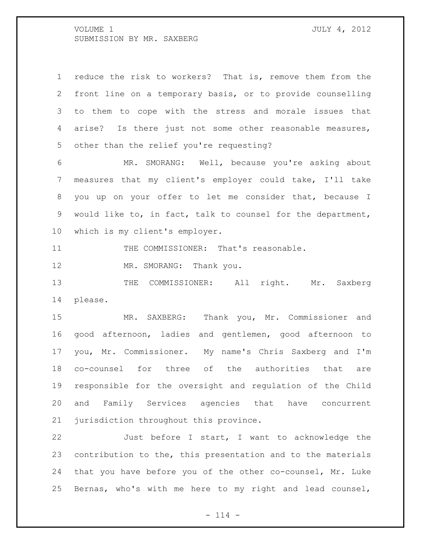reduce the risk to workers? That is, remove them from the front line on a temporary basis, or to provide counselling to them to cope with the stress and morale issues that arise? Is there just not some other reasonable measures, other than the relief you're requesting? MR. SMORANG: Well, because you're asking about measures that my client's employer could take, I'll take you up on your offer to let me consider that, because I would like to, in fact, talk to counsel for the department, which is my client's employer.

11 THE COMMISSIONER: That's reasonable.

12 MR. SMORANG: Thank you.

13 THE COMMISSIONER: All right. Mr. Saxberg please.

 MR. SAXBERG: Thank you, Mr. Commissioner and good afternoon, ladies and gentlemen, good afternoon to you, Mr. Commissioner. My name's Chris Saxberg and I'm co-counsel for three of the authorities that are responsible for the oversight and regulation of the Child and Family Services agencies that have concurrent jurisdiction throughout this province.

 Just before I start, I want to acknowledge the contribution to the, this presentation and to the materials that you have before you of the other co-counsel, Mr. Luke Bernas, who's with me here to my right and lead counsel,

 $- 114 -$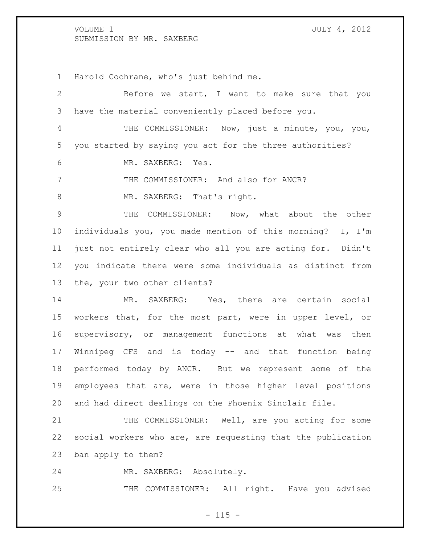Harold Cochrane, who's just behind me.

 Before we start, I want to make sure that you have the material conveniently placed before you. THE COMMISSIONER: Now, just a minute, you, you, you started by saying you act for the three authorities? MR. SAXBERG: Yes. 7 THE COMMISSIONER: And also for ANCR? 8 MR. SAXBERG: That's right. THE COMMISSIONER: Now, what about the other individuals you, you made mention of this morning? I, I'm just not entirely clear who all you are acting for. Didn't you indicate there were some individuals as distinct from the, your two other clients? MR. SAXBERG: Yes, there are certain social workers that, for the most part, were in upper level, or supervisory, or management functions at what was then Winnipeg CFS and is today -- and that function being performed today by ANCR. But we represent some of the employees that are, were in those higher level positions and had direct dealings on the Phoenix Sinclair file. 21 THE COMMISSIONER: Well, are you acting for some social workers who are, are requesting that the publication ban apply to them?

MR. SAXBERG: Absolutely.

THE COMMISSIONER: All right. Have you advised

 $- 115 -$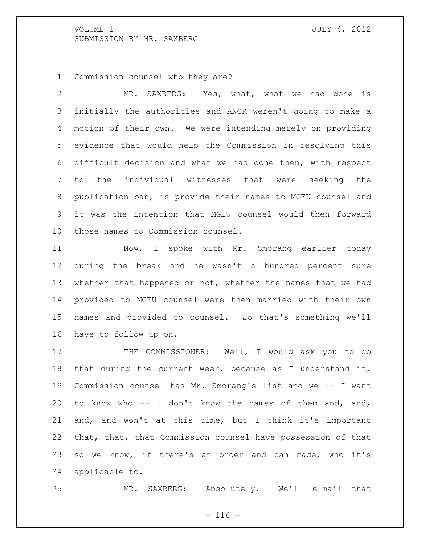Commission counsel who they are?

 MR. SAXBERG: Yes, what, what we had done is initially the authorities and ANCR weren't going to make a motion of their own. We were intending merely on providing evidence that would help the Commission in resolving this difficult decision and what we had done then, with respect to the individual witnesses that were seeking the publication ban, is provide their names to MGEU counsel and it was the intention that MGEU counsel would then forward those names to Commission counsel.

11 Mow, I spoke with Mr. Smorang earlier today during the break and he wasn't a hundred percent sure whether that happened or not, whether the names that we had provided to MGEU counsel were then married with their own names and provided to counsel. So that's something we'll have to follow up on.

17 THE COMMISSIONER: Well, I would ask you to do that during the current week, because as I understand it, Commission counsel has Mr. Smorang's list and we -- I want to know who -- I don't know the names of them and, and, and, and won't at this time, but I think it's important that, that, that Commission counsel have possession of that so we know, if there's an order and ban made, who it's applicable to.

MR. SAXBERG: Absolutely. We'll e-mail that

 $- 116 -$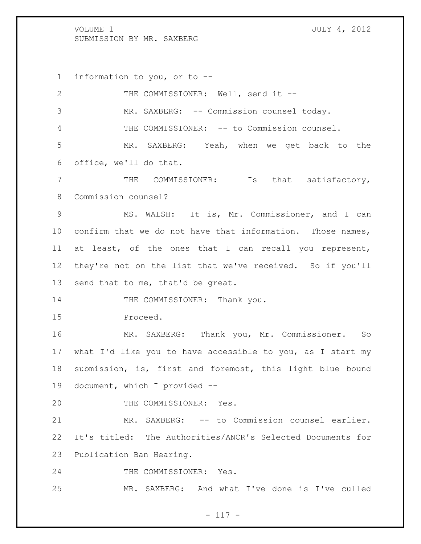information to you, or to --

| 2               | THE COMMISSIONER: Well, send it --                         |
|-----------------|------------------------------------------------------------|
| 3               | MR. SAXBERG: -- Commission counsel today.                  |
| 4               | THE COMMISSIONER: -- to Commission counsel.                |
| 5               | MR. SAXBERG: Yeah, when we get back to the                 |
| 6               | office, we'll do that.                                     |
| $7\phantom{.0}$ | THE COMMISSIONER: Is that satisfactory,                    |
| 8               | Commission counsel?                                        |
| 9               | MS. WALSH: It is, Mr. Commissioner, and I can              |
| 10 <sub>1</sub> | confirm that we do not have that information. Those names, |
| 11              | at least, of the ones that I can recall you represent,     |
| 12 <sup>°</sup> | they're not on the list that we've received. So if you'll  |
| 13              | send that to me, that'd be great.                          |
| 14              | THE COMMISSIONER: Thank you.                               |
| 15              | Proceed.                                                   |
| 16              | MR. SAXBERG: Thank you, Mr. Commissioner. So               |
| 17              | what I'd like you to have accessible to you, as I start my |
| 18              | submission, is, first and foremost, this light blue bound  |
| 19              | document, which I provided --                              |
| 20              | THE COMMISSIONER: Yes.                                     |
| 21              | SAXBERG: -- to Commission counsel earlier.<br>MR.          |
| 22              | It's titled: The Authorities/ANCR's Selected Documents for |
| 23              | Publication Ban Hearing.                                   |
| 24              | THE COMMISSIONER: Yes.                                     |
| 25              | MR. SAXBERG: And what I've done is I've culled             |

- 117 -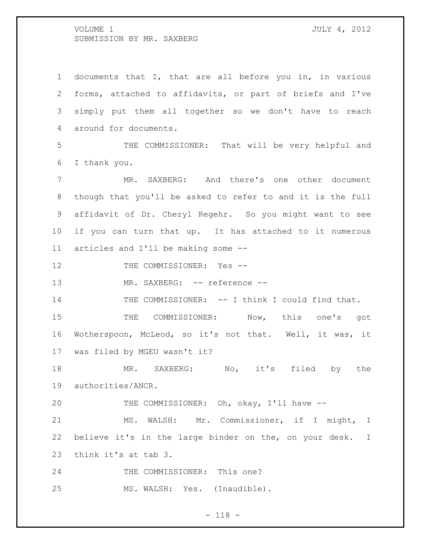| $\mathbf 1$    | documents that I, that are all before you in, in various   |
|----------------|------------------------------------------------------------|
| 2              | forms, attached to affidavits, or part of briefs and I've  |
| 3              | simply put them all together so we don't have to reach     |
| $\overline{4}$ | around for documents.                                      |
| 5              | THE COMMISSIONER: That will be very helpful and            |
| 6              | I thank you.                                               |
| 7              | MR. SAXBERG: And there's one other document                |
| 8              | though that you'll be asked to refer to and it is the full |
| 9              | affidavit of Dr. Cheryl Regehr. So you might want to see   |
| 10             | if you can turn that up. It has attached to it numerous    |
| 11             | articles and I'll be making some --                        |
| 12             | THE COMMISSIONER: Yes --                                   |
|                |                                                            |
| 13             | MR. SAXBERG: -- reference --                               |
| 14             | THE COMMISSIONER: -- I think I could find that.            |
| 15             | COMMISSIONER: Now, this one's got<br>THE                   |
| 16             | Wotherspoon, McLeod, so it's not that. Well, it was, it    |
| 17             | was filed by MGEU wasn't it?                               |
| 18             | MR.<br>No, it's filed<br>SAXBERG:<br>by<br>the             |
| 19             | authorities/ANCR.                                          |
| 20             | THE COMMISSIONER: Oh, okay, I'll have --                   |
| 21             | MS. WALSH: Mr. Commissioner, if I might, I                 |
| 22             | believe it's in the large binder on the, on your desk. I   |
| 23             | think it's at tab 3.                                       |
| 24             | THE COMMISSIONER: This one?                                |

- 118 -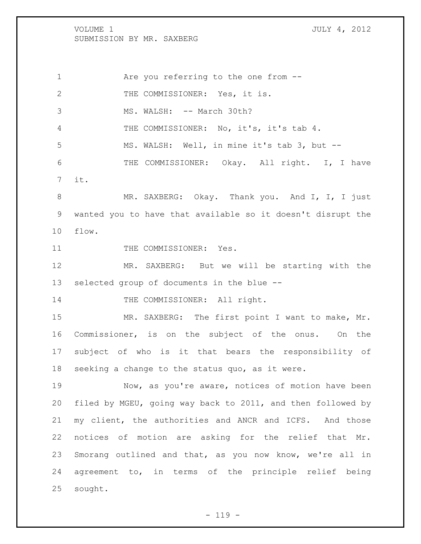1 Are you referring to the one from -- THE COMMISSIONER: Yes, it is. 3 MS. WALSH: -- March 30th? THE COMMISSIONER: No, it's, it's tab 4. MS. WALSH: Well, in mine it's tab 3, but -- 6 THE COMMISSIONER: Okay. All right. I, I have it. 8 MR. SAXBERG: Okay. Thank you. And I, I, I just wanted you to have that available so it doesn't disrupt the flow.

11 THE COMMISSIONER: Yes.

 MR. SAXBERG: But we will be starting with the selected group of documents in the blue --

14 THE COMMISSIONER: All right.

15 MR. SAXBERG: The first point I want to make, Mr. Commissioner, is on the subject of the onus. On the subject of who is it that bears the responsibility of seeking a change to the status quo, as it were.

 Now, as you're aware, notices of motion have been filed by MGEU, going way back to 2011, and then followed by my client, the authorities and ANCR and ICFS. And those notices of motion are asking for the relief that Mr. Smorang outlined and that, as you now know, we're all in agreement to, in terms of the principle relief being sought.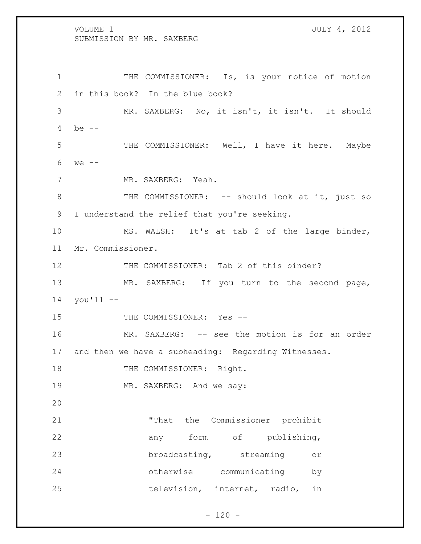1 THE COMMISSIONER: Is, is your notice of motion 2 in this book? In the blue book? 3 MR. SAXBERG: No, it isn't, it isn't. It should 4 be -- 5 THE COMMISSIONER: Well, I have it here. Maybe 6 we -- 7 MR. SAXBERG: Yeah. 8 THE COMMISSIONER: -- should look at it, just so 9 I understand the relief that you're seeking. 10 MS. WALSH: It's at tab 2 of the large binder, 11 Mr. Commissioner. 12 THE COMMISSIONER: Tab 2 of this binder? 13 MR. SAXBERG: If you turn to the second page, 14 you'll -- 15 THE COMMISSIONER: Yes --16 MR. SAXBERG: -- see the motion is for an order 17 and then we have a subheading: Regarding Witnesses. 18 THE COMMISSIONER: Right. 19 MR. SAXBERG: And we say: 20 21 "That the Commissioner prohibit 22 any form of publishing, 23 broadcasting, streaming or 24 otherwise communicating by 25 television, internet, radio, in

 $- 120 -$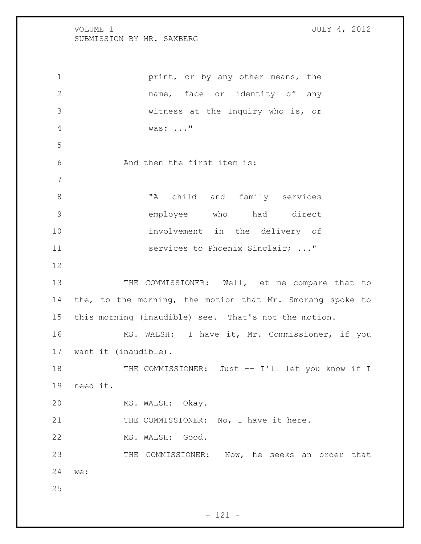**print, or by any other means, the**  name, face or identity of any witness at the Inquiry who is, or was: ..." And then the first item is: 8 TA child and family services employee who had direct involvement in the delivery of **Services to Phoenix Sinclair; ..."**  13 THE COMMISSIONER: Well, let me compare that to 14 the, to the morning, the motion that Mr. Smorang spoke to this morning (inaudible) see. That's not the motion. MS. WALSH: I have it, Mr. Commissioner, if you want it (inaudible). THE COMMISSIONER: Just -- I'll let you know if I need it. MS. WALSH: Okay. 21 THE COMMISSIONER: No, I have it here. MS. WALSH: Good. THE COMMISSIONER: Now, he seeks an order that we: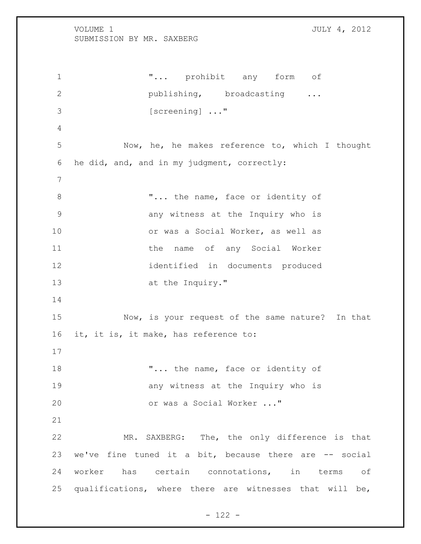1 T... prohibit any form of **publishing,** broadcasting ... 3 [screening]  $\ldots$ " Now, he, he makes reference to, which I thought he did, and, and in my judgment, correctly: 8 T... the name, face or identity of any witness at the Inquiry who is or was a Social Worker, as well as 11 the name of any Social Worker identified in documents produced 13 at the Inquiry." Now, is your request of the same nature? In that it, it is, it make, has reference to: 18 T... the name, face or identity of **19 any witness at the Inquiry who is**  or was a Social Worker ..." MR. SAXBERG: The, the only difference is that we've fine tuned it a bit, because there are -- social worker has certain connotations, in terms of 25 qualifications, where there are witnesses that will be,

- 122 -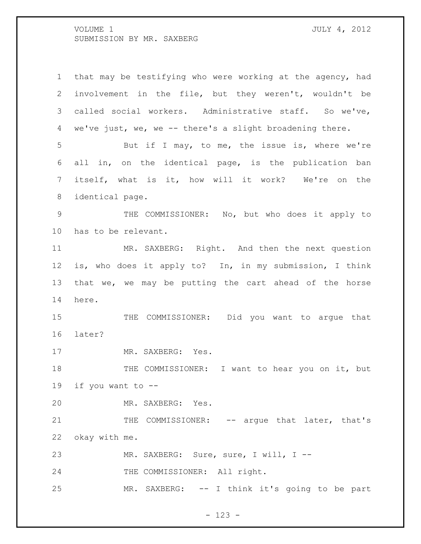that may be testifying who were working at the agency, had involvement in the file, but they weren't, wouldn't be called social workers. Administrative staff. So we've, we've just, we, we -- there's a slight broadening there. But if I may, to me, the issue is, where we're all in, on the identical page, is the publication ban itself, what is it, how will it work? We're on the identical page. THE COMMISSIONER: No, but who does it apply to has to be relevant. 11 MR. SAXBERG: Right. And then the next question is, who does it apply to? In, in my submission, I think that we, we may be putting the cart ahead of the horse here. THE COMMISSIONER: Did you want to argue that later? 17 MR. SAXBERG: Yes. 18 THE COMMISSIONER: I want to hear you on it, but 19 if you want to  $-$  MR. SAXBERG: Yes. 21 THE COMMISSIONER: -- argue that later, that's okay with me. 23 MR. SAXBERG: Sure, sure, I will, I --24 THE COMMISSIONER: All right. MR. SAXBERG: -- I think it's going to be part

- 123 -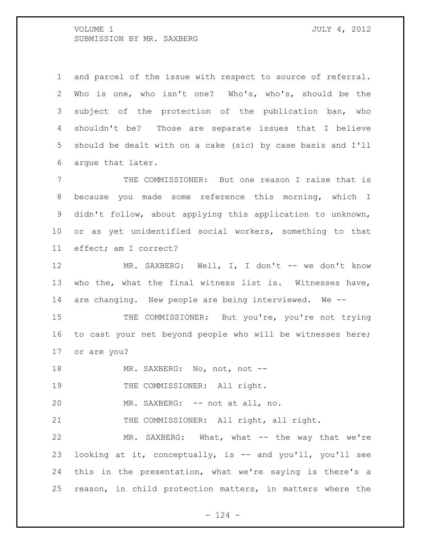and parcel of the issue with respect to source of referral. Who is one, who isn't one? Who's, who's, should be the subject of the protection of the publication ban, who shouldn't be? Those are separate issues that I believe should be dealt with on a cake (sic) by case basis and I'll argue that later.

 THE COMMISSIONER: But one reason I raise that is because you made some reference this morning, which I didn't follow, about applying this application to unknown, or as yet unidentified social workers, something to that effect; am I correct?

12 MR. SAXBERG: Well, I, I don't -- we don't know who the, what the final witness list is. Witnesses have, are changing. New people are being interviewed. We --

15 THE COMMISSIONER: But you're, you're not trying to cast your net beyond people who will be witnesses here; or are you?

18 MR. SAXBERG: No, not, not --

19 THE COMMISSIONER: All right.

MR. SAXBERG: -- not at all, no.

21 THE COMMISSIONER: All right, all right.

 MR. SAXBERG: What, what -- the way that we're looking at it, conceptually, is -- and you'll, you'll see this in the presentation, what we're saying is there's a reason, in child protection matters, in matters where the

 $- 124 -$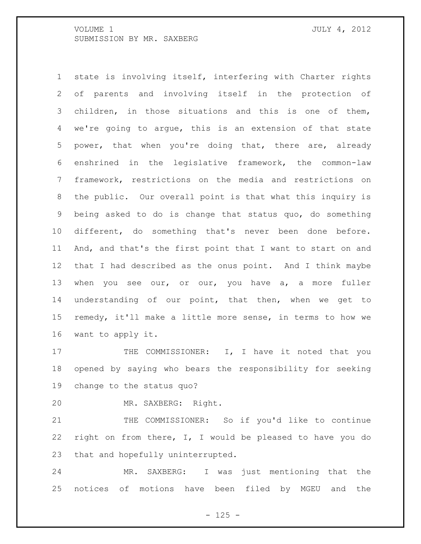state is involving itself, interfering with Charter rights of parents and involving itself in the protection of children, in those situations and this is one of them, we're going to argue, this is an extension of that state power, that when you're doing that, there are, already enshrined in the legislative framework, the common-law framework, restrictions on the media and restrictions on the public. Our overall point is that what this inquiry is being asked to do is change that status quo, do something different, do something that's never been done before. And, and that's the first point that I want to start on and that I had described as the onus point. And I think maybe when you see our, or our, you have a, a more fuller understanding of our point, that then, when we get to remedy, it'll make a little more sense, in terms to how we want to apply it.

17 THE COMMISSIONER: I, I have it noted that you opened by saying who bears the responsibility for seeking change to the status quo?

MR. SAXBERG: Right.

 THE COMMISSIONER: So if you'd like to continue right on from there, I, I would be pleased to have you do that and hopefully uninterrupted.

 MR. SAXBERG: I was just mentioning that the notices of motions have been filed by MGEU and the

 $- 125 -$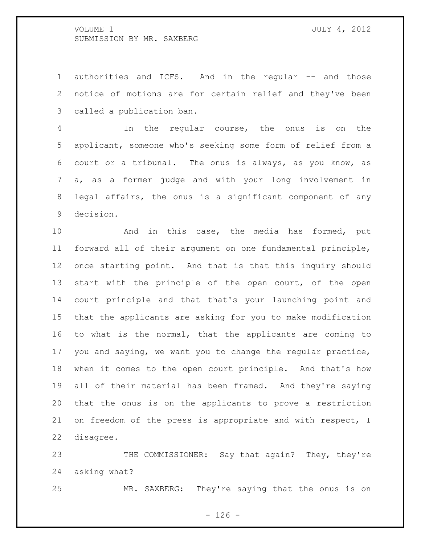1 authorities and ICFS. And in the regular -- and those notice of motions are for certain relief and they've been called a publication ban.

 In the regular course, the onus is on the applicant, someone who's seeking some form of relief from a court or a tribunal. The onus is always, as you know, as a, as a former judge and with your long involvement in legal affairs, the onus is a significant component of any decision.

 And in this case, the media has formed, put forward all of their argument on one fundamental principle, once starting point. And that is that this inquiry should start with the principle of the open court, of the open court principle and that that's your launching point and that the applicants are asking for you to make modification to what is the normal, that the applicants are coming to you and saying, we want you to change the regular practice, when it comes to the open court principle. And that's how all of their material has been framed. And they're saying that the onus is on the applicants to prove a restriction on freedom of the press is appropriate and with respect, I disagree.

23 THE COMMISSIONER: Say that again? They, they're asking what?

MR. SAXBERG: They're saying that the onus is on

 $- 126 -$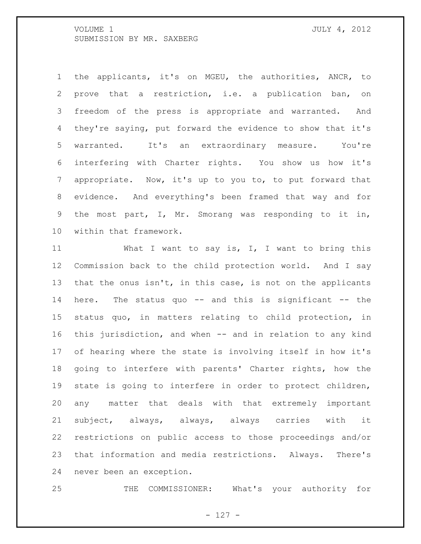the applicants, it's on MGEU, the authorities, ANCR, to prove that a restriction, i.e. a publication ban, on freedom of the press is appropriate and warranted. And they're saying, put forward the evidence to show that it's warranted. It's an extraordinary measure. You're interfering with Charter rights. You show us how it's appropriate. Now, it's up to you to, to put forward that evidence. And everything's been framed that way and for the most part, I, Mr. Smorang was responding to it in, within that framework.

11 What I want to say is, I, I want to bring this Commission back to the child protection world. And I say 13 that the onus isn't, in this case, is not on the applicants here. The status quo -- and this is significant -- the status quo, in matters relating to child protection, in this jurisdiction, and when -- and in relation to any kind of hearing where the state is involving itself in how it's going to interfere with parents' Charter rights, how the state is going to interfere in order to protect children, any matter that deals with that extremely important subject, always, always, always carries with it restrictions on public access to those proceedings and/or that information and media restrictions. Always. There's never been an exception.

THE COMMISSIONER: What's your authority for

- 127 -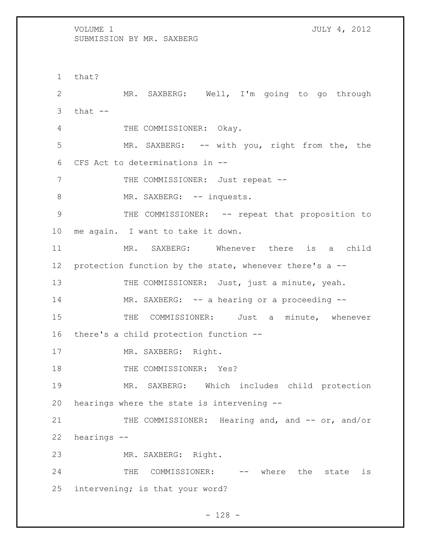1 that? 2 MR. SAXBERG: Well, I'm going to go through  $3$  that  $--$ 4 THE COMMISSIONER: Okay. 5 MR. SAXBERG: -- with you, right from the, the 6 CFS Act to determinations in -- 7 THE COMMISSIONER: Just repeat --8 MR. SAXBERG: -- inquests. 9 THE COMMISSIONER: -- repeat that proposition to 10 me again. I want to take it down. 11 MR. SAXBERG: Whenever there is a child 12 protection function by the state, whenever there's a -- 13 THE COMMISSIONER: Just, just a minute, yeah. 14 MR. SAXBERG: -- a hearing or a proceeding --15 THE COMMISSIONER: Just a minute, whenever 16 there's a child protection function -- 17 MR. SAXBERG: Right. 18 THE COMMISSIONER: Yes? 19 MR. SAXBERG: Which includes child protection 20 hearings where the state is intervening -- 21 THE COMMISSIONER: Hearing and, and -- or, and/or 22 hearings -- 23 MR. SAXBERG: Right. 24 THE COMMISSIONER: -- where the state is 25 intervening; is that your word?

- 128 -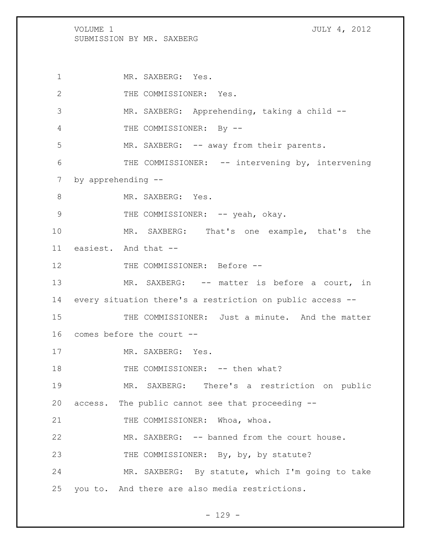1 MR. SAXBERG: Yes. 2 THE COMMISSIONER: Yes. 3 MR. SAXBERG: Apprehending, taking a child -- 4 THE COMMISSIONER: By -- 5 MR. SAXBERG: -- away from their parents. 6 THE COMMISSIONER: -- intervening by, intervening 7 by apprehending -- 8 MR. SAXBERG: Yes. 9 THE COMMISSIONER: -- yeah, okay. 10 MR. SAXBERG: That's one example, that's the 11 easiest. And that -- 12 THE COMMISSIONER: Before --13 MR. SAXBERG: -- matter is before a court, in 14 every situation there's a restriction on public access -- 15 THE COMMISSIONER: Just a minute. And the matter 16 comes before the court -- 17 MR. SAXBERG: Yes. 18 THE COMMISSIONER: -- then what? 19 MR. SAXBERG: There's a restriction on public 20 access. The public cannot see that proceeding -- 21 THE COMMISSIONER: Whoa, whoa. 22 MR. SAXBERG: -- banned from the court house. 23 THE COMMISSIONER: By, by, by statute? 24 MR. SAXBERG: By statute, which I'm going to take 25 you to. And there are also media restrictions.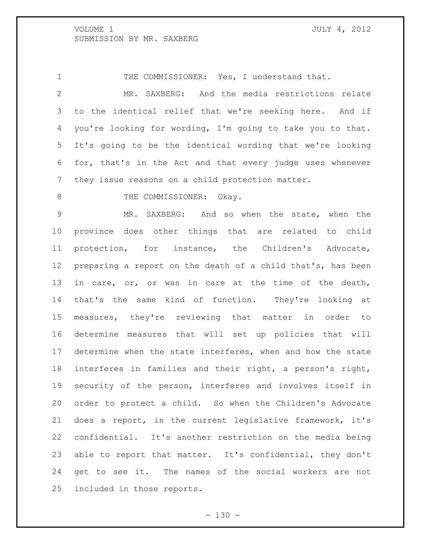1 THE COMMISSIONER: Yes, I understand that.

 MR. SAXBERG: And the media restrictions relate to the identical relief that we're seeking here. And if you're looking for wording, I'm going to take you to that. It's going to be the identical wording that we're looking for, that's in the Act and that every judge uses whenever they issue reasons on a child protection matter.

8 THE COMMISSIONER: Okay.

 MR. SAXBERG: And so when the state, when the province does other things that are related to child protection, for instance, the Children's Advocate, preparing a report on the death of a child that's, has been 13 in care, or, or was in care at the time of the death, that's the same kind of function. They're looking at measures, they're reviewing that matter in order to determine measures that will set up policies that will determine when the state interferes, when and how the state interferes in families and their right, a person's right, security of the person, interferes and involves itself in order to protect a child. So when the Children's Advocate does a report, in the current legislative framework, it's confidential. It's another restriction on the media being able to report that matter. It's confidential, they don't get to see it. The names of the social workers are not included in those reports.

 $- 130 -$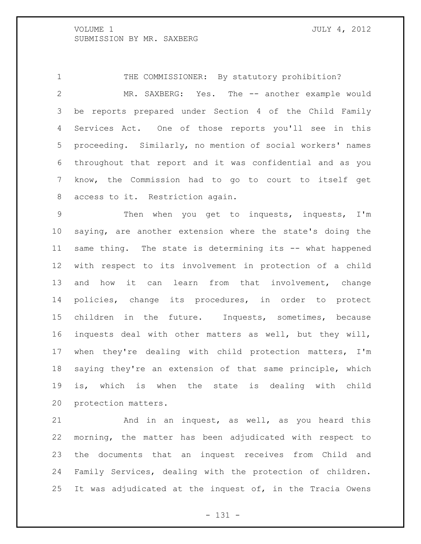THE COMMISSIONER: By statutory prohibition? 2 MR. SAXBERG: Yes. The -- another example would be reports prepared under Section 4 of the Child Family Services Act. One of those reports you'll see in this proceeding. Similarly, no mention of social workers' names throughout that report and it was confidential and as you know, the Commission had to go to court to itself get access to it. Restriction again.

 Then when you get to inquests, inquests, I'm saying, are another extension where the state's doing the same thing. The state is determining its -- what happened with respect to its involvement in protection of a child and how it can learn from that involvement, change policies, change its procedures, in order to protect children in the future. Inquests, sometimes, because inquests deal with other matters as well, but they will, when they're dealing with child protection matters, I'm saying they're an extension of that same principle, which is, which is when the state is dealing with child protection matters.

 And in an inquest, as well, as you heard this morning, the matter has been adjudicated with respect to the documents that an inquest receives from Child and Family Services, dealing with the protection of children. It was adjudicated at the inquest of, in the Tracia Owens

- 131 -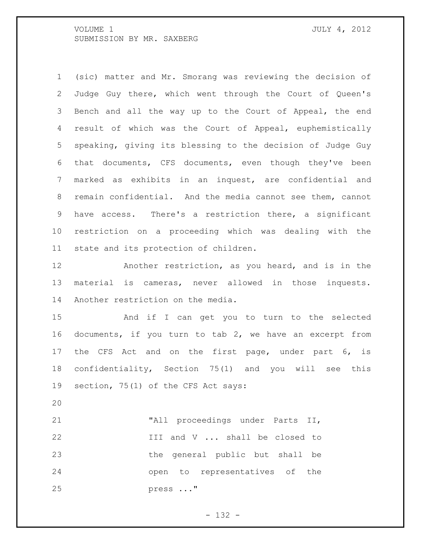(sic) matter and Mr. Smorang was reviewing the decision of Judge Guy there, which went through the Court of Queen's Bench and all the way up to the Court of Appeal, the end result of which was the Court of Appeal, euphemistically speaking, giving its blessing to the decision of Judge Guy that documents, CFS documents, even though they've been marked as exhibits in an inquest, are confidential and remain confidential. And the media cannot see them, cannot have access. There's a restriction there, a significant restriction on a proceeding which was dealing with the state and its protection of children.

 Another restriction, as you heard, and is in the material is cameras, never allowed in those inquests. Another restriction on the media.

 And if I can get you to turn to the selected documents, if you turn to tab 2, we have an excerpt from the CFS Act and on the first page, under part 6, is confidentiality, Section 75(1) and you will see this section, 75(1) of the CFS Act says:

 "All proceedings under Parts II, III and V ... shall be closed to the general public but shall be open to representatives of the press ..."

- 132 -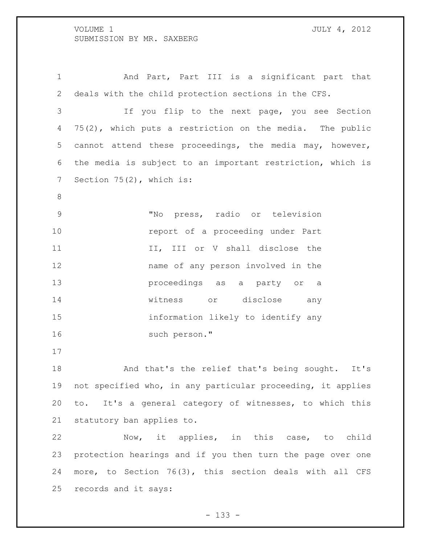And Part, Part III is a significant part that deals with the child protection sections in the CFS. If you flip to the next page, you see Section 75(2), which puts a restriction on the media. The public cannot attend these proceedings, the media may, however, the media is subject to an important restriction, which is 7 Section 75(2), which is: "No press, radio or television **report of a proceeding under Part** 11 II, III or V shall disclose the name of any person involved in the proceedings as a party or a witness or disclose any information likely to identify any such person." And that's the relief that's being sought. It's not specified who, in any particular proceeding, it applies to. It's a general category of witnesses, to which this statutory ban applies to. Now, it applies, in this case, to child

 protection hearings and if you then turn the page over one more, to Section 76(3), this section deals with all CFS records and it says:

- 133 -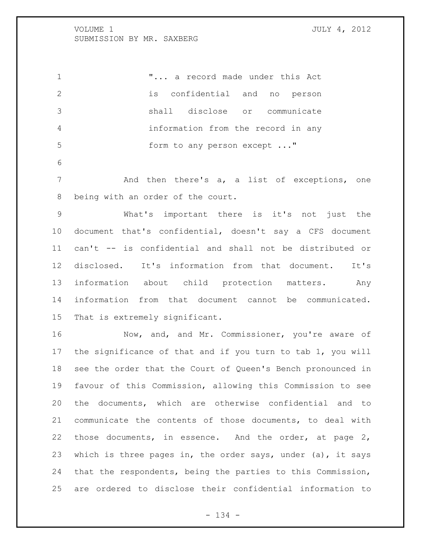"... a record made under this Act is confidential and no person shall disclose or communicate information from the record in any 5 form to any person except ..." And then there's a, a list of exceptions, one being with an order of the court. What's important there is it's not just the document that's confidential, doesn't say a CFS document can't -- is confidential and shall not be distributed or disclosed. It's information from that document. It's information about child protection matters. Any information from that document cannot be communicated. That is extremely significant. 16 Mow, and, and Mr. Commissioner, you're aware of

 the significance of that and if you turn to tab 1, you will see the order that the Court of Queen's Bench pronounced in favour of this Commission, allowing this Commission to see the documents, which are otherwise confidential and to communicate the contents of those documents, to deal with those documents, in essence. And the order, at page 2, which is three pages in, the order says, under (a), it says that the respondents, being the parties to this Commission, are ordered to disclose their confidential information to

- 134 -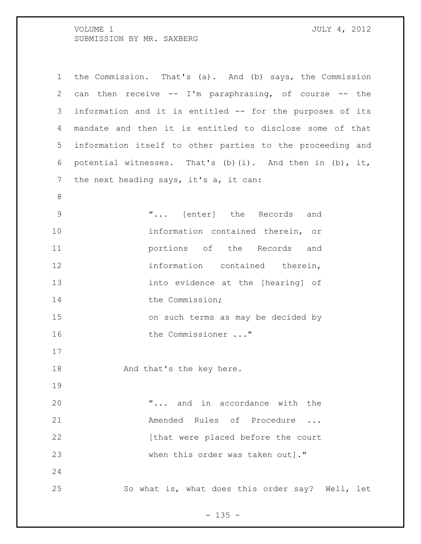| $\mathbf 1$    | the Commission. That's (a). And (b) says, the Commission  |
|----------------|-----------------------------------------------------------|
| 2              | can then receive -- I'm paraphrasing, of course -- the    |
| 3              | information and it is entitled -- for the purposes of its |
| 4              | mandate and then it is entitled to disclose some of that  |
| 5              | information itself to other parties to the proceeding and |
| 6              | potential witnesses. That's (b)(i). And then in (b), it,  |
| 7              | the next heading says, it's a, it can:                    |
| 8              |                                                           |
| $\overline{9}$ | " [enter] the Records and                                 |
| 10             | information contained therein, or                         |
| 11             | portions of the Records and                               |
| 12             | information contained therein,                            |
| 13             | into evidence at the [hearing] of                         |
| 14             | the Commission;                                           |
| 15             | on such terms as may be decided by                        |
| 16             | the Commissioner "                                        |
| 17             |                                                           |
| 18             | And that's the key here.                                  |
| 19             |                                                           |
| 20             | " and in accordance with the                              |
| 21             | Amended Rules of Procedure                                |
| 22             | [that were placed before the court                        |
| 23             | when this order was taken out]."                          |
| 24             |                                                           |
| 25             | So what is, what does this order say? Well, let           |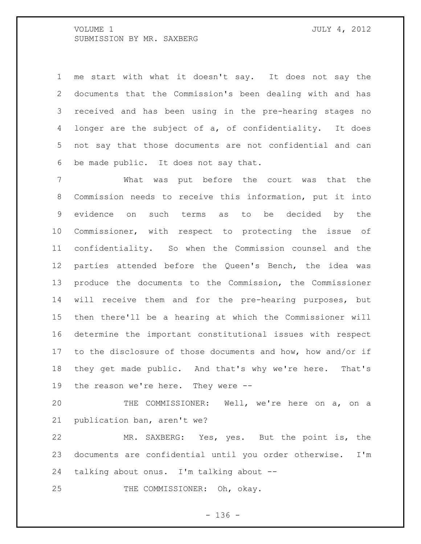me start with what it doesn't say. It does not say the documents that the Commission's been dealing with and has received and has been using in the pre-hearing stages no longer are the subject of a, of confidentiality. It does not say that those documents are not confidential and can be made public. It does not say that.

 What was put before the court was that the Commission needs to receive this information, put it into evidence on such terms as to be decided by the Commissioner, with respect to protecting the issue of confidentiality. So when the Commission counsel and the parties attended before the Queen's Bench, the idea was produce the documents to the Commission, the Commissioner will receive them and for the pre-hearing purposes, but then there'll be a hearing at which the Commissioner will determine the important constitutional issues with respect to the disclosure of those documents and how, how and/or if they get made public. And that's why we're here. That's the reason we're here. They were --

 THE COMMISSIONER: Well, we're here on a, on a publication ban, aren't we?

 MR. SAXBERG: Yes, yes. But the point is, the documents are confidential until you order otherwise. I'm talking about onus. I'm talking about --

25 THE COMMISSIONER: Oh, okay.

- 136 -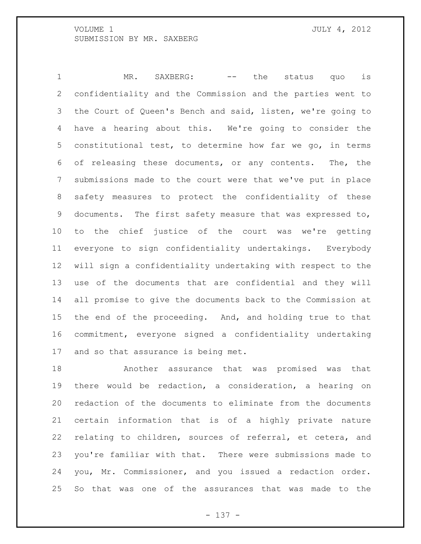1 MR. SAXBERG: -- the status quo is confidentiality and the Commission and the parties went to the Court of Queen's Bench and said, listen, we're going to have a hearing about this. We're going to consider the constitutional test, to determine how far we go, in terms of releasing these documents, or any contents. The, the submissions made to the court were that we've put in place safety measures to protect the confidentiality of these documents. The first safety measure that was expressed to, to the chief justice of the court was we're getting everyone to sign confidentiality undertakings. Everybody will sign a confidentiality undertaking with respect to the use of the documents that are confidential and they will all promise to give the documents back to the Commission at the end of the proceeding. And, and holding true to that commitment, everyone signed a confidentiality undertaking and so that assurance is being met.

 Another assurance that was promised was that there would be redaction, a consideration, a hearing on redaction of the documents to eliminate from the documents certain information that is of a highly private nature relating to children, sources of referral, et cetera, and you're familiar with that. There were submissions made to you, Mr. Commissioner, and you issued a redaction order. So that was one of the assurances that was made to the

- 137 -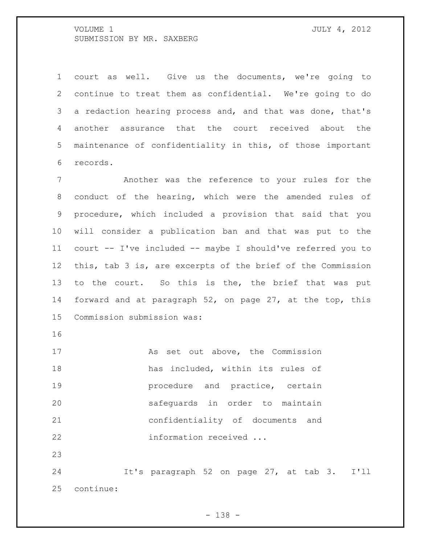court as well. Give us the documents, we're going to continue to treat them as confidential. We're going to do a redaction hearing process and, and that was done, that's another assurance that the court received about the maintenance of confidentiality in this, of those important records.

 Another was the reference to your rules for the conduct of the hearing, which were the amended rules of procedure, which included a provision that said that you will consider a publication ban and that was put to the court -- I've included -- maybe I should've referred you to this, tab 3 is, are excerpts of the brief of the Commission 13 to the court. So this is the, the brief that was put forward and at paragraph 52, on page 27, at the top, this Commission submission was:

17 As set out above, the Commission has included, within its rules of **19** procedure and practice, certain safeguards in order to maintain confidentiality of documents and information received ...

 It's paragraph 52 on page 27, at tab 3. I'll continue: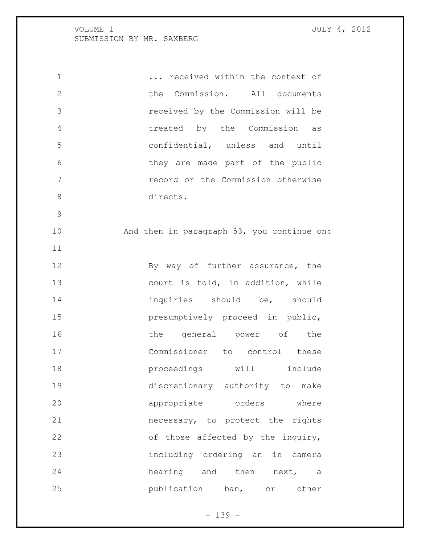1 1 ... received within the context of the Commission. All documents received by the Commission will be treated by the Commission as confidential, unless and until they are made part of the public record or the Commission otherwise directs. And then in paragraph 53, you continue on: 12 By way of further assurance, the 13 court is told, in addition, while 14 inquiries should be, should presumptively proceed in public, 16 the general power of the Commissioner to control these **proceedings** will include discretionary authority to make **appropriate** orders where necessary, to protect the rights of those affected by the inquiry, including ordering an in camera 24 hearing and then next, a publication ban, or other

 $- 139 -$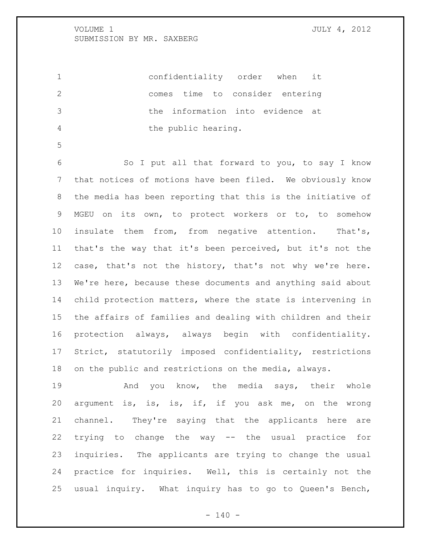confidentiality order when it comes time to consider entering the information into evidence at the public hearing.

 So I put all that forward to you, to say I know that notices of motions have been filed. We obviously know the media has been reporting that this is the initiative of MGEU on its own, to protect workers or to, to somehow insulate them from, from negative attention. That's, that's the way that it's been perceived, but it's not the case, that's not the history, that's not why we're here. We're here, because these documents and anything said about child protection matters, where the state is intervening in the affairs of families and dealing with children and their protection always, always begin with confidentiality. Strict, statutorily imposed confidentiality, restrictions on the public and restrictions on the media, always.

19 And you know, the media says, their whole argument is, is, is, if, if you ask me, on the wrong channel. They're saying that the applicants here are trying to change the way -- the usual practice for inquiries. The applicants are trying to change the usual practice for inquiries. Well, this is certainly not the usual inquiry. What inquiry has to go to Queen's Bench,

 $- 140 -$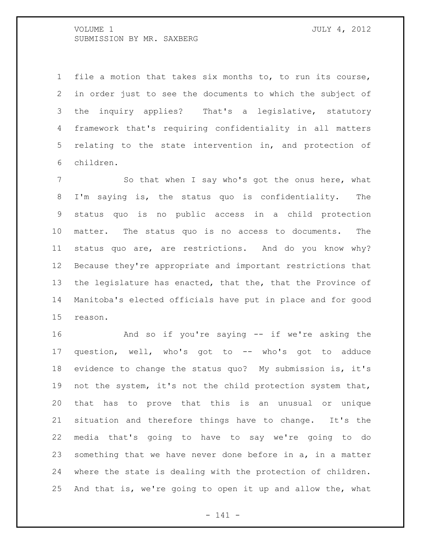file a motion that takes six months to, to run its course, in order just to see the documents to which the subject of the inquiry applies? That's a legislative, statutory framework that's requiring confidentiality in all matters relating to the state intervention in, and protection of children.

7 So that when I say who's got the onus here, what I'm saying is, the status quo is confidentiality. The status quo is no public access in a child protection matter. The status quo is no access to documents. The status quo are, are restrictions. And do you know why? Because they're appropriate and important restrictions that the legislature has enacted, that the, that the Province of Manitoba's elected officials have put in place and for good reason.

 And so if you're saying -- if we're asking the question, well, who's got to -- who's got to adduce evidence to change the status quo? My submission is, it's 19 not the system, it's not the child protection system that, that has to prove that this is an unusual or unique situation and therefore things have to change. It's the media that's going to have to say we're going to do something that we have never done before in a, in a matter where the state is dealing with the protection of children. And that is, we're going to open it up and allow the, what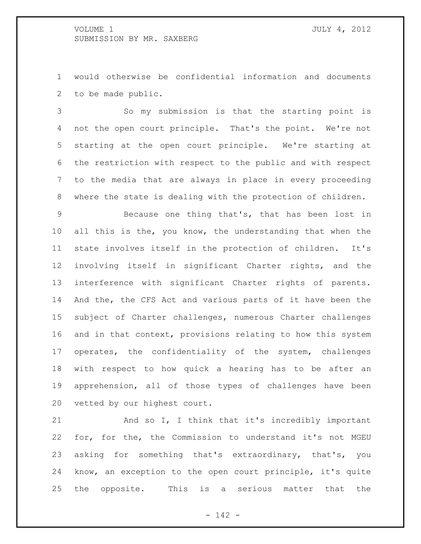would otherwise be confidential information and documents to be made public.

 So my submission is that the starting point is not the open court principle. That's the point. We're not starting at the open court principle. We're starting at the restriction with respect to the public and with respect to the media that are always in place in every proceeding where the state is dealing with the protection of children.

 Because one thing that's, that has been lost in 10 all this is the, you know, the understanding that when the state involves itself in the protection of children. It's involving itself in significant Charter rights, and the interference with significant Charter rights of parents. And the, the CFS Act and various parts of it have been the subject of Charter challenges, numerous Charter challenges and in that context, provisions relating to how this system operates, the confidentiality of the system, challenges with respect to how quick a hearing has to be after an apprehension, all of those types of challenges have been vetted by our highest court.

 And so I, I think that it's incredibly important for, for the, the Commission to understand it's not MGEU asking for something that's extraordinary, that's, you know, an exception to the open court principle, it's quite the opposite. This is a serious matter that the

- 142 -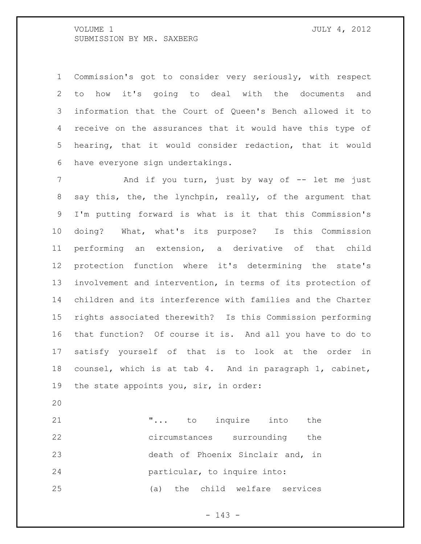Commission's got to consider very seriously, with respect to how it's going to deal with the documents and information that the Court of Queen's Bench allowed it to receive on the assurances that it would have this type of hearing, that it would consider redaction, that it would have everyone sign undertakings.

7 And if you turn, just by way of -- let me just 8 say this, the, the lynchpin, really, of the argument that I'm putting forward is what is it that this Commission's doing? What, what's its purpose? Is this Commission performing an extension, a derivative of that child protection function where it's determining the state's involvement and intervention, in terms of its protection of children and its interference with families and the Charter rights associated therewith? Is this Commission performing that function? Of course it is. And all you have to do to satisfy yourself of that is to look at the order in counsel, which is at tab 4. And in paragraph 1, cabinet, the state appoints you, sir, in order:

 "... to inquire into the circumstances surrounding the death of Phoenix Sinclair and, in particular, to inquire into: (a) the child welfare services

 $- 143 -$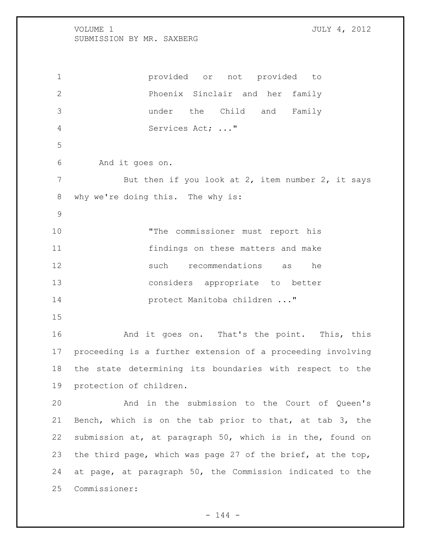provided or not provided to Phoenix Sinclair and her family under the Child and Family Services Act; ..." And it goes on. 7 But then if you look at 2, item number 2, it says why we're doing this. The why is: "The commissioner must report his findings on these matters and make such recommendations as he considers appropriate to better protect Manitoba children ..." And it goes on. That's the point. This, this proceeding is a further extension of a proceeding involving the state determining its boundaries with respect to the protection of children. And in the submission to the Court of Queen's Bench, which is on the tab prior to that, at tab 3, the submission at, at paragraph 50, which is in the, found on the third page, which was page 27 of the brief, at the top,

 at page, at paragraph 50, the Commission indicated to the Commissioner:

 $- 144 -$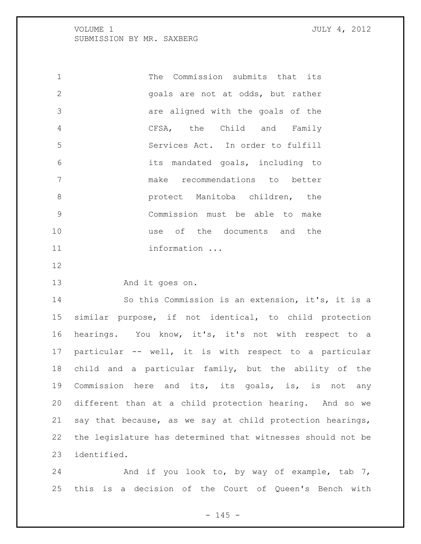The Commission submits that its goals are not at odds, but rather are aligned with the goals of the CFSA, the Child and Family Services Act. In order to fulfill its mandated goals, including to make recommendations to better **8 protect Manitoba children, the**  Commission must be able to make use of the documents and the 11 information ...

And it goes on.

 So this Commission is an extension, it's, it is a similar purpose, if not identical, to child protection hearings. You know, it's, it's not with respect to a particular -- well, it is with respect to a particular child and a particular family, but the ability of the Commission here and its, its goals, is, is not any different than at a child protection hearing. And so we say that because, as we say at child protection hearings, the legislature has determined that witnesses should not be identified.

24 And if you look to, by way of example, tab 7, this is a decision of the Court of Queen's Bench with

 $- 145 -$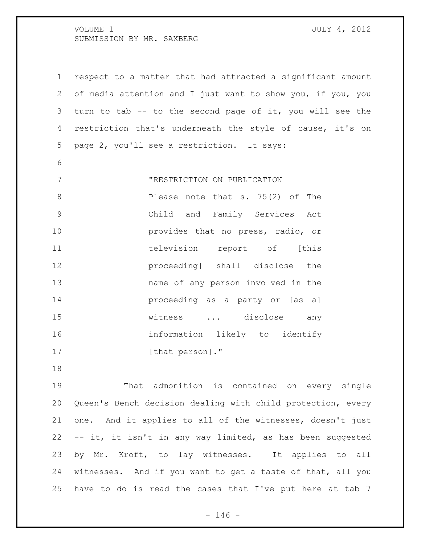| $\mathbf 1$  | respect to a matter that had attracted a significant amount |
|--------------|-------------------------------------------------------------|
| $\mathbf{2}$ | of media attention and I just want to show you, if you, you |
| 3            | turn to tab -- to the second page of it, you will see the   |
| 4            | restriction that's underneath the style of cause, it's on   |
| 5            | page 2, you'll see a restriction. It says:                  |
| 6            |                                                             |
| 7            | "RESTRICTION ON PUBLICATION                                 |
| 8            | Please note that s. 75(2) of The                            |
| 9            | Child and Family Services Act                               |
| 10           | provides that no press, radio, or                           |
| 11           | television report of [this                                  |
| 12           | proceeding] shall disclose the                              |
| 13           | name of any person involved in the                          |
| 14           | proceeding as a party or [as a]                             |
| 15           | witness  disclose any                                       |
| 16           | information likely to identify                              |
| 17           | [that person]."                                             |
|              |                                                             |

 That admonition is contained on every single Queen's Bench decision dealing with child protection, every one. And it applies to all of the witnesses, doesn't just -- it, it isn't in any way limited, as has been suggested by Mr. Kroft, to lay witnesses. It applies to all witnesses. And if you want to get a taste of that, all you have to do is read the cases that I've put here at tab 7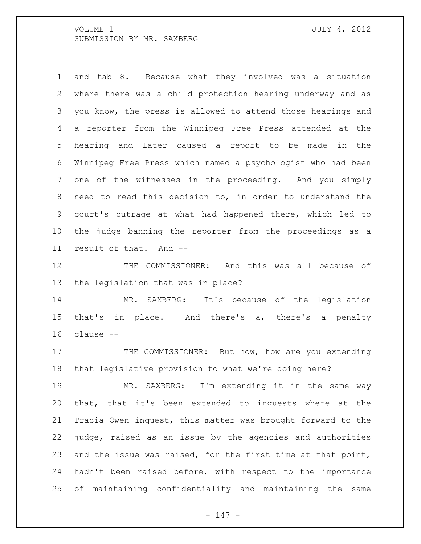and tab 8. Because what they involved was a situation where there was a child protection hearing underway and as you know, the press is allowed to attend those hearings and a reporter from the Winnipeg Free Press attended at the hearing and later caused a report to be made in the Winnipeg Free Press which named a psychologist who had been one of the witnesses in the proceeding. And you simply need to read this decision to, in order to understand the court's outrage at what had happened there, which led to the judge banning the reporter from the proceedings as a result of that. And --

 THE COMMISSIONER: And this was all because of the legislation that was in place?

 MR. SAXBERG: It's because of the legislation that's in place. And there's a, there's a penalty clause --

17 THE COMMISSIONER: But how, how are you extending that legislative provision to what we're doing here?

 MR. SAXBERG: I'm extending it in the same way that, that it's been extended to inquests where at the Tracia Owen inquest, this matter was brought forward to the judge, raised as an issue by the agencies and authorities and the issue was raised, for the first time at that point, hadn't been raised before, with respect to the importance of maintaining confidentiality and maintaining the same

- 147 -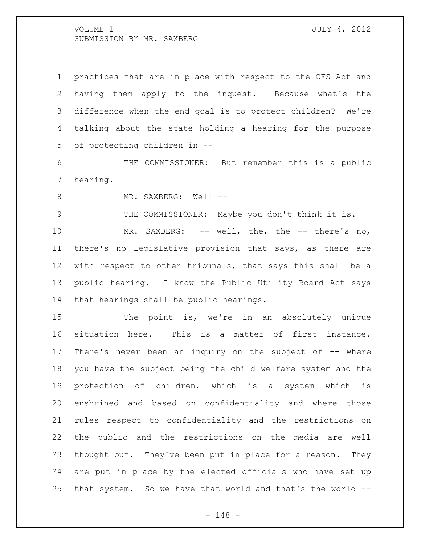practices that are in place with respect to the CFS Act and having them apply to the inquest. Because what's the difference when the end goal is to protect children? We're talking about the state holding a hearing for the purpose of protecting children in --

 THE COMMISSIONER: But remember this is a public hearing.

8 MR. SAXBERG: Well --

THE COMMISSIONER: Maybe you don't think it is.

10 MR. SAXBERG: -- well, the, the -- there's no, there's no legislative provision that says, as there are with respect to other tribunals, that says this shall be a public hearing. I know the Public Utility Board Act says that hearings shall be public hearings.

15 The point is, we're in an absolutely unique situation here. This is a matter of first instance. There's never been an inquiry on the subject of -- where you have the subject being the child welfare system and the protection of children, which is a system which is enshrined and based on confidentiality and where those rules respect to confidentiality and the restrictions on the public and the restrictions on the media are well thought out. They've been put in place for a reason. They are put in place by the elected officials who have set up that system. So we have that world and that's the world --

- 148 -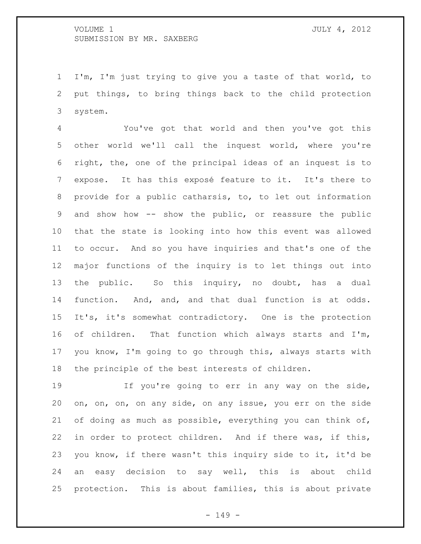I'm, I'm just trying to give you a taste of that world, to put things, to bring things back to the child protection system.

 You've got that world and then you've got this other world we'll call the inquest world, where you're right, the, one of the principal ideas of an inquest is to expose. It has this exposé feature to it. It's there to provide for a public catharsis, to, to let out information and show how -- show the public, or reassure the public that the state is looking into how this event was allowed to occur. And so you have inquiries and that's one of the major functions of the inquiry is to let things out into the public. So this inquiry, no doubt, has a dual function. And, and, and that dual function is at odds. It's, it's somewhat contradictory. One is the protection of children. That function which always starts and I'm, you know, I'm going to go through this, always starts with the principle of the best interests of children.

 If you're going to err in any way on the side, on, on, on, on any side, on any issue, you err on the side of doing as much as possible, everything you can think of, in order to protect children. And if there was, if this, you know, if there wasn't this inquiry side to it, it'd be an easy decision to say well, this is about child protection. This is about families, this is about private

- 149 -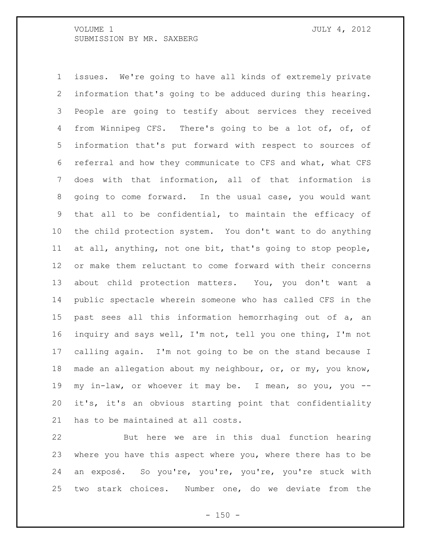issues. We're going to have all kinds of extremely private information that's going to be adduced during this hearing. People are going to testify about services they received from Winnipeg CFS. There's going to be a lot of, of, of information that's put forward with respect to sources of referral and how they communicate to CFS and what, what CFS does with that information, all of that information is going to come forward. In the usual case, you would want that all to be confidential, to maintain the efficacy of the child protection system. You don't want to do anything at all, anything, not one bit, that's going to stop people, or make them reluctant to come forward with their concerns about child protection matters. You, you don't want a public spectacle wherein someone who has called CFS in the past sees all this information hemorrhaging out of a, an inquiry and says well, I'm not, tell you one thing, I'm not calling again. I'm not going to be on the stand because I made an allegation about my neighbour, or, or my, you know, my in-law, or whoever it may be. I mean, so you, you -- it's, it's an obvious starting point that confidentiality has to be maintained at all costs.

 But here we are in this dual function hearing where you have this aspect where you, where there has to be an exposé. So you're, you're, you're, you're stuck with two stark choices. Number one, do we deviate from the

 $- 150 -$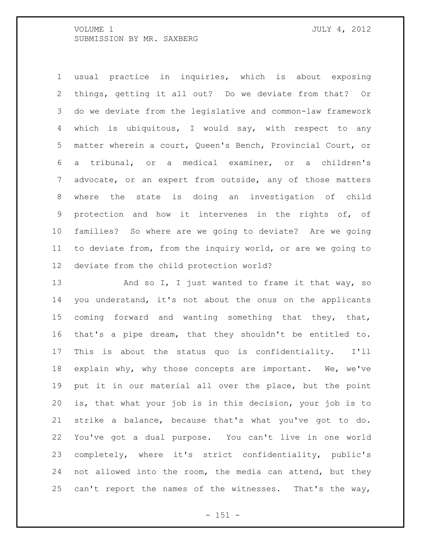usual practice in inquiries, which is about exposing things, getting it all out? Do we deviate from that? Or do we deviate from the legislative and common-law framework which is ubiquitous, I would say, with respect to any matter wherein a court, Queen's Bench, Provincial Court, or a tribunal, or a medical examiner, or a children's advocate, or an expert from outside, any of those matters where the state is doing an investigation of child protection and how it intervenes in the rights of, of families? So where are we going to deviate? Are we going to deviate from, from the inquiry world, or are we going to deviate from the child protection world?

13 And so I, I just wanted to frame it that way, so you understand, it's not about the onus on the applicants 15 coming forward and wanting something that they, that, that's a pipe dream, that they shouldn't be entitled to. This is about the status quo is confidentiality. I'll explain why, why those concepts are important. We, we've put it in our material all over the place, but the point is, that what your job is in this decision, your job is to strike a balance, because that's what you've got to do. You've got a dual purpose. You can't live in one world completely, where it's strict confidentiality, public's not allowed into the room, the media can attend, but they 25 can't report the names of the witnesses. That's the way,

 $- 151 -$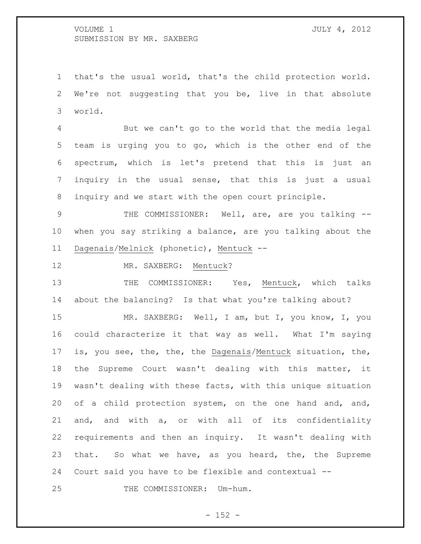that's the usual world, that's the child protection world. We're not suggesting that you be, live in that absolute world.

 But we can't go to the world that the media legal team is urging you to go, which is the other end of the spectrum, which is let's pretend that this is just an inquiry in the usual sense, that this is just a usual inquiry and we start with the open court principle.

9 THE COMMISSIONER: Well, are, are you talking -- when you say striking a balance, are you talking about the Dagenais/Melnick (phonetic), Mentuck --

12 MR. SAXBERG: Mentuck?

13 THE COMMISSIONER: Yes, Mentuck, which talks about the balancing? Is that what you're talking about?

15 MR. SAXBERG: Well, I am, but I, you know, I, you could characterize it that way as well. What I'm saying is, you see, the, the, the Dagenais/Mentuck situation, the, the Supreme Court wasn't dealing with this matter, it wasn't dealing with these facts, with this unique situation of a child protection system, on the one hand and, and, and, and with a, or with all of its confidentiality requirements and then an inquiry. It wasn't dealing with that. So what we have, as you heard, the, the Supreme Court said you have to be flexible and contextual --

25 THE COMMISSIONER: Um-hum.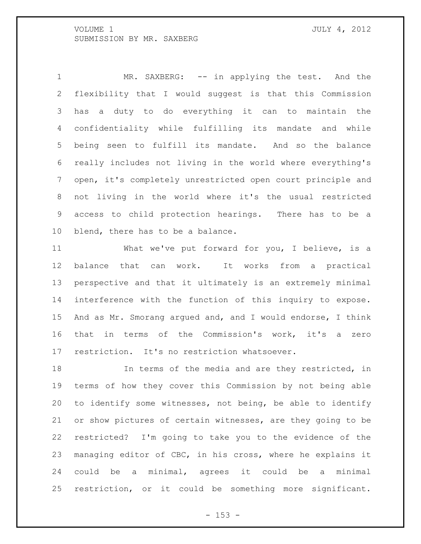1 MR. SAXBERG: -- in applying the test. And the flexibility that I would suggest is that this Commission has a duty to do everything it can to maintain the confidentiality while fulfilling its mandate and while being seen to fulfill its mandate. And so the balance really includes not living in the world where everything's open, it's completely unrestricted open court principle and not living in the world where it's the usual restricted access to child protection hearings. There has to be a 10 blend, there has to be a balance.

 What we've put forward for you, I believe, is a balance that can work. It works from a practical perspective and that it ultimately is an extremely minimal interference with the function of this inquiry to expose. And as Mr. Smorang argued and, and I would endorse, I think that in terms of the Commission's work, it's a zero restriction. It's no restriction whatsoever.

18 18 In terms of the media and are they restricted, in terms of how they cover this Commission by not being able to identify some witnesses, not being, be able to identify or show pictures of certain witnesses, are they going to be restricted? I'm going to take you to the evidence of the managing editor of CBC, in his cross, where he explains it could be a minimal, agrees it could be a minimal restriction, or it could be something more significant.

 $- 153 -$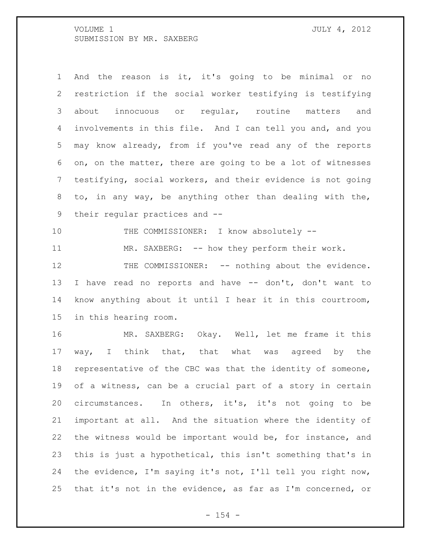And the reason is it, it's going to be minimal or no restriction if the social worker testifying is testifying about innocuous or regular, routine matters and involvements in this file. And I can tell you and, and you may know already, from if you've read any of the reports on, on the matter, there are going to be a lot of witnesses testifying, social workers, and their evidence is not going to, in any way, be anything other than dealing with the, their regular practices and -- 10 THE COMMISSIONER: I know absolutely --11 MR. SAXBERG: -- how they perform their work. 12 THE COMMISSIONER: -- nothing about the evidence. I have read no reports and have -- don't, don't want to know anything about it until I hear it in this courtroom, in this hearing room. MR. SAXBERG: Okay. Well, let me frame it this way, I think that, that what was agreed by the representative of the CBC was that the identity of someone, of a witness, can be a crucial part of a story in certain circumstances. In others, it's, it's not going to be important at all. And the situation where the identity of the witness would be important would be, for instance, and this is just a hypothetical, this isn't something that's in the evidence, I'm saying it's not, I'll tell you right now, that it's not in the evidence, as far as I'm concerned, or

 $- 154 -$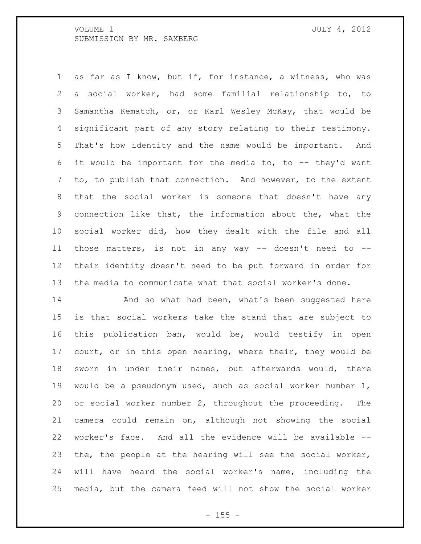as far as I know, but if, for instance, a witness, who was a social worker, had some familial relationship to, to Samantha Kematch, or, or Karl Wesley McKay, that would be significant part of any story relating to their testimony. That's how identity and the name would be important. And it would be important for the media to, to -- they'd want to, to publish that connection. And however, to the extent that the social worker is someone that doesn't have any connection like that, the information about the, what the social worker did, how they dealt with the file and all those matters, is not in any way -- doesn't need to -- their identity doesn't need to be put forward in order for the media to communicate what that social worker's done.

**And so what had been, what's been suggested here**  is that social workers take the stand that are subject to this publication ban, would be, would testify in open court, or in this open hearing, where their, they would be sworn in under their names, but afterwards would, there would be a pseudonym used, such as social worker number 1, or social worker number 2, throughout the proceeding. The camera could remain on, although not showing the social worker's face. And all the evidence will be available -- the, the people at the hearing will see the social worker, will have heard the social worker's name, including the media, but the camera feed will not show the social worker

 $- 155 -$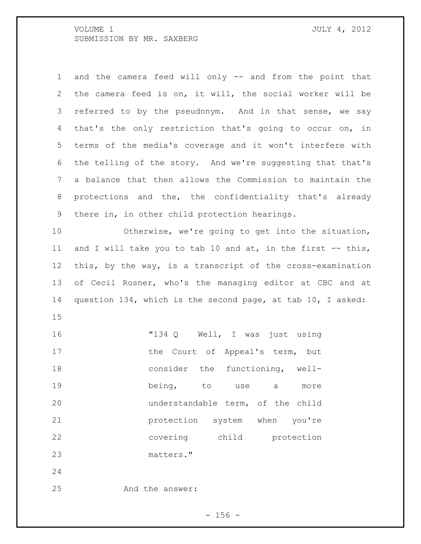| $\mathbf 1$     | and the camera feed will only -- and from the point that     |
|-----------------|--------------------------------------------------------------|
| 2               | the camera feed is on, it will, the social worker will be    |
| 3               | referred to by the pseudonym. And in that sense, we say      |
| 4               | that's the only restriction that's going to occur on, in     |
| 5               | terms of the media's coverage and it won't interfere with    |
| 6               | the telling of the story. And we're suggesting that that's   |
| $7\phantom{.0}$ | a balance that then allows the Commission to maintain the    |
| 8               | protections and the, the confidentiality that's already      |
| 9               | there in, in other child protection hearings.                |
| 10              | Otherwise, we're going to get into the situation,            |
| 11              | and I will take you to tab 10 and at, in the first $-$ this, |
| 12              | this, by the way, is a transcript of the cross-examination   |
| 13              | of Cecil Rosner, who's the managing editor at CBC and at     |
| 14              | question 134, which is the second page, at tab 10, I asked:  |
| 15              |                                                              |
| 16              | "134 Q Well, I was just using                                |
| 17              | the Court of Appeal's term, but                              |
| 18              | consider the functioning, well-                              |
| 19              | being, to use<br>a<br>more                                   |
| 20              | understandable term, of the child                            |
| 21              | protection system when<br>you're                             |
| 22              | covering child<br>protection                                 |
| 23              | matters."                                                    |
| 24              |                                                              |
| 25              | And the answer:                                              |

- 156 -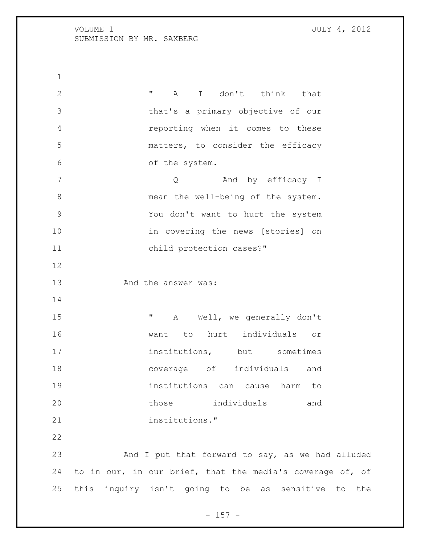**"** A I don't think that that's a primary objective of our reporting when it comes to these matters, to consider the efficacy of the system. 7 and by efficacy I 8 mean the well-being of the system. You don't want to hurt the system 10 in covering the news [stories] on 11 child protection cases?" And the answer was: **"** A Well, we generally don't want to hurt individuals or 17 institutions, but sometimes coverage of individuals and institutions can cause harm to those individuals and institutions." And I put that forward to say, as we had alluded to in our, in our brief, that the media's coverage of, of this inquiry isn't going to be as sensitive to the

 $- 157 -$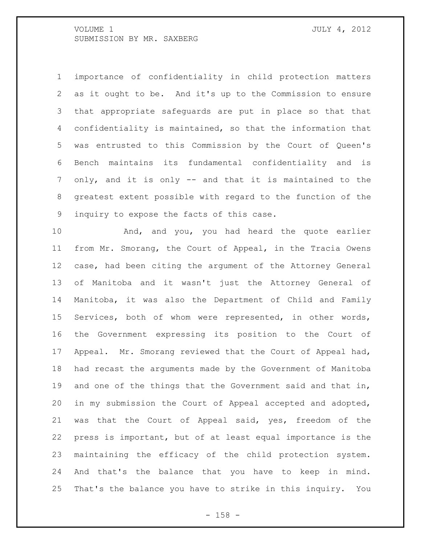importance of confidentiality in child protection matters as it ought to be. And it's up to the Commission to ensure that appropriate safeguards are put in place so that that confidentiality is maintained, so that the information that was entrusted to this Commission by the Court of Queen's Bench maintains its fundamental confidentiality and is only, and it is only -- and that it is maintained to the greatest extent possible with regard to the function of the inquiry to expose the facts of this case.

 And, and you, you had heard the quote earlier from Mr. Smorang, the Court of Appeal, in the Tracia Owens case, had been citing the argument of the Attorney General of Manitoba and it wasn't just the Attorney General of Manitoba, it was also the Department of Child and Family Services, both of whom were represented, in other words, the Government expressing its position to the Court of Appeal. Mr. Smorang reviewed that the Court of Appeal had, had recast the arguments made by the Government of Manitoba 19 and one of the things that the Government said and that in, in my submission the Court of Appeal accepted and adopted, was that the Court of Appeal said, yes, freedom of the press is important, but of at least equal importance is the maintaining the efficacy of the child protection system. And that's the balance that you have to keep in mind. That's the balance you have to strike in this inquiry. You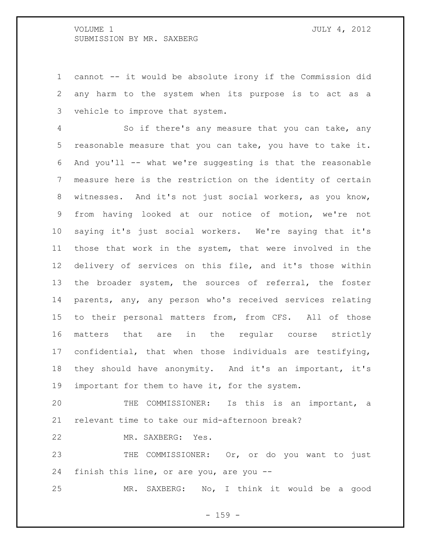cannot -- it would be absolute irony if the Commission did any harm to the system when its purpose is to act as a vehicle to improve that system.

 So if there's any measure that you can take, any reasonable measure that you can take, you have to take it. And you'll -- what we're suggesting is that the reasonable measure here is the restriction on the identity of certain witnesses. And it's not just social workers, as you know, from having looked at our notice of motion, we're not saying it's just social workers. We're saying that it's those that work in the system, that were involved in the delivery of services on this file, and it's those within the broader system, the sources of referral, the foster parents, any, any person who's received services relating to their personal matters from, from CFS. All of those matters that are in the regular course strictly confidential, that when those individuals are testifying, they should have anonymity. And it's an important, it's 19 important for them to have it, for the system.

 THE COMMISSIONER: Is this is an important, a relevant time to take our mid-afternoon break?

MR. SAXBERG: Yes.

23 THE COMMISSIONER: Or, or do you want to just finish this line, or are you, are you --

MR. SAXBERG: No, I think it would be a good

- 159 -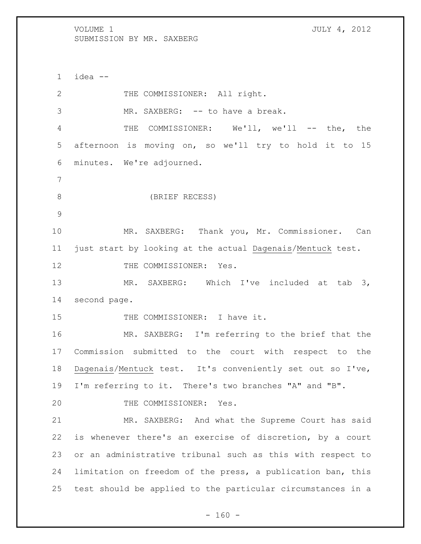idea -- 2 THE COMMISSIONER: All right. 3 MR. SAXBERG: -- to have a break. THE COMMISSIONER: We'll, we'll -- the, the afternoon is moving on, so we'll try to hold it to 15 minutes. We're adjourned. (BRIEF RECESS) MR. SAXBERG: Thank you, Mr. Commissioner. Can just start by looking at the actual Dagenais/Mentuck test. 12 THE COMMISSIONER: Yes. 13 MR. SAXBERG: Which I've included at tab 3, second page. 15 THE COMMISSIONER: I have it. MR. SAXBERG: I'm referring to the brief that the Commission submitted to the court with respect to the Dagenais/Mentuck test. It's conveniently set out so I've, I'm referring to it. There's two branches "A" and "B". 20 THE COMMISSIONER: Yes. MR. SAXBERG: And what the Supreme Court has said is whenever there's an exercise of discretion, by a court or an administrative tribunal such as this with respect to limitation on freedom of the press, a publication ban, this test should be applied to the particular circumstances in a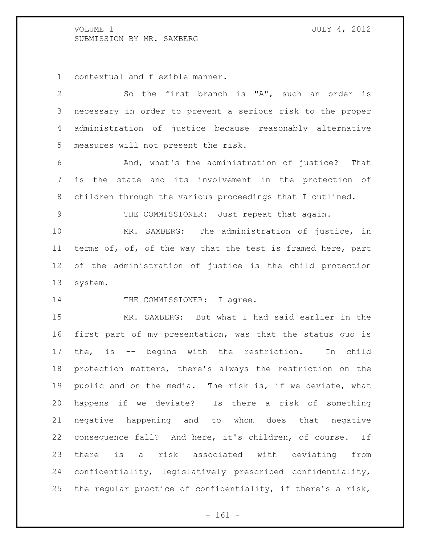contextual and flexible manner.

| $\mathbf{2}$    | So the first branch is "A", such an order is                |
|-----------------|-------------------------------------------------------------|
| 3               | necessary in order to prevent a serious risk to the proper  |
| 4               | administration of justice because reasonably alternative    |
| 5               | measures will not present the risk.                         |
| 6               | And, what's the administration of justice? That             |
| $7\phantom{.0}$ | is the state and its involvement in the protection of       |
| 8               | children through the various proceedings that I outlined.   |
| $\mathcal{G}$   | THE COMMISSIONER: Just repeat that again.                   |
| 10              | MR. SAXBERG: The administration of justice, in              |
| 11              | terms of, of, of the way that the test is framed here, part |
| 12              | of the administration of justice is the child protection    |
| 13              | system.                                                     |
| 14              | THE COMMISSIONER: I agree.                                  |
| 15              | MR. SAXBERG: But what I had said earlier in the             |
| 16              | first part of my presentation, was that the status quo is   |
| 17              | the, is -- begins with the restriction.<br>In child         |
| 18              | protection matters, there's always the restriction on the   |
| 19              | public and on the media. The risk is, if we deviate, what   |
| 20              | happens if we deviate? Is there a risk of something         |
| 21              | negative happening and to whom does that negative           |
| 22              | consequence fall? And here, it's children, of course.<br>If |
| 23              | is a risk associated with deviating from<br>there           |
| 24              | confidentiality, legislatively prescribed confidentiality,  |
|                 |                                                             |

- 161 -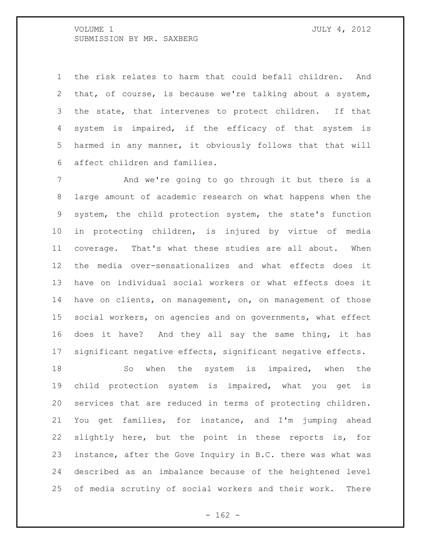the risk relates to harm that could befall children. And that, of course, is because we're talking about a system, the state, that intervenes to protect children. If that system is impaired, if the efficacy of that system is harmed in any manner, it obviously follows that that will affect children and families.

 And we're going to go through it but there is a large amount of academic research on what happens when the system, the child protection system, the state's function in protecting children, is injured by virtue of media coverage. That's what these studies are all about. When the media over-sensationalizes and what effects does it have on individual social workers or what effects does it have on clients, on management, on, on management of those social workers, on agencies and on governments, what effect does it have? And they all say the same thing, it has significant negative effects, significant negative effects.

18 So when the system is impaired, when the child protection system is impaired, what you get is services that are reduced in terms of protecting children. You get families, for instance, and I'm jumping ahead slightly here, but the point in these reports is, for instance, after the Gove Inquiry in B.C. there was what was described as an imbalance because of the heightened level of media scrutiny of social workers and their work. There

 $- 162 -$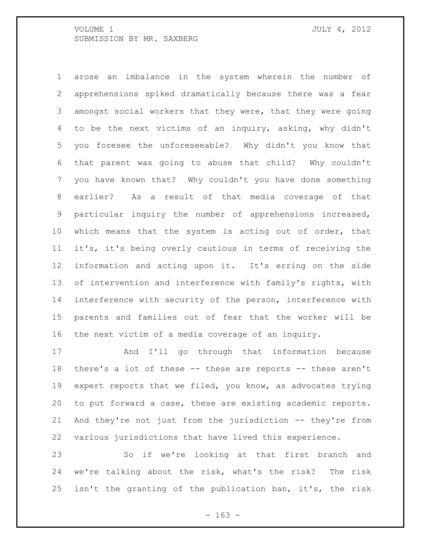arose an imbalance in the system wherein the number of apprehensions spiked dramatically because there was a fear amongst social workers that they were, that they were going to be the next victims of an inquiry, asking, why didn't you foresee the unforeseeable? Why didn't you know that that parent was going to abuse that child? Why couldn't you have known that? Why couldn't you have done something earlier? As a result of that media coverage of that particular inquiry the number of apprehensions increased, which means that the system is acting out of order, that it's, it's being overly cautious in terms of receiving the information and acting upon it. It's erring on the side of intervention and interference with family's rights, with interference with security of the person, interference with parents and families out of fear that the worker will be the next victim of a media coverage of an inquiry.

 And I'll go through that information because there's a lot of these -- these are reports -- these aren't expert reports that we filed, you know, as advocates trying to put forward a case, these are existing academic reports. And they're not just from the jurisdiction -- they're from various jurisdictions that have lived this experience.

 So if we're looking at that first branch and we're talking about the risk, what's the risk? The risk isn't the granting of the publication ban, it's, the risk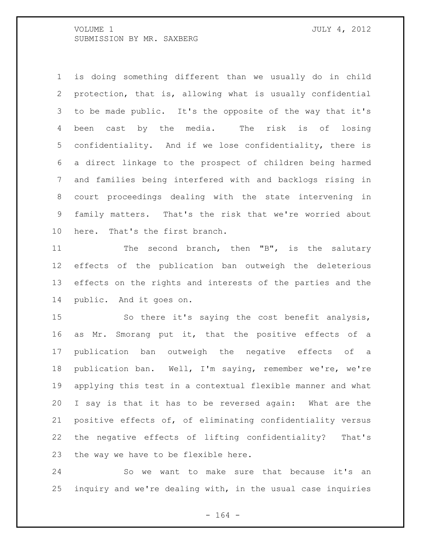is doing something different than we usually do in child protection, that is, allowing what is usually confidential to be made public. It's the opposite of the way that it's been cast by the media. The risk is of losing confidentiality. And if we lose confidentiality, there is a direct linkage to the prospect of children being harmed and families being interfered with and backlogs rising in court proceedings dealing with the state intervening in family matters. That's the risk that we're worried about here. That's the first branch.

11 The second branch, then "B", is the salutary effects of the publication ban outweigh the deleterious effects on the rights and interests of the parties and the public. And it goes on.

 So there it's saying the cost benefit analysis, as Mr. Smorang put it, that the positive effects of a publication ban outweigh the negative effects of a publication ban. Well, I'm saying, remember we're, we're applying this test in a contextual flexible manner and what I say is that it has to be reversed again: What are the positive effects of, of eliminating confidentiality versus the negative effects of lifting confidentiality? That's the way we have to be flexible here.

 So we want to make sure that because it's an inquiry and we're dealing with, in the usual case inquiries

- 164 -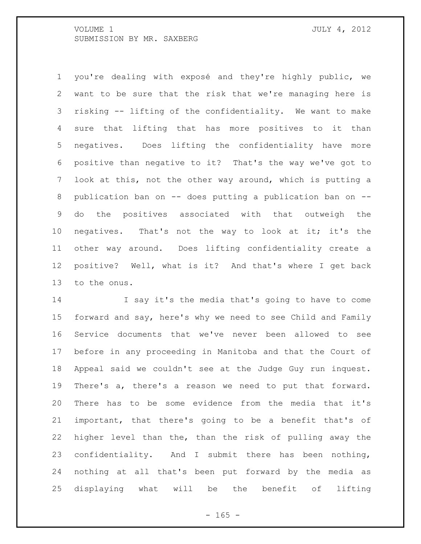you're dealing with exposé and they're highly public, we want to be sure that the risk that we're managing here is risking -- lifting of the confidentiality. We want to make sure that lifting that has more positives to it than negatives. Does lifting the confidentiality have more positive than negative to it? That's the way we've got to look at this, not the other way around, which is putting a publication ban on -- does putting a publication ban on -- do the positives associated with that outweigh the negatives. That's not the way to look at it; it's the other way around. Does lifting confidentiality create a positive? Well, what is it? And that's where I get back to the onus.

 I say it's the media that's going to have to come forward and say, here's why we need to see Child and Family Service documents that we've never been allowed to see before in any proceeding in Manitoba and that the Court of Appeal said we couldn't see at the Judge Guy run inquest. There's a, there's a reason we need to put that forward. There has to be some evidence from the media that it's important, that there's going to be a benefit that's of higher level than the, than the risk of pulling away the confidentiality. And I submit there has been nothing, nothing at all that's been put forward by the media as displaying what will be the benefit of lifting

 $- 165 -$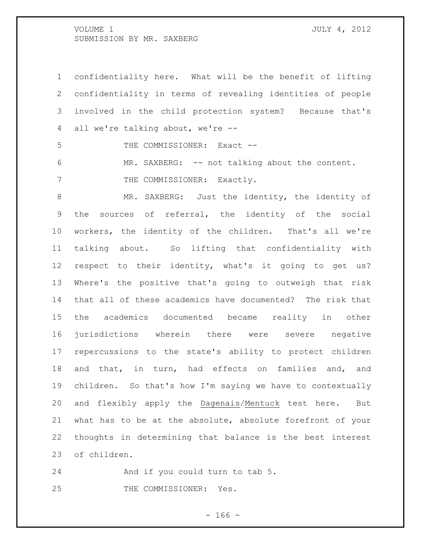confidentiality here. What will be the benefit of lifting confidentiality in terms of revealing identities of people involved in the child protection system? Because that's all we're talking about, we're --

5 THE COMMISSIONER: Exact --

 MR. SAXBERG: -- not talking about the content. 7 THE COMMISSIONER: Exactly.

 MR. SAXBERG: Just the identity, the identity of the sources of referral, the identity of the social workers, the identity of the children. That's all we're talking about. So lifting that confidentiality with respect to their identity, what's it going to get us? Where's the positive that's going to outweigh that risk that all of these academics have documented? The risk that the academics documented became reality in other jurisdictions wherein there were severe negative repercussions to the state's ability to protect children and that, in turn, had effects on families and, and children. So that's how I'm saying we have to contextually and flexibly apply the Dagenais/Mentuck test here. But what has to be at the absolute, absolute forefront of your thoughts in determining that balance is the best interest of children.

 And if you could turn to tab 5. THE COMMISSIONER: Yes.

- 166 -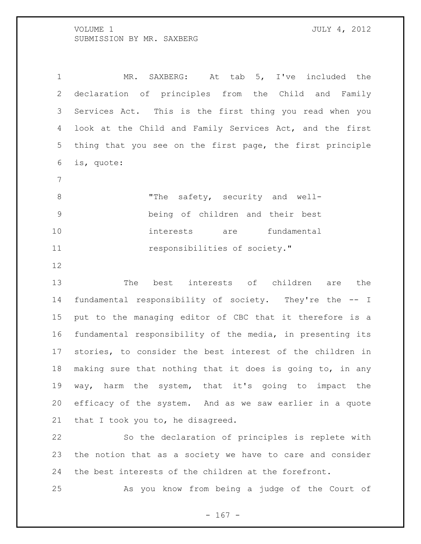MR. SAXBERG: At tab 5, I've included the declaration of principles from the Child and Family Services Act. This is the first thing you read when you look at the Child and Family Services Act, and the first thing that you see on the first page, the first principle is, quote:

8 The safety, security and well- being of children and their best interests are fundamental **11** responsibilities of society."

 The best interests of children are the fundamental responsibility of society. They're the -- I put to the managing editor of CBC that it therefore is a fundamental responsibility of the media, in presenting its stories, to consider the best interest of the children in making sure that nothing that it does is going to, in any way, harm the system, that it's going to impact the efficacy of the system. And as we saw earlier in a quote that I took you to, he disagreed.

 So the declaration of principles is replete with the notion that as a society we have to care and consider the best interests of the children at the forefront.

As you know from being a judge of the Court of

- 167 -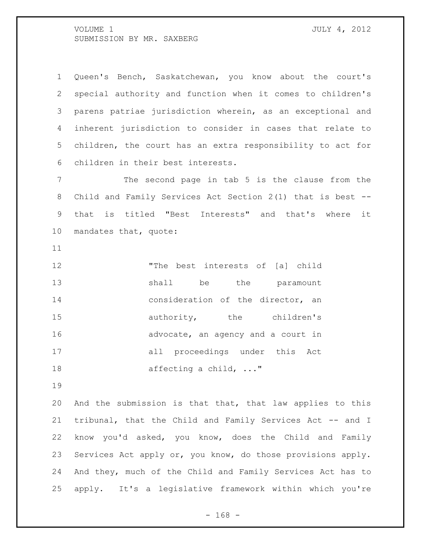Queen's Bench, Saskatchewan, you know about the court's special authority and function when it comes to children's parens patriae jurisdiction wherein, as an exceptional and inherent jurisdiction to consider in cases that relate to children, the court has an extra responsibility to act for children in their best interests.

 The second page in tab 5 is the clause from the Child and Family Services Act Section 2(1) that is best -- that is titled "Best Interests" and that's where it mandates that, quote:

 "The best interests of [a] child 13 shall be the paramount **consideration of the director, an**  authority, the children's 16 advocate, an agency and a court in all proceedings under this Act 18 affecting a child, ..."

 And the submission is that that, that law applies to this tribunal, that the Child and Family Services Act -- and I know you'd asked, you know, does the Child and Family Services Act apply or, you know, do those provisions apply. And they, much of the Child and Family Services Act has to apply. It's a legislative framework within which you're

- 168 -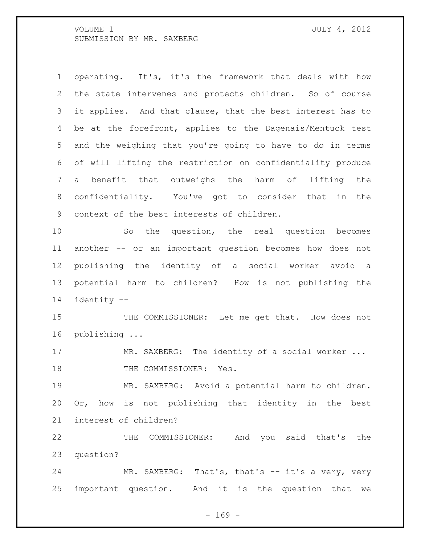operating. It's, it's the framework that deals with how the state intervenes and protects children. So of course it applies. And that clause, that the best interest has to be at the forefront, applies to the Dagenais/Mentuck test and the weighing that you're going to have to do in terms of will lifting the restriction on confidentiality produce a benefit that outweighs the harm of lifting the confidentiality. You've got to consider that in the context of the best interests of children. So the question, the real question becomes another -- or an important question becomes how does not publishing the identity of a social worker avoid a potential harm to children? How is not publishing the identity --

 THE COMMISSIONER: Let me get that. How does not publishing ...

17 MR. SAXBERG: The identity of a social worker ... 18 THE COMMISSIONER: Yes.

 MR. SAXBERG: Avoid a potential harm to children. Or, how is not publishing that identity in the best interest of children?

 THE COMMISSIONER: And you said that's the question?

24 MR. SAXBERG: That's, that's -- it's a very, very important question. And it is the question that we

 $- 169 -$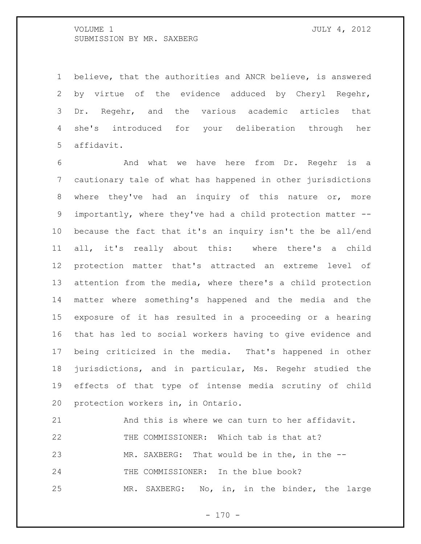believe, that the authorities and ANCR believe, is answered by virtue of the evidence adduced by Cheryl Regehr, Dr. Regehr, and the various academic articles that she's introduced for your deliberation through her affidavit.

 And what we have here from Dr. Regehr is a cautionary tale of what has happened in other jurisdictions where they've had an inquiry of this nature or, more importantly, where they've had a child protection matter -- because the fact that it's an inquiry isn't the be all/end all, it's really about this: where there's a child protection matter that's attracted an extreme level of attention from the media, where there's a child protection matter where something's happened and the media and the exposure of it has resulted in a proceeding or a hearing that has led to social workers having to give evidence and being criticized in the media. That's happened in other jurisdictions, and in particular, Ms. Regehr studied the effects of that type of intense media scrutiny of child protection workers in, in Ontario.

 And this is where we can turn to her affidavit. THE COMMISSIONER: Which tab is that at? MR. SAXBERG: That would be in the, in the -- 24 THE COMMISSIONER: In the blue book? MR. SAXBERG: No, in, in the binder, the large

 $- 170 -$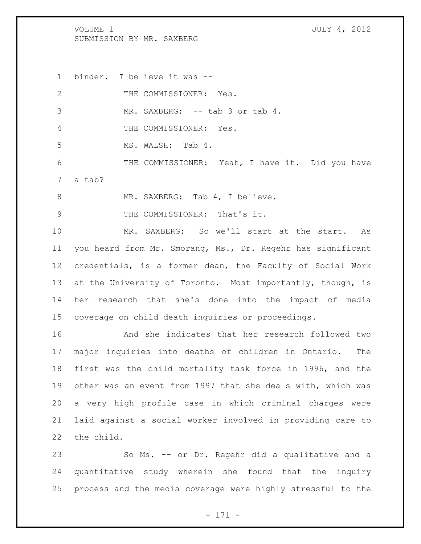the child.

 binder. I believe it was -- 2 THE COMMISSIONER: Yes. MR. SAXBERG: -- tab 3 or tab 4. THE COMMISSIONER: Yes. MS. WALSH: Tab 4. 6 THE COMMISSIONER: Yeah, I have it. Did you have a tab? 8 MR. SAXBERG: Tab 4, I believe. 9 THE COMMISSIONER: That's it. MR. SAXBERG: So we'll start at the start. As you heard from Mr. Smorang, Ms., Dr. Regehr has significant credentials, is a former dean, the Faculty of Social Work at the University of Toronto. Most importantly, though, is her research that she's done into the impact of media coverage on child death inquiries or proceedings. And she indicates that her research followed two major inquiries into deaths of children in Ontario. The first was the child mortality task force in 1996, and the other was an event from 1997 that she deals with, which was a very high profile case in which criminal charges were laid against a social worker involved in providing care to

 So Ms. -- or Dr. Regehr did a qualitative and a quantitative study wherein she found that the inquiry process and the media coverage were highly stressful to the

- 171 -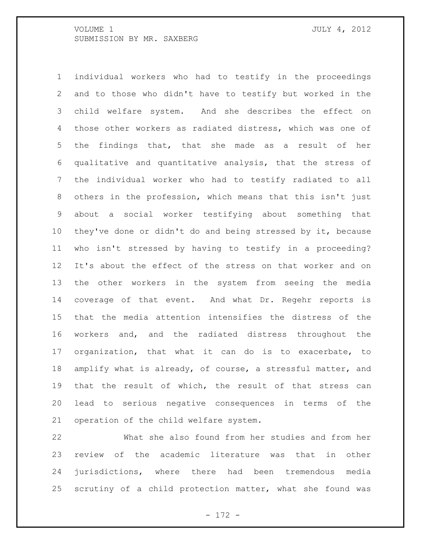individual workers who had to testify in the proceedings and to those who didn't have to testify but worked in the child welfare system. And she describes the effect on those other workers as radiated distress, which was one of the findings that, that she made as a result of her qualitative and quantitative analysis, that the stress of the individual worker who had to testify radiated to all others in the profession, which means that this isn't just about a social worker testifying about something that they've done or didn't do and being stressed by it, because who isn't stressed by having to testify in a proceeding? It's about the effect of the stress on that worker and on the other workers in the system from seeing the media coverage of that event. And what Dr. Regehr reports is that the media attention intensifies the distress of the workers and, and the radiated distress throughout the organization, that what it can do is to exacerbate, to amplify what is already, of course, a stressful matter, and that the result of which, the result of that stress can lead to serious negative consequences in terms of the operation of the child welfare system.

 What she also found from her studies and from her review of the academic literature was that in other jurisdictions, where there had been tremendous media scrutiny of a child protection matter, what she found was

- 172 -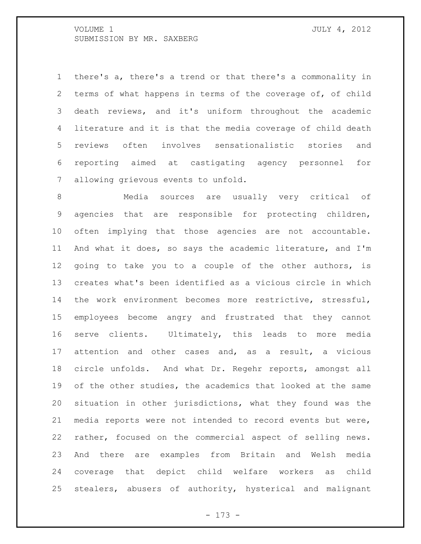there's a, there's a trend or that there's a commonality in terms of what happens in terms of the coverage of, of child death reviews, and it's uniform throughout the academic literature and it is that the media coverage of child death reviews often involves sensationalistic stories and reporting aimed at castigating agency personnel for allowing grievous events to unfold.

 Media sources are usually very critical of agencies that are responsible for protecting children, often implying that those agencies are not accountable. And what it does, so says the academic literature, and I'm going to take you to a couple of the other authors, is creates what's been identified as a vicious circle in which the work environment becomes more restrictive, stressful, employees become angry and frustrated that they cannot serve clients. Ultimately, this leads to more media attention and other cases and, as a result, a vicious circle unfolds. And what Dr. Regehr reports, amongst all of the other studies, the academics that looked at the same situation in other jurisdictions, what they found was the media reports were not intended to record events but were, rather, focused on the commercial aspect of selling news. And there are examples from Britain and Welsh media coverage that depict child welfare workers as child stealers, abusers of authority, hysterical and malignant

- 173 -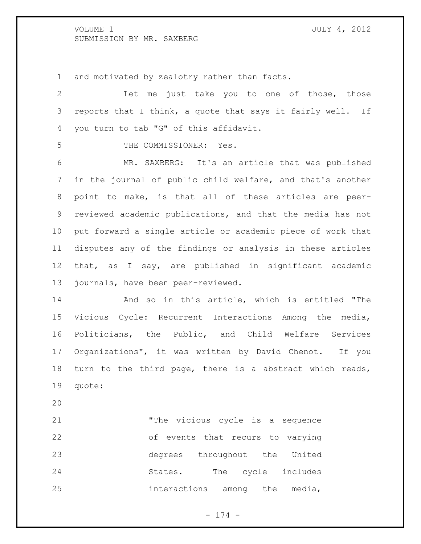and motivated by zealotry rather than facts.

 Let me just take you to one of those, those reports that I think, a quote that says it fairly well. If you turn to tab "G" of this affidavit. THE COMMISSIONER: Yes. MR. SAXBERG: It's an article that was published in the journal of public child welfare, and that's another point to make, is that all of these articles are peer- reviewed academic publications, and that the media has not put forward a single article or academic piece of work that disputes any of the findings or analysis in these articles that, as I say, are published in significant academic journals, have been peer-reviewed. And so in this article, which is entitled "The Vicious Cycle: Recurrent Interactions Among the media, Politicians, the Public, and Child Welfare Services Organizations", it was written by David Chenot. If you turn to the third page, there is a abstract which reads, quote: "The vicious cycle is a sequence of events that recurs to varying degrees throughout the United 24 States. The cycle includes

interactions among the media,

- 174 -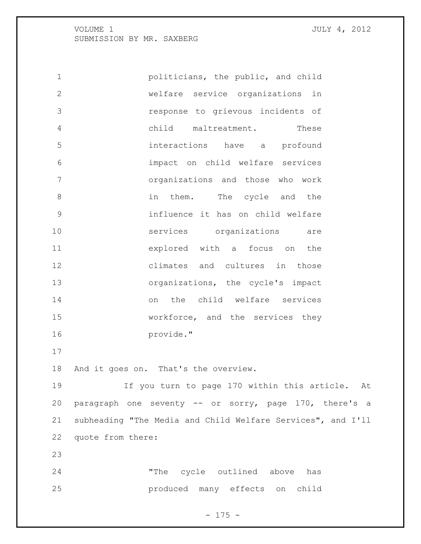**politicians, the public, and child**  welfare service organizations in response to grievous incidents of child maltreatment. These interactions have a profound impact on child welfare services organizations and those who work in them. The cycle and the influence it has on child welfare services organizations are explored with a focus on the climates and cultures in those organizations, the cycle's impact on the child welfare services workforce, and the services they provide." And it goes on. That's the overview. If you turn to page 170 within this article. At paragraph one seventy -- or sorry, page 170, there's a subheading "The Media and Child Welfare Services", and I'll quote from there: "The cycle outlined above has produced many effects on child

 $- 175 -$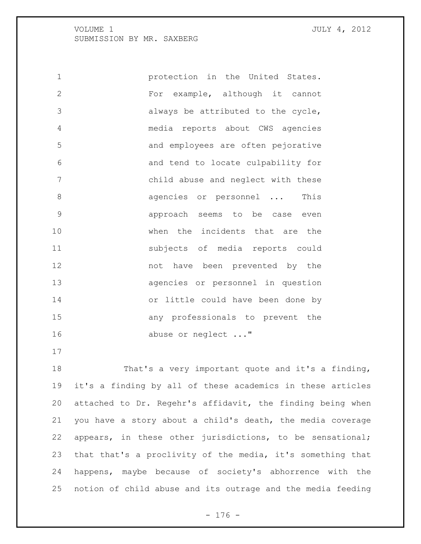protection in the United States. For example, although it cannot always be attributed to the cycle, media reports about CWS agencies and employees are often pejorative and tend to locate culpability for child abuse and neglect with these 8 agencies or personnel ... This approach seems to be case even when the incidents that are the subjects of media reports could not have been prevented by the agencies or personnel in question or little could have been done by any professionals to prevent the 16 abuse or neglect ..."

 That's a very important quote and it's a finding, it's a finding by all of these academics in these articles attached to Dr. Regehr's affidavit, the finding being when you have a story about a child's death, the media coverage appears, in these other jurisdictions, to be sensational; that that's a proclivity of the media, it's something that happens, maybe because of society's abhorrence with the notion of child abuse and its outrage and the media feeding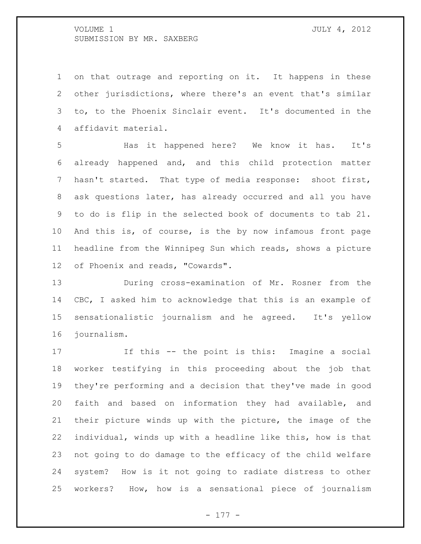on that outrage and reporting on it. It happens in these other jurisdictions, where there's an event that's similar to, to the Phoenix Sinclair event. It's documented in the affidavit material.

 Has it happened here? We know it has. It's already happened and, and this child protection matter hasn't started. That type of media response: shoot first, ask questions later, has already occurred and all you have to do is flip in the selected book of documents to tab 21. And this is, of course, is the by now infamous front page headline from the Winnipeg Sun which reads, shows a picture of Phoenix and reads, "Cowards".

 During cross-examination of Mr. Rosner from the CBC, I asked him to acknowledge that this is an example of sensationalistic journalism and he agreed. It's yellow journalism.

 If this -- the point is this: Imagine a social worker testifying in this proceeding about the job that they're performing and a decision that they've made in good faith and based on information they had available, and their picture winds up with the picture, the image of the individual, winds up with a headline like this, how is that not going to do damage to the efficacy of the child welfare system? How is it not going to radiate distress to other workers? How, how is a sensational piece of journalism

- 177 -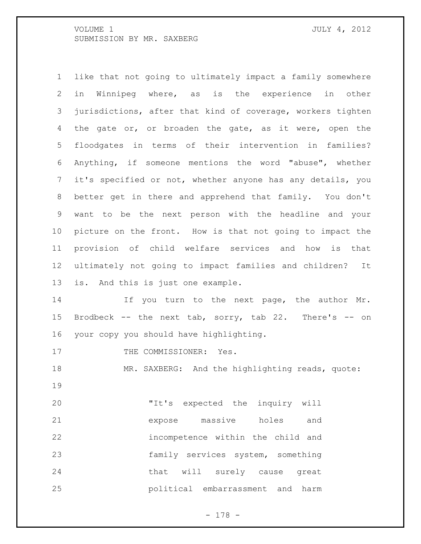like that not going to ultimately impact a family somewhere in Winnipeg where, as is the experience in other jurisdictions, after that kind of coverage, workers tighten 4 the gate or, or broaden the gate, as it were, open the floodgates in terms of their intervention in families? Anything, if someone mentions the word "abuse", whether it's specified or not, whether anyone has any details, you better get in there and apprehend that family. You don't want to be the next person with the headline and your picture on the front. How is that not going to impact the provision of child welfare services and how is that ultimately not going to impact families and children? It is. And this is just one example.

14 If you turn to the next page, the author Mr. Brodbeck -- the next tab, sorry, tab 22. There's -- on your copy you should have highlighting.

17 THE COMMISSIONER: Yes.

18 MR. SAXBERG: And the highlighting reads, quote: 

 "It's expected the inquiry will expose massive holes and incompetence within the child and family services system, something 24 that will surely cause great political embarrassment and harm

- 178 -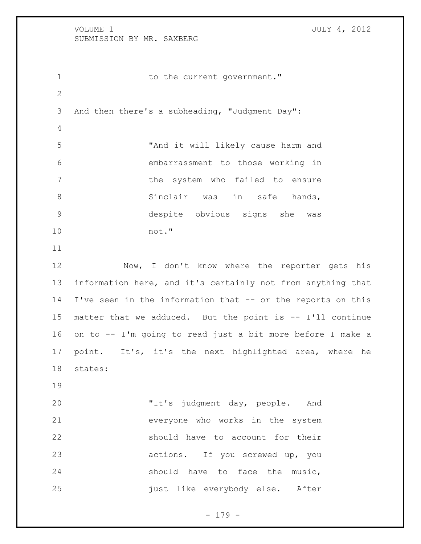1 to the current government." And then there's a subheading, "Judgment Day": "And it will likely cause harm and embarrassment to those working in 7 the system who failed to ensure 8 Sinclair was in safe hands, despite obvious signs she was not." 12 Now, I don't know where the reporter gets his information here, and it's certainly not from anything that I've seen in the information that -- or the reports on this matter that we adduced. But the point is -- I'll continue on to -- I'm going to read just a bit more before I make a point. It's, it's the next highlighted area, where he states: "It's judgment day, people. And everyone who works in the system should have to account for their actions. If you screwed up, you 24 should have to face the music, 25 iust like everybody else. After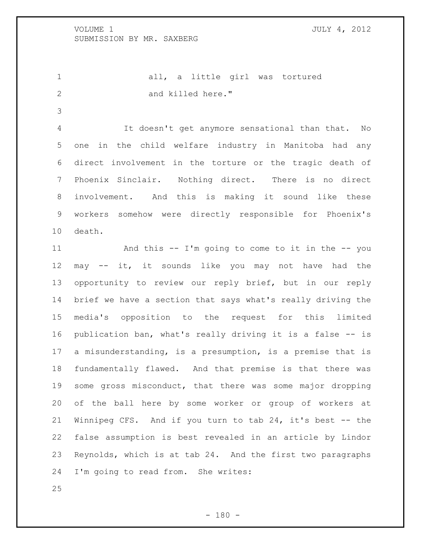1 all, a little girl was tortured 2 and killed here."

 It doesn't get anymore sensational than that. No one in the child welfare industry in Manitoba had any direct involvement in the torture or the tragic death of Phoenix Sinclair. Nothing direct. There is no direct involvement. And this is making it sound like these workers somehow were directly responsible for Phoenix's death.

 And this -- I'm going to come to it in the -- you may -- it, it sounds like you may not have had the opportunity to review our reply brief, but in our reply brief we have a section that says what's really driving the media's opposition to the request for this limited publication ban, what's really driving it is a false -- is a misunderstanding, is a presumption, is a premise that is fundamentally flawed. And that premise is that there was some gross misconduct, that there was some major dropping of the ball here by some worker or group of workers at Winnipeg CFS. And if you turn to tab 24, it's best -- the false assumption is best revealed in an article by Lindor Reynolds, which is at tab 24. And the first two paragraphs I'm going to read from. She writes: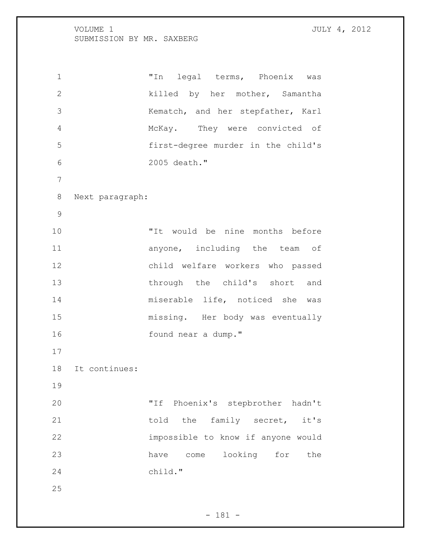"In legal terms, Phoenix was killed by her mother, Samantha Kematch, and her stepfather, Karl McKay. They were convicted of first-degree murder in the child's 2005 death." Next paragraph: "It would be nine months before 11 anyone, including the team of child welfare workers who passed through the child's short and miserable life, noticed she was missing. Her body was eventually found near a dump." It continues: "If Phoenix's stepbrother hadn't 21 told the family secret, it's impossible to know if anyone would have come looking for the child."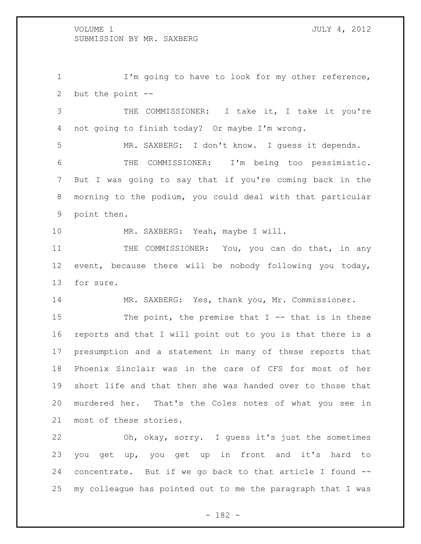1 I'm going to have to look for my other reference, but the point --

 THE COMMISSIONER: I take it, I take it you're not going to finish today? Or maybe I'm wrong.

 MR. SAXBERG: I don't know. I guess it depends. THE COMMISSIONER: I'm being too pessimistic. But I was going to say that if you're coming back in the morning to the podium, you could deal with that particular point then.

10 MR. SAXBERG: Yeah, maybe I will.

11 THE COMMISSIONER: You, you can do that, in any event, because there will be nobody following you today, for sure.

MR. SAXBERG: Yes, thank you, Mr. Commissioner.

15 The point, the premise that I -- that is in these reports and that I will point out to you is that there is a presumption and a statement in many of these reports that Phoenix Sinclair was in the care of CFS for most of her short life and that then she was handed over to those that murdered her. That's the Coles notes of what you see in most of these stories.

 Oh, okay, sorry. I guess it's just the sometimes you get up, you get up in front and it's hard to concentrate. But if we go back to that article I found -- my colleague has pointed out to me the paragraph that I was

- 182 -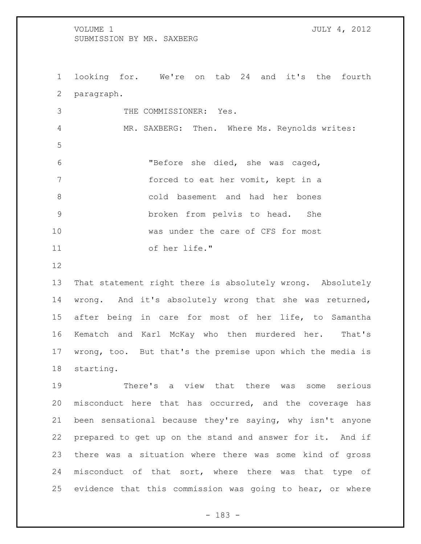looking for. We're on tab 24 and it's the fourth paragraph. THE COMMISSIONER: Yes. MR. SAXBERG: Then. Where Ms. Reynolds writes: "Before she died, she was caged, forced to eat her vomit, kept in a cold basement and had her bones broken from pelvis to head. She was under the care of CFS for most of her life."

 That statement right there is absolutely wrong. Absolutely wrong. And it's absolutely wrong that she was returned, after being in care for most of her life, to Samantha Kematch and Karl McKay who then murdered her. That's wrong, too. But that's the premise upon which the media is starting.

 There's a view that there was some serious misconduct here that has occurred, and the coverage has been sensational because they're saying, why isn't anyone prepared to get up on the stand and answer for it. And if there was a situation where there was some kind of gross 24 misconduct of that sort, where there was that type of evidence that this commission was going to hear, or where

- 183 -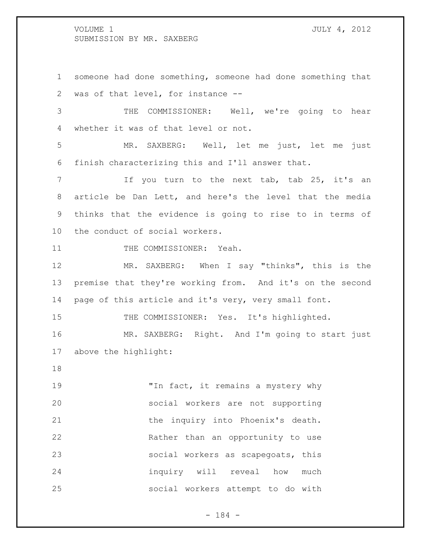someone had done something, someone had done something that was of that level, for instance -- THE COMMISSIONER: Well, we're going to hear whether it was of that level or not. MR. SAXBERG: Well, let me just, let me just finish characterizing this and I'll answer that. If you turn to the next tab, tab 25, it's an article be Dan Lett, and here's the level that the media thinks that the evidence is going to rise to in terms of the conduct of social workers. 11 THE COMMISSIONER: Yeah. MR. SAXBERG: When I say "thinks", this is the premise that they're working from. And it's on the second 14 page of this article and it's very, very small font. 15 THE COMMISSIONER: Yes. It's highlighted. MR. SAXBERG: Right. And I'm going to start just above the highlight: 19 The fact, it remains a mystery why social workers are not supporting 21 the inquiry into Phoenix's death. Rather than an opportunity to use social workers as scapegoats, this inquiry will reveal how much social workers attempt to do with

- 184 -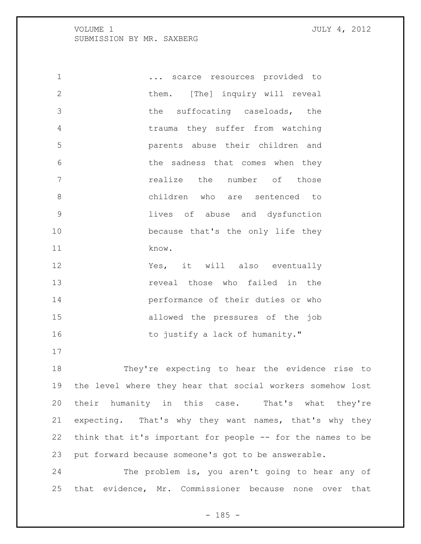$\ldots$  scarce resources provided to 2 them. [The] inquiry will reveal 3 the suffocating caseloads, the trauma they suffer from watching parents abuse their children and 6 6 the sadness that comes when they realize the number of those children who are sentenced to lives of abuse and dysfunction because that's the only life they know. Yes, it will also eventually **13** reveal those who failed in the performance of their duties or who allowed the pressures of the job 16 to justify a lack of humanity." They're expecting to hear the evidence rise to the level where they hear that social workers somehow lost their humanity in this case. That's what they're

 expecting. That's why they want names, that's why they think that it's important for people -- for the names to be put forward because someone's got to be answerable.

 The problem is, you aren't going to hear any of that evidence, Mr. Commissioner because none over that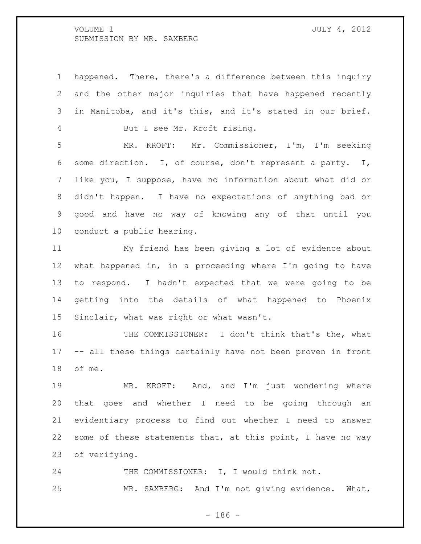happened. There, there's a difference between this inquiry and the other major inquiries that have happened recently in Manitoba, and it's this, and it's stated in our brief. But I see Mr. Kroft rising. MR. KROFT: Mr. Commissioner, I'm, I'm seeking some direction. I, of course, don't represent a party. I, like you, I suppose, have no information about what did or didn't happen. I have no expectations of anything bad or good and have no way of knowing any of that until you conduct a public hearing.

 My friend has been giving a lot of evidence about what happened in, in a proceeding where I'm going to have to respond. I hadn't expected that we were going to be getting into the details of what happened to Phoenix Sinclair, what was right or what wasn't.

 THE COMMISSIONER: I don't think that's the, what -- all these things certainly have not been proven in front of me.

 MR. KROFT: And, and I'm just wondering where that goes and whether I need to be going through an evidentiary process to find out whether I need to answer some of these statements that, at this point, I have no way of verifying.

24 THE COMMISSIONER: I, I would think not. MR. SAXBERG: And I'm not giving evidence. What,

- 186 -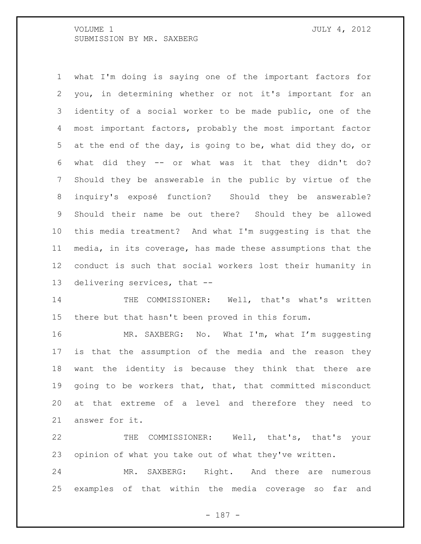what I'm doing is saying one of the important factors for you, in determining whether or not it's important for an identity of a social worker to be made public, one of the most important factors, probably the most important factor at the end of the day, is going to be, what did they do, or what did they -- or what was it that they didn't do? Should they be answerable in the public by virtue of the inquiry's exposé function? Should they be answerable? Should their name be out there? Should they be allowed this media treatment? And what I'm suggesting is that the media, in its coverage, has made these assumptions that the conduct is such that social workers lost their humanity in delivering services, that --

 THE COMMISSIONER: Well, that's what's written there but that hasn't been proved in this forum.

16 MR. SAXBERG: No. What I'm, what I'm suggesting is that the assumption of the media and the reason they want the identity is because they think that there are going to be workers that, that, that committed misconduct at that extreme of a level and therefore they need to answer for it.

 THE COMMISSIONER: Well, that's, that's your opinion of what you take out of what they've written.

 MR. SAXBERG: Right. And there are numerous examples of that within the media coverage so far and

- 187 -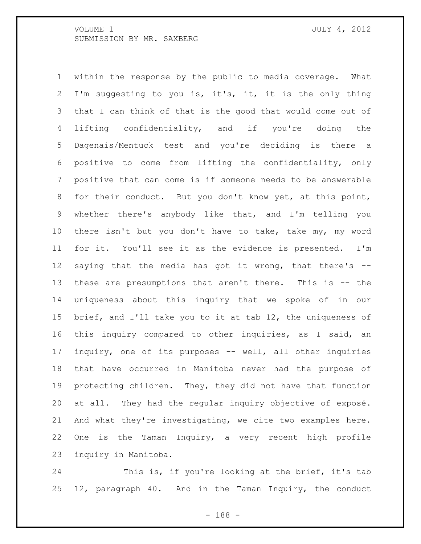within the response by the public to media coverage. What I'm suggesting to you is, it's, it, it is the only thing that I can think of that is the good that would come out of 4 lifting confidentiality, and if you're doing the Dagenais/Mentuck test and you're deciding is there a positive to come from lifting the confidentiality, only positive that can come is if someone needs to be answerable for their conduct. But you don't know yet, at this point, whether there's anybody like that, and I'm telling you there isn't but you don't have to take, take my, my word for it. You'll see it as the evidence is presented. I'm saying that the media has got it wrong, that there's -- these are presumptions that aren't there. This is -- the uniqueness about this inquiry that we spoke of in our brief, and I'll take you to it at tab 12, the uniqueness of this inquiry compared to other inquiries, as I said, an inquiry, one of its purposes -- well, all other inquiries that have occurred in Manitoba never had the purpose of protecting children. They, they did not have that function at all. They had the regular inquiry objective of exposé. And what they're investigating, we cite two examples here. One is the Taman Inquiry, a very recent high profile inquiry in Manitoba.

 This is, if you're looking at the brief, it's tab 12, paragraph 40. And in the Taman Inquiry, the conduct

- 188 -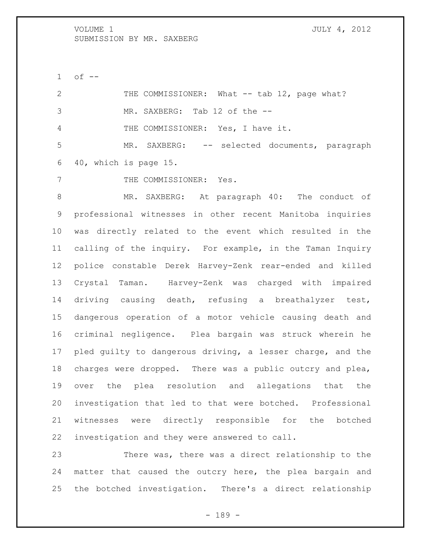of  $-$ 

 THE COMMISSIONER: What -- tab 12, page what? MR. SAXBERG: Tab 12 of the -- THE COMMISSIONER: Yes, I have it. MR. SAXBERG: -- selected documents, paragraph 40, which is page 15.

7 THE COMMISSIONER: Yes.

 MR. SAXBERG: At paragraph 40: The conduct of professional witnesses in other recent Manitoba inquiries was directly related to the event which resulted in the calling of the inquiry. For example, in the Taman Inquiry police constable Derek Harvey-Zenk rear-ended and killed Crystal Taman. Harvey-Zenk was charged with impaired driving causing death, refusing a breathalyzer test, dangerous operation of a motor vehicle causing death and criminal negligence. Plea bargain was struck wherein he pled guilty to dangerous driving, a lesser charge, and the charges were dropped. There was a public outcry and plea, over the plea resolution and allegations that the investigation that led to that were botched. Professional witnesses were directly responsible for the botched investigation and they were answered to call.

 There was, there was a direct relationship to the matter that caused the outcry here, the plea bargain and the botched investigation. There's a direct relationship

- 189 -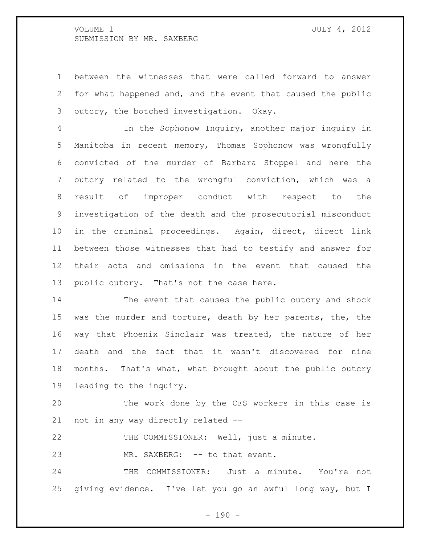between the witnesses that were called forward to answer for what happened and, and the event that caused the public outcry, the botched investigation. Okay.

 In the Sophonow Inquiry, another major inquiry in Manitoba in recent memory, Thomas Sophonow was wrongfully convicted of the murder of Barbara Stoppel and here the outcry related to the wrongful conviction, which was a result of improper conduct with respect to the investigation of the death and the prosecutorial misconduct in the criminal proceedings. Again, direct, direct link between those witnesses that had to testify and answer for their acts and omissions in the event that caused the 13 public outcry. That's not the case here.

 The event that causes the public outcry and shock was the murder and torture, death by her parents, the, the way that Phoenix Sinclair was treated, the nature of her death and the fact that it wasn't discovered for nine months. That's what, what brought about the public outcry leading to the inquiry.

 The work done by the CFS workers in this case is not in any way directly related --

THE COMMISSIONER: Well, just a minute.

23 MR. SAXBERG: -- to that event.

 THE COMMISSIONER: Just a minute. You're not giving evidence. I've let you go an awful long way, but I

 $- 190 -$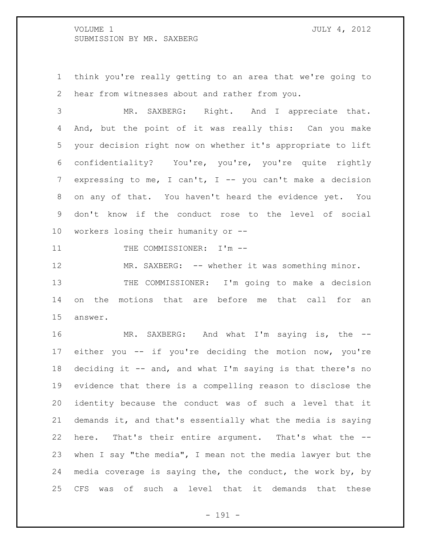think you're really getting to an area that we're going to hear from witnesses about and rather from you.

 MR. SAXBERG: Right. And I appreciate that. And, but the point of it was really this: Can you make your decision right now on whether it's appropriate to lift confidentiality? You're, you're, you're quite rightly 7 expressing to me, I can't, I -- you can't make a decision on any of that. You haven't heard the evidence yet. You don't know if the conduct rose to the level of social workers losing their humanity or --

11 THE COMMISSIONER: I'm --

12 MR. SAXBERG: -- whether it was something minor. THE COMMISSIONER: I'm going to make a decision on the motions that are before me that call for an answer.

 MR. SAXBERG: And what I'm saying is, the -- either you -- if you're deciding the motion now, you're 18 deciding it -- and, and what I'm saying is that there's no evidence that there is a compelling reason to disclose the identity because the conduct was of such a level that it demands it, and that's essentially what the media is saying here. That's their entire argument. That's what the -- when I say "the media", I mean not the media lawyer but the media coverage is saying the, the conduct, the work by, by CFS was of such a level that it demands that these

- 191 -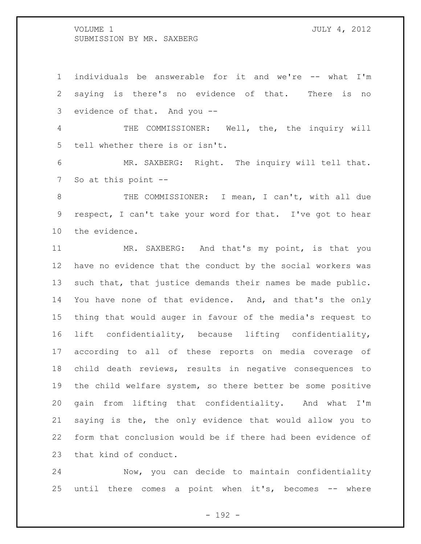individuals be answerable for it and we're -- what I'm saying is there's no evidence of that. There is no evidence of that. And you --

 THE COMMISSIONER: Well, the, the inquiry will tell whether there is or isn't.

 MR. SAXBERG: Right. The inquiry will tell that. So at this point --

 THE COMMISSIONER: I mean, I can't, with all due respect, I can't take your word for that. I've got to hear the evidence.

11 MR. SAXBERG: And that's my point, is that you have no evidence that the conduct by the social workers was such that, that justice demands their names be made public. You have none of that evidence. And, and that's the only thing that would auger in favour of the media's request to lift confidentiality, because lifting confidentiality, according to all of these reports on media coverage of child death reviews, results in negative consequences to the child welfare system, so there better be some positive gain from lifting that confidentiality. And what I'm saying is the, the only evidence that would allow you to form that conclusion would be if there had been evidence of that kind of conduct.

 Now, you can decide to maintain confidentiality until there comes a point when it's, becomes -- where

- 192 -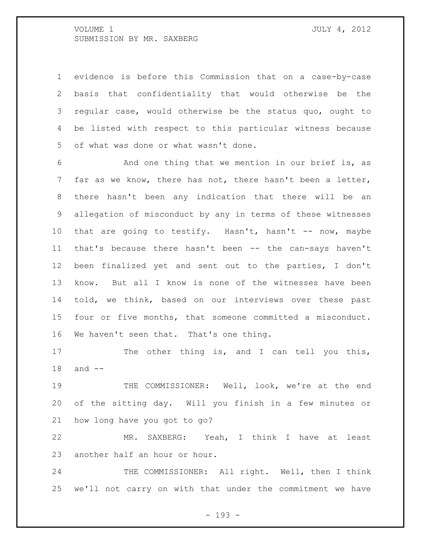evidence is before this Commission that on a case-by-case basis that confidentiality that would otherwise be the regular case, would otherwise be the status quo, ought to be listed with respect to this particular witness because of what was done or what wasn't done.

 And one thing that we mention in our brief is, as far as we know, there has not, there hasn't been a letter, there hasn't been any indication that there will be an allegation of misconduct by any in terms of these witnesses that are going to testify. Hasn't, hasn't -- now, maybe that's because there hasn't been -- the can-says haven't been finalized yet and sent out to the parties, I don't know. But all I know is none of the witnesses have been told, we think, based on our interviews over these past four or five months, that someone committed a misconduct. We haven't seen that. That's one thing.

17 The other thing is, and I can tell you this, and --

 THE COMMISSIONER: Well, look, we're at the end of the sitting day. Will you finish in a few minutes or how long have you got to go?

 MR. SAXBERG: Yeah, I think I have at least another half an hour or hour.

24 THE COMMISSIONER: All right. Well, then I think we'll not carry on with that under the commitment we have

- 193 -